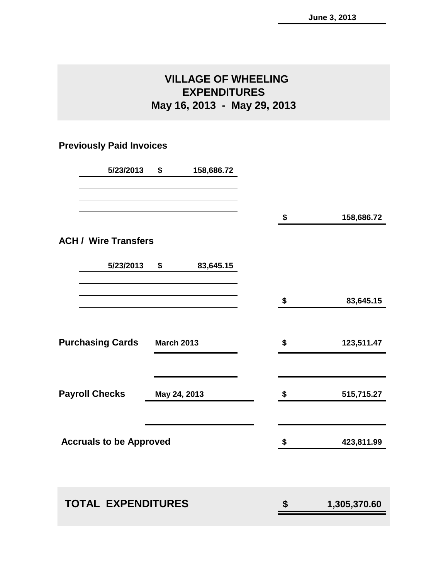# **VILLAGE OF WHEELING EXPENDITURES May 16, 2013 - May 29, 2013**

# **Previously Paid Invoices**

| 5/23/2013                                    | \$           | 158,686.72 |    |              |
|----------------------------------------------|--------------|------------|----|--------------|
|                                              |              |            | \$ | 158,686.72   |
| <b>ACH / Wire Transfers</b>                  |              |            |    |              |
| 5/23/2013                                    | \$           | 83,645.15  |    |              |
|                                              |              |            | \$ | 83,645.15    |
| <b>Purchasing Cards</b><br><b>March 2013</b> |              |            | \$ | 123,511.47   |
| <b>Payroll Checks</b>                        | May 24, 2013 |            |    | 515,715.27   |
| <b>Accruals to be Approved</b>               |              |            | \$ | 423,811.99   |
| <b>TOTAL EXPENDITURES</b>                    |              |            | \$ | 1,305,370.60 |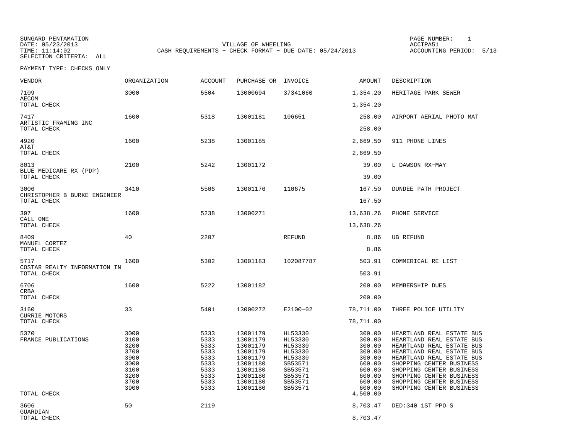SUNGARD PENTAMATION<br>DATE: 05/23/2013 SELECTION CRITERIA: ALL

TIME: 11:14:02 CASH REQUIREMENTS - CHECK FORMAT - DUE DATE: 05/24/2013

PAGE NUMBER: 1 VILLAGE OF WHEELING<br>
- CHECK FORMAT - DUE DATE: 05/24/2013 ACCOUNTING PERIOD: 5/13

| <b>VENDOR</b>                                       | ORGANIZATION                                                                 | <b>ACCOUNT</b>                                                               | PURCHASE OR                                                                                                          | INVOICE                                                                                                    | AMOUNT                                                                                                       | DESCRIPTION                                                                                                                                                                                                                                                                               |
|-----------------------------------------------------|------------------------------------------------------------------------------|------------------------------------------------------------------------------|----------------------------------------------------------------------------------------------------------------------|------------------------------------------------------------------------------------------------------------|--------------------------------------------------------------------------------------------------------------|-------------------------------------------------------------------------------------------------------------------------------------------------------------------------------------------------------------------------------------------------------------------------------------------|
| 7109<br><b>AECOM</b>                                | 3000                                                                         | 5504                                                                         | 13000694                                                                                                             | 37341060                                                                                                   | 1,354.20                                                                                                     | HERITAGE PARK SEWER                                                                                                                                                                                                                                                                       |
| TOTAL CHECK                                         |                                                                              |                                                                              |                                                                                                                      |                                                                                                            | 1,354.20                                                                                                     |                                                                                                                                                                                                                                                                                           |
| 7417<br>ARTISTIC FRAMING INC<br>TOTAL CHECK         | 1600                                                                         | 5318                                                                         | 13001181                                                                                                             | 106651                                                                                                     | 258.00<br>258.00                                                                                             | AIRPORT AERIAL PHOTO MAT                                                                                                                                                                                                                                                                  |
| 4920<br>AT&T                                        | 1600                                                                         | 5238                                                                         | 13001185                                                                                                             |                                                                                                            | 2,669.50                                                                                                     | 911 PHONE LINES                                                                                                                                                                                                                                                                           |
| TOTAL CHECK                                         |                                                                              |                                                                              |                                                                                                                      |                                                                                                            | 2,669.50                                                                                                     |                                                                                                                                                                                                                                                                                           |
| 8013<br>BLUE MEDICARE RX (PDP)<br>TOTAL CHECK       | 2100                                                                         | 5242                                                                         | 13001172                                                                                                             |                                                                                                            | 39.00<br>39.00                                                                                               | L DAWSON RX-MAY                                                                                                                                                                                                                                                                           |
|                                                     |                                                                              |                                                                              |                                                                                                                      |                                                                                                            |                                                                                                              |                                                                                                                                                                                                                                                                                           |
| 3006<br>CHRISTOPHER B BURKE ENGINEER                | 3410                                                                         | 5506                                                                         | 13001176                                                                                                             | 110675                                                                                                     | 167.50                                                                                                       | DUNDEE PATH PROJECT                                                                                                                                                                                                                                                                       |
| TOTAL CHECK                                         |                                                                              |                                                                              |                                                                                                                      |                                                                                                            | 167.50                                                                                                       |                                                                                                                                                                                                                                                                                           |
| 397                                                 | 1600                                                                         | 5238                                                                         | 13000271                                                                                                             |                                                                                                            | 13,638.26                                                                                                    | PHONE SERVICE                                                                                                                                                                                                                                                                             |
| CALL ONE<br>TOTAL CHECK                             |                                                                              |                                                                              |                                                                                                                      |                                                                                                            | 13,638.26                                                                                                    |                                                                                                                                                                                                                                                                                           |
| 8409<br>MANUEL CORTEZ<br>TOTAL CHECK                | 40                                                                           | 2207                                                                         |                                                                                                                      | REFUND                                                                                                     | 8.86<br>8.86                                                                                                 | <b>UB REFUND</b>                                                                                                                                                                                                                                                                          |
|                                                     | 1600                                                                         |                                                                              |                                                                                                                      |                                                                                                            |                                                                                                              |                                                                                                                                                                                                                                                                                           |
| 5717<br>COSTAR REALTY INFORMATION IN<br>TOTAL CHECK |                                                                              | 5302                                                                         | 13001183                                                                                                             | 102087787                                                                                                  | 503.91<br>503.91                                                                                             | COMMERICAL RE LIST                                                                                                                                                                                                                                                                        |
| 6706                                                | 1600                                                                         | 5222                                                                         | 13001182                                                                                                             |                                                                                                            | 200.00                                                                                                       | MEMBERSHIP DUES                                                                                                                                                                                                                                                                           |
| CRBA<br>TOTAL CHECK                                 |                                                                              |                                                                              |                                                                                                                      |                                                                                                            | 200.00                                                                                                       |                                                                                                                                                                                                                                                                                           |
| 3160                                                | 33                                                                           | 5401                                                                         | 13000272                                                                                                             | E2100-02                                                                                                   | 78,711.00                                                                                                    | THREE POLICE UTILITY                                                                                                                                                                                                                                                                      |
| <b>CURRIE MOTORS</b><br>TOTAL CHECK                 |                                                                              |                                                                              |                                                                                                                      |                                                                                                            | 78,711.00                                                                                                    |                                                                                                                                                                                                                                                                                           |
| 5370<br>FRANCE PUBLICATIONS<br>TOTAL CHECK          | 3000<br>3100<br>3200<br>3700<br>3900<br>3000<br>3100<br>3200<br>3700<br>3900 | 5333<br>5333<br>5333<br>5333<br>5333<br>5333<br>5333<br>5333<br>5333<br>5333 | 13001179<br>13001179<br>13001179<br>13001179<br>13001179<br>13001180<br>13001180<br>13001180<br>13001180<br>13001180 | HL53330<br>HL53330<br>HL53330<br>HL53330<br>HL53330<br>SB53571<br>SB53571<br>SB53571<br>SB53571<br>SB53571 | 300.00<br>300.00<br>300.00<br>300.00<br>300.00<br>600.00<br>600.00<br>600.00<br>600.00<br>600.00<br>4,500.00 | HEARTLAND REAL ESTATE BUS<br>HEARTLAND REAL ESTATE BUS<br>HEARTLAND REAL ESTATE BUS<br>HEARTLAND REAL ESTATE BUS<br>HEARTLAND REAL ESTATE BUS<br>SHOPPING CENTER BUSINESS<br>SHOPPING CENTER BUSINESS<br>SHOPPING CENTER BUSINESS<br>SHOPPING CENTER BUSINESS<br>SHOPPING CENTER BUSINESS |
| 3606                                                | 50                                                                           | 2119                                                                         |                                                                                                                      |                                                                                                            | 8,703.47                                                                                                     | DED:340 1ST PPO S                                                                                                                                                                                                                                                                         |
| GUARDIAN<br>TOTAL CHECK                             |                                                                              |                                                                              |                                                                                                                      |                                                                                                            | 8,703.47                                                                                                     |                                                                                                                                                                                                                                                                                           |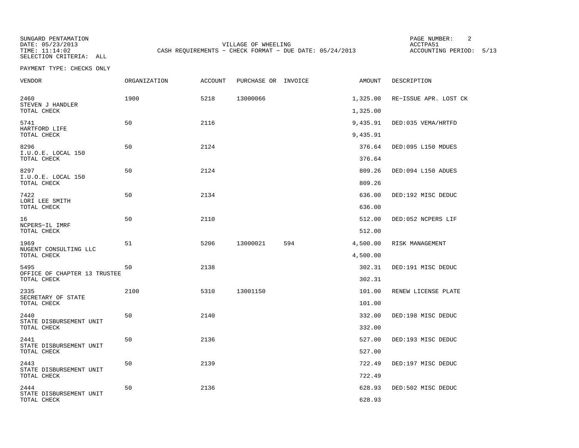SUNGARD PENTAMATION<br>DATE: 05/23/2013 SELECTION CRITERIA: ALL

VILLAGE OF WHEELING<br>
- CHECK FORMAT - DUE DATE: 05/24/2013 ACCOUNTING PERIOD: 5/13 TIME: 11:14:02 CASH REQUIREMENTS - CHECK FORMAT - DUE DATE: 05/24/2013

PAGE NUMBER: 2

| VENDOR                                      | <b>ORGANIZATION</b> | <b>ACCOUNT</b> | PURCHASE OR INVOICE |     | AMOUNT   | DESCRIPTION           |
|---------------------------------------------|---------------------|----------------|---------------------|-----|----------|-----------------------|
| 2460<br>STEVEN J HANDLER                    | 1900                | 5218           | 13000066            |     | 1,325.00 | RE-ISSUE APR. LOST CK |
| TOTAL CHECK                                 |                     |                |                     |     | 1,325.00 |                       |
| 5741<br>HARTFORD LIFE                       | 50                  | 2116           |                     |     | 9,435.91 | DED: 035 VEMA/HRTFD   |
| TOTAL CHECK                                 |                     |                |                     |     | 9,435.91 |                       |
| 8296<br>I.U.O.E. LOCAL 150                  | 50                  | 2124           |                     |     | 376.64   | DED:095 L150 MDUES    |
| TOTAL CHECK                                 |                     |                |                     |     | 376.64   |                       |
| 8297<br>I.U.O.E. LOCAL 150                  | 50                  | 2124           |                     |     | 809.26   | DED:094 L150 ADUES    |
| TOTAL CHECK                                 |                     |                |                     |     | 809.26   |                       |
| 7422<br>LORI LEE SMITH                      | 50                  | 2134           |                     |     | 636.00   | DED:192 MISC DEDUC    |
| TOTAL CHECK                                 |                     |                |                     |     | 636.00   |                       |
| 16<br>NCPERS-IL IMRF                        | 50                  | 2110           |                     |     | 512.00   | DED:052 NCPERS LIF    |
| TOTAL CHECK                                 |                     |                |                     |     | 512.00   |                       |
| 1969<br>NUGENT CONSULTING LLC               | 51                  | 5206           | 13000021            | 594 | 4,500.00 | RISK MANAGEMENT       |
| TOTAL CHECK                                 |                     |                |                     |     | 4,500.00 |                       |
| 5495                                        | 50                  | 2138           |                     |     | 302.31   | DED:191 MISC DEDUC    |
| OFFICE OF CHAPTER 13 TRUSTEE<br>TOTAL CHECK |                     |                |                     |     | 302.31   |                       |
| 2335                                        | 2100                | 5310           | 13001150            |     | 101.00   | RENEW LICENSE PLATE   |
| SECRETARY OF STATE<br>TOTAL CHECK           |                     |                |                     |     | 101.00   |                       |
| 2440                                        | 50                  | 2140           |                     |     | 332.00   | DED:198 MISC DEDUC    |
| STATE DISBURSEMENT UNIT<br>TOTAL CHECK      |                     |                |                     |     | 332.00   |                       |
| 2441                                        | 50                  | 2136           |                     |     | 527.00   | DED:193 MISC DEDUC    |
| STATE DISBURSEMENT UNIT<br>TOTAL CHECK      |                     |                |                     |     | 527.00   |                       |
| 2443                                        | 50                  | 2139           |                     |     | 722.49   | DED:197 MISC DEDUC    |
| STATE DISBURSEMENT UNIT<br>TOTAL CHECK      |                     |                |                     |     | 722.49   |                       |
| 2444                                        | 50                  | 2136           |                     |     | 628.93   | DED:502 MISC DEDUC    |
| STATE DISBURSEMENT UNIT<br>TOTAL CHECK      |                     |                |                     |     | 628.93   |                       |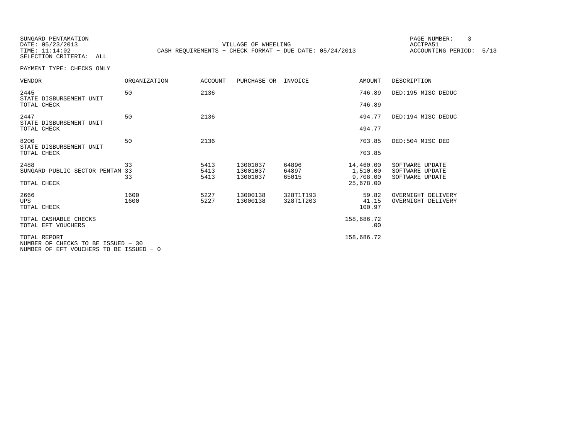SUNGARD PENTAMATION SELECTION CRITERIA: ALL

DATE: 05/23/2013 VILLAGE OF WHEELING ACCTPA51 TIME: 11:14:02 CASH REQUIREMENTS - CHECK FORMAT - DUE DATE: 05/24/2013 ACCOUNTING PERIOD: 5/13

PAGE NUMBER: 3

| <b>VENDOR</b>                                      | <b>ORGANIZATION</b> | <b>ACCOUNT</b> | PURCHASE OR          | INVOICE                | <b>AMOUNT</b>         | DESCRIPTION                              |
|----------------------------------------------------|---------------------|----------------|----------------------|------------------------|-----------------------|------------------------------------------|
| 2445<br>STATE DISBURSEMENT UNIT                    | 50                  | 2136           |                      |                        | 746.89                | DED:195 MISC DEDUC                       |
| TOTAL CHECK                                        |                     |                |                      |                        | 746.89                |                                          |
| 2447<br>STATE DISBURSEMENT UNIT                    | 50                  | 2136           |                      |                        | 494.77                | DED:194 MISC DEDUC                       |
| TOTAL CHECK                                        |                     |                |                      |                        | 494.77                |                                          |
| 8200<br>STATE DISBURSEMENT UNIT                    | 50                  | 2136           |                      |                        | 703.85                | DED:504 MISC DED                         |
| TOTAL CHECK                                        |                     |                |                      |                        | 703.85                |                                          |
| 2488<br>SUNGARD PUBLIC SECTOR PENTAM 33            | 33                  | 5413<br>5413   | 13001037<br>13001037 | 64896<br>64897         | 14,460.00<br>1,510.00 | SOFTWARE UPDATE<br>SOFTWARE UPDATE       |
|                                                    | 33                  | 5413           | 13001037             | 65015                  | 9,708.00              | SOFTWARE UPDATE                          |
| TOTAL CHECK                                        |                     |                |                      |                        | 25,678.00             |                                          |
| 2666<br><b>UPS</b>                                 | 1600<br>1600        | 5227<br>5227   | 13000138<br>13000138 | 328T1T193<br>328T1T203 | 59.82<br>41.15        | OVERNIGHT DELIVERY<br>OVERNIGHT DELIVERY |
| TOTAL CHECK                                        |                     |                |                      |                        | 100.97                |                                          |
| TOTAL CASHABLE CHECKS                              |                     |                |                      |                        | 158,686.72            |                                          |
| TOTAL EFT VOUCHERS                                 |                     |                |                      |                        | .00                   |                                          |
| TOTAL REPORT<br>NUMBER OF CHECKS TO BE ISSUED - 30 |                     |                |                      |                        | 158,686.72            |                                          |
| NUMBER OF EFT VOUCHERS TO BE ISSUED - 0            |                     |                |                      |                        |                       |                                          |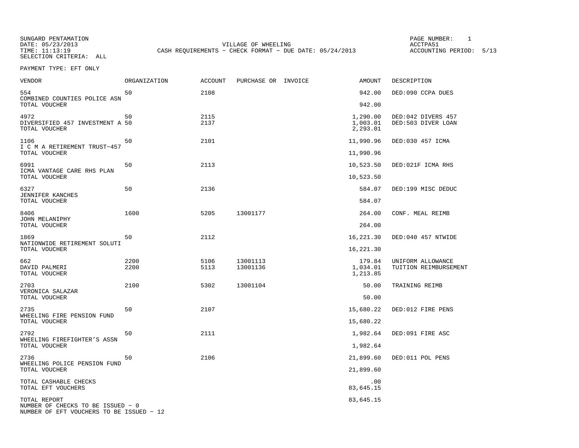SUNGARD PENTAMATION<br>DATE: 05/23/2013 SELECTION CRITERIA: ALL

VILLAGE OF WHEELING **ACCTPA51** TIME: 11:13:19 CASH REQUIREMENTS - CHECK FORMAT - DUE DATE: 05/24/2013 ACCOUNTING PERIOD: 5/13

PAGE NUMBER: 1

PAYMENT TYPE: EFT ONLY

| VENDOR                                                                                        | <b>ORGANIZATION</b> | <b>ACCOUNT</b> | PURCHASE OR INVOICE  | <b>AMOUNT</b>                    | DESCRIPTION                                |
|-----------------------------------------------------------------------------------------------|---------------------|----------------|----------------------|----------------------------------|--------------------------------------------|
| 554<br>COMBINED COUNTIES POLICE ASN                                                           | 50                  | 2108           |                      | 942.00                           | DED:090 CCPA DUES                          |
| TOTAL VOUCHER                                                                                 |                     |                |                      | 942.00                           |                                            |
| 4972<br>DIVERSIFIED 457 INVESTMENT A 50<br>TOTAL VOUCHER                                      | 50                  | 2115<br>2137   |                      | 1,290.00<br>1,003.01<br>2,293.01 | DED:042 DIVERS 457<br>DED:503 DIVER LOAN   |
| 1106<br>I C M A RETIREMENT TRUST-457<br>TOTAL VOUCHER                                         | 50                  | 2101           |                      | 11,990.96<br>11,990.96           | DED:030 457 ICMA                           |
|                                                                                               |                     |                |                      |                                  |                                            |
| 6991<br>ICMA VANTAGE CARE RHS PLAN<br>TOTAL VOUCHER                                           | 50                  | 2113           |                      | 10,523.50<br>10,523.50           | DED:021F ICMA RHS                          |
| 6327<br>JENNIFER KANCHES                                                                      | 50                  | 2136           |                      | 584.07                           | DED:199 MISC DEDUC                         |
| TOTAL VOUCHER                                                                                 |                     |                |                      | 584.07                           |                                            |
| 8406                                                                                          | 1600                | 5205           | 13001177             | 264.00                           | CONF. MEAL REIMB                           |
| JOHN MELANIPHY<br>TOTAL VOUCHER                                                               |                     |                |                      | 264.00                           |                                            |
| 1869                                                                                          | 50                  | 2112           |                      | 16,221.30                        | DED:040 457 NTWIDE                         |
| NATIONWIDE RETIREMENT SOLUTI<br>TOTAL VOUCHER                                                 |                     |                |                      | 16,221.30                        |                                            |
| 662<br>DAVID PALMERI<br>TOTAL VOUCHER                                                         | 2200<br>2200        | 5106<br>5113   | 13001113<br>13001136 | 179.84<br>1,034.01<br>1,213.85   | UNIFORM ALLOWANCE<br>TUITION REIMBURSEMENT |
| 2703                                                                                          | 2100                | 5302           | 13001104             | 50.00                            | TRAINING REIMB                             |
| VERONICA SALAZAR<br>TOTAL VOUCHER                                                             |                     |                |                      | 50.00                            |                                            |
| 2735                                                                                          | 50                  | 2107           |                      | 15,680.22                        | DED:012 FIRE PENS                          |
| WHEELING FIRE PENSION FUND<br>TOTAL VOUCHER                                                   |                     |                |                      | 15,680.22                        |                                            |
| 2792<br>WHEELING FIREFIGHTER'S ASSN                                                           | 50                  | 2111           |                      | 1,982.64                         | DED:091 FIRE ASC                           |
| TOTAL VOUCHER                                                                                 |                     |                |                      | 1,982.64                         |                                            |
| 2736                                                                                          | 50                  | 2106           |                      | 21,899.60                        | DED:011 POL PENS                           |
| WHEELING POLICE PENSION FUND<br>TOTAL VOUCHER                                                 |                     |                |                      | 21,899.60                        |                                            |
| TOTAL CASHABLE CHECKS<br>TOTAL EFT VOUCHERS                                                   |                     |                |                      | .00<br>83,645.15                 |                                            |
| TOTAL REPORT<br>NUMBER OF CHECKS TO BE ISSUED - 0<br>NUMBER OF EFT VOUCHERS TO BE ISSUED - 12 |                     |                |                      | 83,645.15                        |                                            |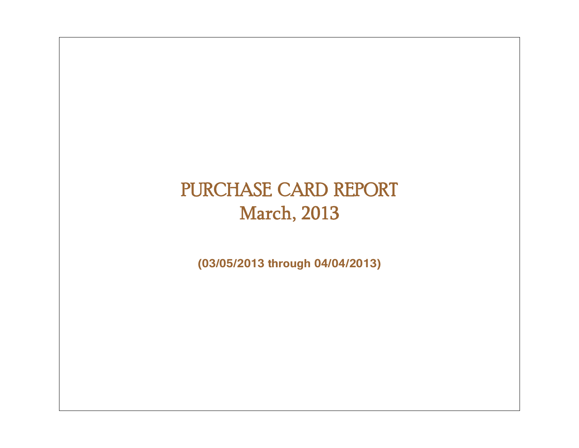# PURCHASE CARD REPORT March, 2013

**(03/05/2013 through 04/04/2013)**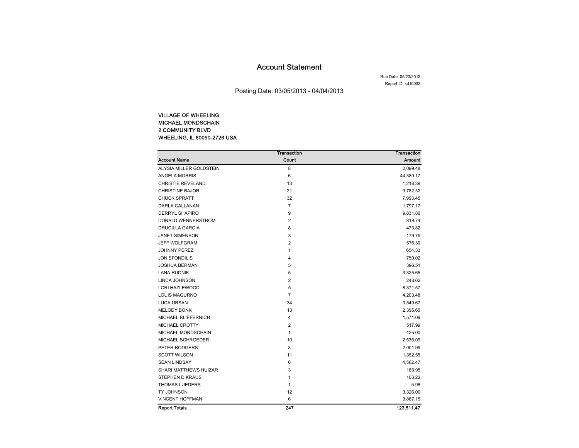### Account Statement

Run Date: 05/23/2013Report ID: sd10002

Posting Date: 03/05/2013 - 04/04/2013

### VILLAGE OF WHEELING MICHAEL MONDSCHAIN 2 COMMUNITY BLVD WHEELING, IL 60090-2726 USA

|                            | <b>Transaction</b> | <b>Transaction</b> |
|----------------------------|--------------------|--------------------|
| <b>Account Name</b>        | Count              | <b>Amount</b>      |
| ALYSIA MILLER GOLDSTEIN    | 8                  | 2,099.48           |
| ANGELA MORRIS              | 6                  | 44,389.17          |
| <b>CHRISTIE REVELAND</b>   | 13                 | 1,218.39           |
| <b>CHRISTINE BAJOR</b>     | 21                 | 9,782.32           |
| <b>CHUCK SPRATT</b>        | 32                 | 7,993.45           |
| DARLA CALLANAN             | 7                  | 1,797.17           |
| <b>DERRYL SHAPIRO</b>      | 9                  | 9,831.86           |
| DONALD WENNERSTROM         | 2                  | 819.74             |
| <b>DRUCILLA GARCIA</b>     | 8                  | 473.82             |
| <b>JANET SIMENSON</b>      | 3                  | 179.79             |
| <b>JEFF WOLFGRAM</b>       | $\overline{2}$     | 576.30             |
| <b>JOHNNY PEREZ</b>        | 1                  | 654.33             |
| <b>JON SFONDILIS</b>       | 4                  | 750.02             |
| JOSHUA BERMAN              | 5                  | 396.51             |
| <b>LANA RUDNIK</b>         | 5                  | 3,325.65           |
| LINDA JOHNSON              | 2                  | 248.62             |
| LORI HAZLEWOOD             | 5                  | 8,371.57           |
| <b>LOUIS MAGURNO</b>       | $\overline{7}$     | 4,203.48           |
| <b>LUCA URSAN</b>          | 34                 | 3,549.67           |
| <b>MELODY BONK</b>         | 13                 | 2,395.65           |
| <b>MICHAEL BLIEFERNICH</b> | 4                  | 1,571.09           |
| <b>MICHAEL CROTTY</b>      | 2                  | 517.99             |
| MICHAEL MONDSCHAIN         | 1                  | 425.00             |
| MICHAEL SCHROEDER          | 10                 | 2,535.09           |
| PETER RODGERS              | 3                  | 2,001.99           |
| <b>SCOTT WILSON</b>        | 11                 | 1,352.55           |
| <b>SEAN LINDSAY</b>        | 6                  | 4,562.47           |
| SHARI MATTHEWS HUIZAR      | 3                  | 185.95             |
| <b>STEPHEN D KRAUS</b>     | 1                  | 103.22             |
| <b>THOMAS LUEDERS</b>      | 1                  | 5.98               |
| TY JOHNSON                 | 12                 | 3,326.00           |
| <b>VINCENT HOFFMAN</b>     | 6                  | 3,867.15           |
| <b>Report Totals</b>       | 247                | 123,511.47         |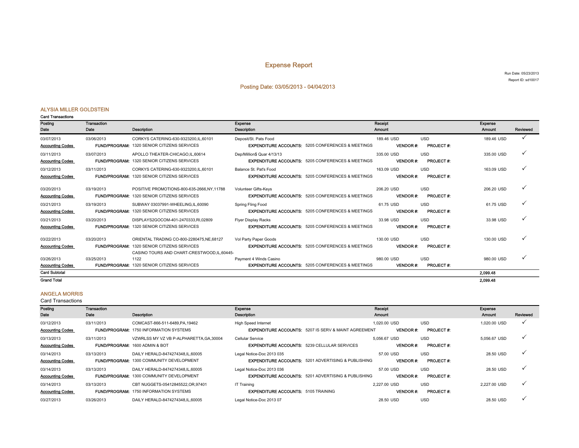### Expense Report

Run Date: 05/23/2013 Report ID: sd10017

### Posting Date: 03/05/2013 - 04/04/2013

#### ALYSIA MILLER GOLDSTEIN

|  |  | <b>Card Transactions</b> |
|--|--|--------------------------|
|--|--|--------------------------|

| Posting                 | Transaction |                                                    | Expense                                                      | Receipt         |                  | Exponso    |              |
|-------------------------|-------------|----------------------------------------------------|--------------------------------------------------------------|-----------------|------------------|------------|--------------|
| Date                    | Date        | <b>Description</b>                                 | <b>Description</b>                                           | Amount          |                  | Amount     | Reviewed     |
| 03/07/2013              | 03/06/2013  | CORKYS CATERING-630-9323200.IL.60101               | Deposit/St. Pats Food                                        | 189.46 USD      | <b>USD</b>       | 189.46 USD | $\checkmark$ |
| <b>Accounting Codes</b> |             | <b>FUND/PROGRAM: 1320 SENIOR CITIZENS SERVICES</b> | <b>EXPENDITURE ACCOUNTS: 5205 CONFERENCES &amp; MEETINGS</b> | <b>VENDOR#:</b> | <b>PROJECT#:</b> |            |              |
| 03/11/2013              | 03/07/2013  | APOLLO THEATER-CHICAGO,IL,60614                    | Dep/Million\$ Quar 4/13/13                                   | 335.00 USD      | <b>USD</b>       | 335.00 USD | $\checkmark$ |
| <b>Accounting Codes</b> |             | <b>FUND/PROGRAM: 1320 SENIOR CITIZENS SERVICES</b> | <b>EXPENDITURE ACCOUNTS: 5205 CONFERENCES &amp; MEETINGS</b> | <b>VENDOR#:</b> | <b>PROJECT#:</b> |            |              |
| 03/12/2013              | 03/11/2013  | CORKYS CATERING-630-9323200.IL.60101               | Balance St. Pat's Food                                       | 163.09 USD      | <b>USD</b>       | 163.09 USD | ✓            |
| <b>Accounting Codes</b> |             | <b>FUND/PROGRAM: 1320 SENIOR CITIZENS SERVICES</b> | <b>EXPENDITURE ACCOUNTS: 5205 CONFERENCES &amp; MEETINGS</b> | <b>VENDOR#:</b> | <b>PROJECT#:</b> |            |              |
| 03/20/2013              | 03/19/2013  | POSITIVE PROMOTIONS-800-635-2666.NY.11788          | Volunteer Gifts-Kevs                                         | 206.20 USD      | <b>USD</b>       | 206.20 USD | ✓            |
| <b>Accounting Codes</b> |             | <b>FUND/PROGRAM: 1320 SENIOR CITIZENS SERVICES</b> | <b>EXPENDITURE ACCOUNTS: 5205 CONFERENCES &amp; MEETINGS</b> | <b>VENDOR#:</b> | <b>PROJECT#:</b> |            |              |
| 03/21/2013              | 03/19/2013  | SUBWAY 03037991-WHEELING, IL, 60090                | Spring Fling Food                                            | 61.75 USD       | <b>USD</b>       | 61.75 USD  | ✓            |
| <b>Accounting Codes</b> |             | <b>FUND/PROGRAM: 1320 SENIOR CITIZENS SERVICES</b> | <b>EXPENDITURE ACCOUNTS: 5205 CONFERENCES &amp; MEETINGS</b> | <b>VENDOR#:</b> | <b>PROJECT#:</b> |            |              |
| 03/21/2013              | 03/20/2013  | DISPLAYS2GOCOM-401-2470333.RI.02809                | <b>Flyer Display Racks</b>                                   | 33.98 USD       | <b>USD</b>       | 33.98 USD  | $\checkmark$ |
| <b>Accounting Codes</b> |             | <b>FUND/PROGRAM: 1320 SENIOR CITIZENS SERVICES</b> | <b>EXPENDITURE ACCOUNTS: 5205 CONFERENCES &amp; MEETINGS</b> | <b>VENDOR#:</b> | <b>PROJECT#:</b> |            |              |
| 03/22/2013              | 03/20/2013  | ORIENTAL TRADING CO-800-2280475.NE.68127           | Vol Party Paper Goods                                        | 130.00 USD      | <b>USD</b>       | 130.00 USD | $\checkmark$ |
| <b>Accounting Codes</b> |             | <b>FUND/PROGRAM: 1320 SENIOR CITIZENS SERVICES</b> | <b>EXPENDITURE ACCOUNTS: 5205 CONFERENCES &amp; MEETINGS</b> | <b>VENDOR#:</b> | <b>PROJECT#:</b> |            |              |
|                         |             | CASINO TOURS AND CHART-CRESTWOOD.IL.60445-         |                                                              |                 |                  |            |              |
| 03/26/2013              | 03/25/2013  | 1122                                               | Payment 4 Winds Casino                                       | 980.00 USD      | <b>USD</b>       | 980.00 USD | $\checkmark$ |
| <b>Accounting Codes</b> |             | <b>FUND/PROGRAM: 1320 SENIOR CITIZENS SERVICES</b> | <b>EXPENDITURE ACCOUNTS: 5205 CONFERENCES &amp; MEETINGS</b> | <b>VENDOR#:</b> | <b>PROJECT#:</b> |            |              |
| <b>Card Subtotal</b>    |             |                                                    |                                                              |                 |                  | 2.099.48   |              |
| <b>Grand Total</b>      |             |                                                    |                                                              |                 |                  | 2.099.48   |              |

### ANGELA MORRIS

| Posting                 | <b>Transaction</b> |                                                 | Expense                                                         | Receipt          |                  | Expense       |              |
|-------------------------|--------------------|-------------------------------------------------|-----------------------------------------------------------------|------------------|------------------|---------------|--------------|
| Date                    | Date               | <b>Description</b>                              | Description                                                     | <b>Amount</b>    |                  | <b>Amount</b> | Reviewed     |
| 03/12/2013              | 03/11/2013         | COMCAST-866-511-6489, PA, 19462                 | <b>High Speed Internet</b>                                      | 1.020.00 USD     | <b>USD</b>       | 1.020.00 USD  |              |
| <b>Accounting Codes</b> |                    | <b>FUND/PROGRAM: 1750 INFORMATION SYSTEMS</b>   | <b>EXPENDITURE ACCOUNTS: 5207 IS SERV &amp; MAINT AGREEMENT</b> | <b>VENDOR#:</b>  | <b>PROJECT#:</b> |               |              |
| 03/13/2013              | 03/11/2013         | VZWRLSS MY VZ VB P-ALPHARETTA.GA.30004          | Cellular Service                                                | 5.056.67 USD     | <b>USD</b>       | 5.056.67 USD  |              |
| <b>Accounting Codes</b> |                    | FUND/PROGRAM: 1600 ADMIN & BOT                  | <b>EXPENDITURE ACCOUNTS: 5239 CELLULAR SERVICES</b>             | <b>VENDOR#:</b>  | <b>PROJECT#:</b> |               |              |
| 03/14/2013              | 03/13/2013         | DAILY HERALD-8474274348.IL.60005                | Legal Notice-Doc 2013 035                                       | 57.00 USD        | <b>USD</b>       | 28.50 USD     | $\mathbf v$  |
| <b>Accounting Codes</b> |                    | <b>FUND/PROGRAM: 1300 COMMUNITY DEVELOPMENT</b> | <b>EXPENDITURE ACCOUNTS: 5201 ADVERTISING &amp; PUBLISHING</b>  | <b>VENDOR #:</b> | <b>PROJECT#:</b> |               |              |
| 03/14/2013              | 03/13/2013         | DAILY HERALD-8474274348.IL.60005                | Legal Notice-Doc 2013 036                                       | 57.00 USD        | <b>USD</b>       | 28.50 USD     |              |
| <b>Accounting Codes</b> |                    | <b>FUND/PROGRAM: 1300 COMMUNITY DEVELOPMENT</b> | <b>EXPENDITURE ACCOUNTS: 5201 ADVERTISING &amp; PUBLISHING</b>  | <b>VENDOR#:</b>  | <b>PROJECT#:</b> |               |              |
| 03/14/2013              | 03/13/2013         | CBT NUGGETS-05412845522.OR.97401                | IT Training                                                     | 2,227.00 USD     | <b>USD</b>       | 2.227.00 USD  | $\checkmark$ |
| <b>Accounting Codes</b> |                    | <b>FUND/PROGRAM: 1750 INFORMATION SYSTEMS</b>   | <b>EXPENDITURE ACCOUNTS: 5105 TRAINING</b>                      | <b>VENDOR #:</b> | <b>PROJECT#:</b> |               |              |
| 03/27/2013              | 03/26/2013         | DAILY HERALD-8474274348.IL.60005                | Legal Notice-Doc 2013 07                                        | 28.50 USD        | <b>USD</b>       | 28.50 USD     |              |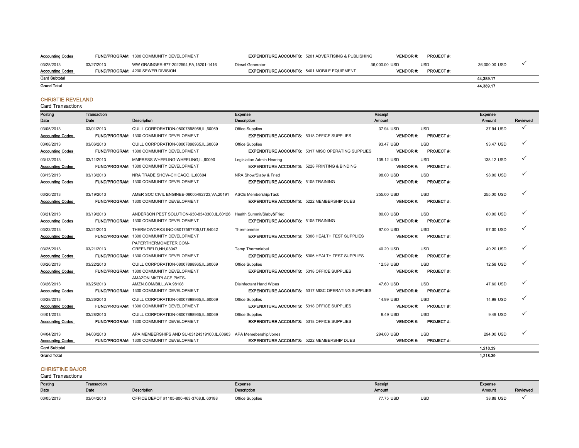Accounting Codes FUND/PROGRAM: 1300 COMMUNITY DEVELOPMENT EXPENDITURE ACCOUNTS: 5201 ADVERTISING & PUBLISHING VENDOR #: PROJECT #:

03/28/2013 03/27/2013 WW GRAINGER-877-2022594,PA,15201-1416 Diesel Generator 36,000.00 USD USD 36,000.00 USD 3 Accounting Codes FUND/PROGRAM: 4200 SEWER DIVISION **EXPENDITURE ACCOUNTS:** 5401 MOBILE EQUIPMENT **VENDOR #: PROJECT #:** Card Subtotal Grand Total 44,389.17 44,389.17

#### CHRISTIE REVELAND

Card Transactions

| Posting<br>Date                            | Transaction<br>Date | <b>Description</b>                                                                                                        | Expense<br>Description                                                                |                                                           | Receipt<br><b>Amount</b>      |                                | Expense<br>Amount | Reviewed     |
|--------------------------------------------|---------------------|---------------------------------------------------------------------------------------------------------------------------|---------------------------------------------------------------------------------------|-----------------------------------------------------------|-------------------------------|--------------------------------|-------------------|--------------|
| 03/05/2013<br><b>Accounting Codes</b>      | 03/01/2013          | QUILL CORPORATION-08007898965.IL.60069<br><b>FUND/PROGRAM: 1300 COMMUNITY DEVELOPMENT</b>                                 | Office Supplies<br><b>EXPENDITURE ACCOUNTS: 5318 OFFICE SUPPLIES</b>                  |                                                           | 37.94 USD<br><b>VENDOR#:</b>  | <b>USD</b><br><b>PROJECT#:</b> | 37.94 USD         | ✓            |
| 03/08/2013<br><b>Accounting Codes</b>      | 03/06/2013          | QUILL CORPORATION-08007898965.IL.60069<br>FUND/PROGRAM: 1300 COMMUNITY DEVELOPMENT                                        | Office Supplies                                                                       | <b>EXPENDITURE ACCOUNTS: 5317 MISC OPERATING SUPPLIES</b> | 93.47 USD<br><b>VENDOR#:</b>  | <b>USD</b><br><b>PROJECT#:</b> | 93.47 USD         | $\checkmark$ |
| 03/13/2013<br><b>Accounting Codes</b>      | 03/11/2013          | MMPRESS WHEELING-WHEELING.IL.60090<br><b>FUND/PROGRAM: 1300 COMMUNITY DEVELOPMENT</b>                                     | Legislation Admin Hearing<br><b>EXPENDITURE ACCOUNTS: 5228 PRINTING &amp; BINDING</b> |                                                           | 138.12 USD<br><b>VENDOR#:</b> | <b>USD</b><br><b>PROJECT#:</b> | 138.12 USD        | ✓            |
| 03/15/2013<br><b>Accounting Codes</b>      | 03/13/2013          | NRA TRADE SHOW-CHICAGO.IL.60604<br><b>FUND/PROGRAM: 1300 COMMUNITY DEVELOPMENT</b>                                        | NRA Show/Slaby & Fried<br><b>EXPENDITURE ACCOUNTS: 5105 TRAINING</b>                  |                                                           | 98.00 USD<br><b>VENDOR#:</b>  | <b>USD</b><br><b>PROJECT#:</b> | 98.00 USD         |              |
| 03/20/2013<br><b>Accounting Codes</b>      | 03/19/2013          | AMER SOC CIVIL ENGINEE-08005482723, VA, 20191<br><b>FUND/PROGRAM: 1300 COMMUNITY DEVELOPMENT</b>                          | <b>ASCE Membership/Tack</b><br><b>EXPENDITURE ACCOUNTS: 5222 MEMBERSHIP DUES</b>      |                                                           | 255.00 USD<br><b>VENDOR#:</b> | <b>USD</b><br><b>PROJECT#:</b> | 255.00 USD        |              |
| 03/21/2013<br>Accounting Codes             | 03/19/2013          | ANDERSON PEST SOLUTION-630-8343300,IL,60126 Health Summit/Slaby&Fried<br><b>FUND/PROGRAM: 1300 COMMUNITY DEVELOPMENT</b>  | <b>EXPENDITURE ACCOUNTS: 5105 TRAINING</b>                                            |                                                           | 80.00 USD<br><b>VENDOR#:</b>  | <b>USD</b><br>PROJECT#:        | 80.00 USD         |              |
| 03/22/2013<br>Accounting Codes             | 03/21/2013          | THERMOWORKS INC-08017567705,UT,84042<br><b>FUND/PROGRAM: 1300 COMMUNITY DEVELOPMENT</b><br>PAPERTHERMOMETER.COM-          | Thermometer                                                                           | <b>EXPENDITURE ACCOUNTS: 5306 HEALTH TEST SUPPLIES</b>    | 97.00 USD<br><b>VENDOR#:</b>  | <b>USD</b><br>PROJECT #:       | 97.00 USD         |              |
| 03/25/2013<br><b>Accounting Codes</b>      | 03/21/2013          | GREENFIELD, NH, 03047<br><b>FUND/PROGRAM: 1300 COMMUNITY DEVELOPMENT</b>                                                  | <b>Temp Thermolabel</b>                                                               | <b>EXPENDITURE ACCOUNTS: 5306 HEALTH TEST SUPPLIES</b>    | 40.20 USD<br><b>VENDOR#:</b>  | <b>USD</b><br><b>PROJECT#:</b> | 40.20 USD         | ✓            |
| 03/26/2013<br><b>Accounting Codes</b>      | 03/22/2013          | QUILL CORPORATION-08007898965,IL,60069<br><b>FUND/PROGRAM: 1300 COMMUNITY DEVELOPMENT</b><br><b>AMAZON MKTPLACE PMTS-</b> | Office Supplies<br><b>EXPENDITURE ACCOUNTS: 5318 OFFICE SUPPLIES</b>                  |                                                           | 12.58 USD<br><b>VENDOR#:</b>  | <b>USD</b><br><b>PROJECT#:</b> | 12.58 USD         |              |
| 03/26/2013<br>Accounting Codes             | 03/25/2013          | AMZN.COM/BILL, WA, 98108<br><b>FUND/PROGRAM: 1300 COMMUNITY DEVELOPMENT</b>                                               | <b>Disinfectant Hand Wipes</b>                                                        | <b>EXPENDITURE ACCOUNTS: 5317 MISC OPERATING SUPPLIES</b> | 47.60 USD<br><b>VENDOR #:</b> | <b>USD</b><br><b>PROJECT#:</b> | 47.60 USD         | ✓            |
| 03/28/2013<br><b>Accounting Codes</b>      | 03/26/2013          | QUILL CORPORATION-08007898965.IL.60069<br><b>FUND/PROGRAM: 1300 COMMUNITY DEVELOPMENT</b>                                 | <b>Office Supplies</b><br><b>EXPENDITURE ACCOUNTS: 5318 OFFICE SUPPLIES</b>           |                                                           | 14.99 USD<br><b>VENDOR#:</b>  | <b>USD</b><br>PROJECT #:       | 14.99 USD         |              |
| 04/01/2013<br>Accounting Codes             | 03/28/2013          | QUILL CORPORATION-08007898965, IL, 60069<br>FUND/PROGRAM: 1300 COMMUNITY DEVELOPMENT                                      | <b>Office Supplies</b><br><b>EXPENDITURE ACCOUNTS: 5318 OFFICE SUPPLIES</b>           |                                                           | 9.49 USD<br><b>VENDOR#:</b>   | <b>USD</b><br><b>PROJECT#:</b> | 9.49 USD          |              |
| 04/04/2013<br><b>Accounting Codes</b>      | 04/03/2013          | APA MEMBERSHIPS AND SU-03124319100,IL,60603 APA Memebership/Jones<br>FUND/PROGRAM: 1300 COMMUNITY DEVELOPMENT             | <b>EXPENDITURE ACCOUNTS: 5222 MEMBERSHIP DUES</b>                                     |                                                           | 294.00 USD<br><b>VENDOR#:</b> | <b>USD</b><br><b>PROJECT#:</b> | 294.00 USD        | ✓            |
| <b>Card Subtotal</b><br><b>Grand Total</b> |                     |                                                                                                                           |                                                                                       |                                                           |                               |                                | 1.218.39          |              |
|                                            |                     |                                                                                                                           |                                                                                       |                                                           |                               |                                | 1.218.39          |              |

### CHRISTINE BAJOR

| Posting<br><b>Transaction</b><br>. . <b>. . .</b> |            |                                          | Expense                | Receip        |            | Expense   |          |
|---------------------------------------------------|------------|------------------------------------------|------------------------|---------------|------------|-----------|----------|
| Date                                              | Date       | <b>Description</b>                       | <b>Description</b>     | <b>Amount</b> |            | Amount    | Reviewed |
| 03/05/2013                                        | 03/04/2013 | OFFICE DEPOT #1105-800-463-3768,IL,60188 | <b>Office Supplies</b> | 77.75 USD     | <b>USD</b> | 38.88 USD |          |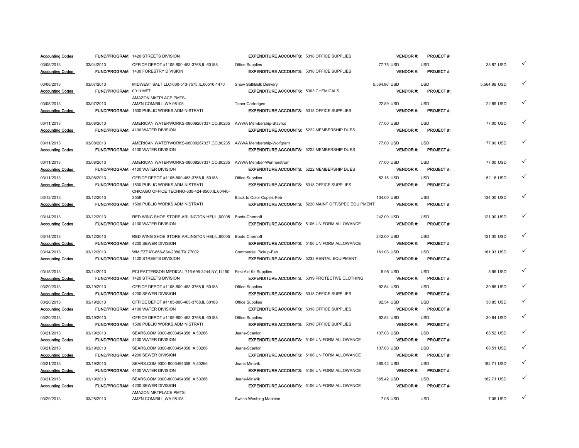| <b>Accounting Codes</b> |                        | <b>FUND/PROGRAM: 1420 STREETS DIVISION</b>                        | <b>EXPENDITURE ACCOUNTS: 5318 OFFICE SUPPLIES</b>  |                                                            | <b>VENDOR#:</b> | <b>PROJECT#:</b> |              |   |
|-------------------------|------------------------|-------------------------------------------------------------------|----------------------------------------------------|------------------------------------------------------------|-----------------|------------------|--------------|---|
| 03/05/2013              | 03/04/2013             | OFFICE DEPOT #1105-800-463-3768.IL.60188                          | Office Supplies                                    |                                                            | 77.75 USD       | <b>USD</b>       | 38.87 USD    | ✓ |
| <b>Accounting Codes</b> |                        | FUND/PROGRAM: 1430 FORESTRY DIVISION                              | <b>EXPENDITURE ACCOUNTS: 5318 OFFICE SUPPLIES</b>  |                                                            | <b>VENDOR#:</b> | PROJECT#:        |              |   |
| 03/08/2013              | 03/07/2013             | MIDWEST SALT LLC-630-513-7575.IL.60510-1470                       | Snow Salt/Bulk Delivery                            |                                                            | 5.564.86 USD    | <b>USD</b>       | 5.564.86 USD | ✓ |
| <b>Accounting Codes</b> | FUND/PROGRAM: 0011 MFT |                                                                   | <b>EXPENDITURE ACCOUNTS: 5303 CHEMICALS</b>        |                                                            | <b>VENDOR#:</b> | <b>PROJECT#:</b> |              |   |
|                         |                        | AMAZON MKTPLACE PMTS-                                             |                                                    |                                                            |                 |                  |              |   |
| 03/08/2013              | 03/07/2013             | AMZN.COM/BILL, WA, 98108                                          | <b>Toner Cartridges</b>                            |                                                            | 22.89 USD       | <b>USD</b>       | 22.89 USD    | ✓ |
| <b>Accounting Codes</b> |                        | FUND/PROGRAM: 1500 PUBLIC WORKS ADMINISTRATI                      | <b>EXPENDITURE ACCOUNTS: 5318 OFFICE SUPPLIES</b>  |                                                            | VENDOR#:        | PROJECT #:       |              |   |
| 03/11/2013              | 03/08/2013             | AMERICAN WATERWORKS-08009267337,CO,80235 AWWA Membership-Stavros  |                                                    |                                                            | 77.00 USD       | <b>USD</b>       | 77.00 USD    | ✓ |
| <b>Accounting Codes</b> |                        | FUND/PROGRAM: 4100 WATER DIVISION                                 | <b>EXPENDITURE ACCOUNTS: 5222 MEMBERSHIP DUES</b>  |                                                            | <b>VENDOR#:</b> | <b>PROJECT#:</b> |              |   |
| 03/11/2013              | 03/08/2013             | AMERICAN WATERWORKS-08009267337,CO,80235 AWWA Membership-Wolfgram |                                                    |                                                            | 77.00 USD       | <b>USD</b>       | 77.00 USD    | ✓ |
| <b>Accounting Codes</b> |                        | FUND/PROGRAM: 4100 WATER DIVISION                                 | <b>EXPENDITURE ACCOUNTS: 5222 MEMBERSHIP DUES</b>  |                                                            | <b>VENDOR#:</b> | <b>PROJECT#:</b> |              |   |
| 03/11/2013              | 03/08/2013             | AMERICAN WATERWORKS-08009267337,CO,80235 AWWA Member-Wennerstrom  |                                                    |                                                            | 77.00 USD       | <b>USD</b>       | 77.00 USD    | ✓ |
| <b>Accounting Codes</b> |                        | <b>FUND/PROGRAM: 4100 WATER DIVISION</b>                          | <b>EXPENDITURE ACCOUNTS: 5222 MEMBERSHIP DUES</b>  |                                                            | <b>VENDOR#:</b> | <b>PROJECT#:</b> |              |   |
| 03/11/2013              | 03/08/2013             | OFFICE DEPOT #1105-800-463-3768,IL,60188                          | Office Supplies                                    |                                                            | 52.16 USD       | <b>USD</b>       | 52.16 USD    | ✓ |
| <b>Accounting Codes</b> |                        | <b>FUND/PROGRAM: 1500 PUBLIC WORKS ADMINISTRATI</b>               | <b>EXPENDITURE ACCOUNTS: 5318 OFFICE SUPPLIES</b>  |                                                            | <b>VENDOR#:</b> | PROJECT #:       |              |   |
|                         |                        | CHICAGO OFFICE TECHNO-630-424-8500, IL, 60440-                    |                                                    |                                                            |                 |                  |              |   |
| 03/13/2013              | 03/12/2013             | 3558                                                              | Black to Color Copies-Feb                          |                                                            | 134.00 USD      | <b>USD</b>       | 134.00 USD   | ✓ |
| <b>Accounting Codes</b> |                        | <b>FUND/PROGRAM: 1500 PUBLIC WORKS ADMINISTRATI</b>               |                                                    | <b>EXPENDITURE ACCOUNTS: 5220 MAINT OFF/SPEC EQUIPMENT</b> | <b>VENDOR#:</b> | <b>PROJECT#:</b> |              |   |
| 03/14/2013              | 03/12/2013             | RED WING SHOE STORE-ARLINGTON HEI.IL.60005                        | Boots-Chernoff                                     |                                                            | 242.00 USD      | <b>USD</b>       | 121.00 USD   | ✓ |
| <b>Accounting Codes</b> |                        | FUND/PROGRAM: 4100 WATER DIVISION                                 |                                                    | <b>EXPENDITURE ACCOUNTS: 5106 UNIFORM ALLOWANCE</b>        | <b>VENDOR#:</b> | PROJECT #:       |              |   |
| 03/14/2013              | 03/12/2013             | RED WING SHOE STORE-ARLINGTON HEI, IL, 60005                      | Boots-Chernoff                                     |                                                            | 242.00 USD      | <b>USD</b>       | 121.00 USD   | ✓ |
| <b>Accounting Codes</b> |                        | FUND/PROGRAM: 4200 SEWER DIVISION                                 |                                                    | <b>EXPENDITURE ACCOUNTS: 5106 UNIFORM ALLOWANCE</b>        | VENDOR#:        | PROJECT #:       |              |   |
| 03/14/2013              | 03/12/2013             | WM EZPAY-866-834-2080.TX.77002                                    | Commercial Pickup-Feb                              |                                                            | 161.03 USD      | <b>USD</b>       | 161.03 USD   | ✓ |
| <b>Accounting Codes</b> |                        | FUND/PROGRAM: 1420 STREETS DIVISION                               | <b>EXPENDITURE ACCOUNTS: 5233 RENTAL EQUIPMENT</b> |                                                            | <b>VENDOR#:</b> | PROJECT #:       |              |   |
| 03/15/2013              | 03/14/2013             | PCI PATTERSON MEDICAL-716-695-3244,NY,14150                       | First Aid Kit Supplies                             |                                                            | 5.95 USD        | <b>USD</b>       | 5.95 USD     | ✓ |
| <b>Accounting Codes</b> |                        | FUND/PROGRAM: 1420 STREETS DIVISION                               |                                                    | <b>EXPENDITURE ACCOUNTS: 5319 PROTECTIVE CLOTHING</b>      | <b>VENDOR#:</b> | PROJECT#:        |              |   |
| 03/20/2013              | 03/19/2013             | OFFICE DEPOT #1105-800-463-3768,IL,60188                          | Office Supplies                                    |                                                            | 92.54 USD       | <b>USD</b>       | 30.85 USD    | ✓ |
| <b>Accounting Codes</b> |                        | FUND/PROGRAM: 4200 SEWER DIVISION                                 | <b>EXPENDITURE ACCOUNTS: 5318 OFFICE SUPPLIES</b>  |                                                            | <b>VENDOR#:</b> | <b>PROJECT#:</b> |              |   |
| 03/20/2013              | 03/19/2013             | OFFICE DEPOT #1105-800-463-3768.IL.60188                          | Office Supplies                                    |                                                            | 92.54 USD       | <b>USD</b>       | 30.85 USD    | ✓ |
| <b>Accounting Codes</b> |                        | <b>FUND/PROGRAM: 4100 WATER DIVISION</b>                          | <b>EXPENDITURE ACCOUNTS: 5318 OFFICE SUPPLIES</b>  |                                                            | <b>VENDOR#:</b> | <b>PROJECT#:</b> |              |   |
| 03/20/2013              | 03/19/2013             | OFFICE DEPOT #1105-800-463-3768,IL,60188                          | <b>Office Supplies</b>                             |                                                            | 92.54 USD       | <b>USD</b>       | 30.84 USD    | ✓ |
| <b>Accounting Codes</b> |                        | FUND/PROGRAM: 1500 PUBLIC WORKS ADMINISTRATI                      | <b>EXPENDITURE ACCOUNTS: 5318 OFFICE SUPPLIES</b>  |                                                            | <b>VENDOR#:</b> | <b>PROJECT#:</b> |              |   |
| 03/21/2013              | 03/19/2013             | SEARS.COM 9300-8003494358.IA.50266                                | Jeans-Scanlon                                      |                                                            | 137.03 USD      | <b>USD</b>       | 68.52 USD    | ✓ |
| <b>Accounting Codes</b> |                        | FUND/PROGRAM: 4100 WATER DIVISION                                 |                                                    | <b>EXPENDITURE ACCOUNTS: 5106 UNIFORM ALLOWANCE</b>        | <b>VENDOR#:</b> | <b>PROJECT#:</b> |              |   |
| 03/21/2013              | 03/19/2013             | SEARS.COM 9300-8003494358,IA,50266                                | Jeans-Scanlon                                      |                                                            | 137.03 USD      | <b>USD</b>       | 68.51 USD    | ✓ |
| <b>Accounting Codes</b> |                        | FUND/PROGRAM: 4200 SEWER DIVISION                                 |                                                    | <b>EXPENDITURE ACCOUNTS: 5106 UNIFORM ALLOWANCE</b>        | <b>VENDOR#:</b> | PROJECT#:        |              |   |
| 03/21/2013              | 03/19/2013             | SEARS.COM 9300-8003494358.IA.50266                                | Jeans-Minarik                                      |                                                            | 365.42 USD      | <b>USD</b>       | 182.71 USD   | ✓ |
| <b>Accounting Codes</b> |                        | FUND/PROGRAM: 4100 WATER DIVISION                                 |                                                    | <b>EXPENDITURE ACCOUNTS: 5106 UNIFORM ALLOWANCE</b>        | <b>VENDOR#:</b> | <b>PROJECT#:</b> |              |   |
| 03/21/2013              | 03/19/2013             | SEARS.COM 9300-8003494358,IA,50266                                | Jeans-Minarik                                      |                                                            | 365.42 USD      | <b>USD</b>       | 182.71 USD   | ✓ |
| <b>Accounting Codes</b> |                        | FUND/PROGRAM: 4200 SEWER DIVISION                                 |                                                    | <b>EXPENDITURE ACCOUNTS: 5106 UNIFORM ALLOWANCE</b>        | <b>VENDOR#:</b> | <b>PROJECT#:</b> |              |   |
| 03/29/2013              | 03/28/2013             | AMAZON MKTPLACE PMTS-<br>AMZN.COM/BILL, WA, 98108                 | Switch-Washing Machine                             |                                                            | 7.06 USD        | <b>USD</b>       | 7.06 USD     |   |
|                         |                        |                                                                   |                                                    |                                                            |                 |                  |              |   |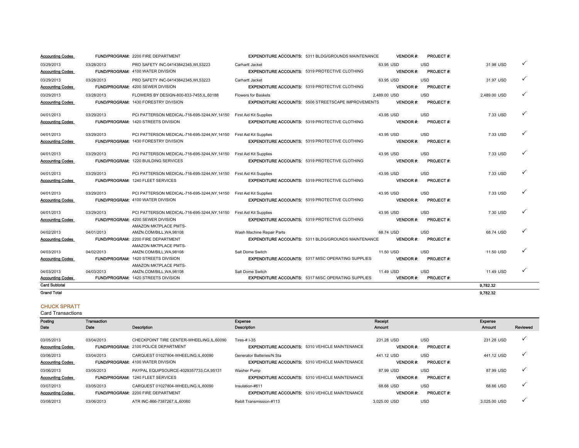| <b>Accounting Codes</b> |            | <b>FUND/PROGRAM: 2200 FIRE DEPARTMENT</b>                            |                               | <b>EXPENDITURE ACCOUNTS: 5311 BLDG/GROUNDS MAINTENANCE</b> |              | <b>VENDOR#:</b> | PROJECT #:       |              |   |
|-------------------------|------------|----------------------------------------------------------------------|-------------------------------|------------------------------------------------------------|--------------|-----------------|------------------|--------------|---|
| 03/29/2013              | 03/28/2013 | PRO SAFETY INC-04143842345.WI.53223                                  | Carhartt Jacket               |                                                            | 63.95 USD    |                 | <b>USD</b>       | 31.98 USD    | ✓ |
| <b>Accounting Codes</b> |            | FUND/PROGRAM: 4100 WATER DIVISION                                    |                               | <b>EXPENDITURE ACCOUNTS: 5319 PROTECTIVE CLOTHING</b>      |              | <b>VENDOR#:</b> | PROJECT#:        |              |   |
| 03/29/2013              | 03/28/2013 | PRO SAFETY INC-04143842345.WI.53223                                  | Carhartt Jacket               |                                                            | 63.95 USD    |                 | <b>USD</b>       | 31.97 USD    | ✓ |
| <b>Accounting Codes</b> |            | <b>FUND/PROGRAM: 4200 SEWER DIVISION</b>                             |                               | <b>EXPENDITURE ACCOUNTS: 5319 PROTECTIVE CLOTHING</b>      |              | <b>VENDOR#:</b> | <b>PROJECT#:</b> |              |   |
| 03/29/2013              | 03/28/2013 | FLOWERS BY DESIGN-800-833-7455,IL,60188                              | <b>Flowers for Baskets</b>    |                                                            | 2,489.00 USD |                 | <b>USD</b>       | 2,489.00 USD | ✓ |
| <b>Accounting Codes</b> |            | FUND/PROGRAM: 1430 FORESTRY DIVISION                                 |                               | <b>EXPENDITURE ACCOUNTS: 5506 STREETSCAPE IMPROVEMENTS</b> |              | <b>VENDOR#:</b> | <b>PROJECT#:</b> |              |   |
|                         |            |                                                                      |                               |                                                            |              |                 |                  |              |   |
| 04/01/2013              | 03/29/2013 | PCI PATTERSON MEDICAL-716-695-3244,NY,14150                          | <b>First Aid Kit Supplies</b> |                                                            | 43.95 USD    |                 | <b>USD</b>       | 7.33 USD     | ✓ |
| <b>Accounting Codes</b> |            | <b>FUND/PROGRAM: 1420 STREETS DIVISION</b>                           |                               | <b>EXPENDITURE ACCOUNTS: 5319 PROTECTIVE CLOTHING</b>      |              | <b>VENDOR#:</b> | <b>PROJECT#:</b> |              |   |
| 04/01/2013              | 03/29/2013 | PCI PATTERSON MEDICAL-716-695-3244,NY,14150                          | First Aid Kit Supplies        |                                                            | 43.95 USD    |                 | <b>USD</b>       | 7.33 USD     | ✓ |
| <b>Accounting Codes</b> |            | <b>FUND/PROGRAM: 1430 FORESTRY DIVISION</b>                          |                               | <b>EXPENDITURE ACCOUNTS: 5319 PROTECTIVE CLOTHING</b>      |              | <b>VENDOR#:</b> | <b>PROJECT#:</b> |              |   |
|                         |            |                                                                      |                               |                                                            |              |                 |                  |              |   |
| 04/01/2013              | 03/29/2013 | PCI PATTERSON MEDICAL-716-695-3244,NY,14150                          | First Aid Kit Supplies        |                                                            | 43.95 USD    |                 | <b>USD</b>       | 7.33 USD     | ✓ |
| <b>Accounting Codes</b> |            | <b>FUND/PROGRAM: 1220 BUILDING SERVICES</b>                          |                               | <b>EXPENDITURE ACCOUNTS: 5319 PROTECTIVE CLOTHING</b>      |              | <b>VENDOR#:</b> | <b>PROJECT#:</b> |              |   |
| 04/01/2013              | 03/29/2013 | PCI PATTERSON MEDICAL-716-695-3244, NY, 14150 First Aid Kit Supplies |                               |                                                            | 43.95 USD    |                 | <b>USD</b>       | 7.33 USD     | ✓ |
| <b>Accounting Codes</b> |            | <b>FUND/PROGRAM: 1240 FLEET SERVICES</b>                             |                               | <b>EXPENDITURE ACCOUNTS: 5319 PROTECTIVE CLOTHING</b>      |              | <b>VENDOR#:</b> | <b>PROJECT#:</b> |              |   |
|                         |            |                                                                      |                               |                                                            |              |                 |                  |              |   |
| 04/01/2013              | 03/29/2013 | PCI PATTERSON MEDICAL-716-695-3244,NY,14150                          | First Aid Kit Supplies        |                                                            | 43.95 USD    |                 | <b>USD</b>       | 7.33 USD     | ✓ |
| <b>Accounting Codes</b> |            | <b>FUND/PROGRAM: 4100 WATER DIVISION</b>                             |                               | <b>EXPENDITURE ACCOUNTS: 5319 PROTECTIVE CLOTHING</b>      |              | <b>VENDOR#:</b> | <b>PROJECT#:</b> |              |   |
| 04/01/2013              | 03/29/2013 | PCI PATTERSON MEDICAL-716-695-3244,NY,14150                          | First Aid Kit Supplies        |                                                            | 43.95 USD    |                 | <b>USD</b>       | 7.30 USD     | ✓ |
| <b>Accounting Codes</b> |            | FUND/PROGRAM: 4200 SEWER DIVISION                                    |                               | <b>EXPENDITURE ACCOUNTS: 5319 PROTECTIVE CLOTHING</b>      |              | <b>VENDOR#:</b> | <b>PROJECT#:</b> |              |   |
|                         |            | AMAZON MKTPLACE PMTS-                                                |                               |                                                            |              |                 |                  |              |   |
| 04/02/2013              | 04/01/2013 | AMZN.COM/BILL, WA, 98108                                             | Wash Machine Repair Parts     |                                                            | 68.74 USD    |                 | <b>USD</b>       | 68.74 USD    | ✓ |
| <b>Accounting Codes</b> |            | FUND/PROGRAM: 2200 FIRE DEPARTMENT                                   |                               | <b>EXPENDITURE ACCOUNTS: 5311 BLDG/GROUNDS MAINTENANCE</b> |              | <b>VENDOR#:</b> | <b>PROJECT#:</b> |              |   |
|                         |            | AMAZON MKTPLACE PMTS-                                                |                               |                                                            |              |                 |                  |              | ✓ |
| 04/03/2013              | 04/02/2013 | AMZN.COM/BILL, WA, 98108                                             | Salt Dome Switch              |                                                            | 11.50 USD    |                 | <b>USD</b>       | 11.50 USD    |   |
| <b>Accounting Codes</b> |            | <b>FUND/PROGRAM: 1420 STREETS DIVISION</b><br>AMAZON MKTPLACE PMTS-  |                               | <b>EXPENDITURE ACCOUNTS: 5317 MISC OPERATING SUPPLIES</b>  |              | <b>VENDOR#:</b> | <b>PROJECT#:</b> |              |   |
| 04/03/2013              | 04/03/2013 | AMZN.COM/BILL, WA, 98108                                             | Salt Dome Switch              |                                                            | 11.49 USD    |                 | <b>USD</b>       | 11.49 USD    | ✓ |
| <b>Accounting Codes</b> |            | <b>FUND/PROGRAM: 1420 STREETS DIVISION</b>                           |                               | <b>EXPENDITURE ACCOUNTS: 5317 MISC OPERATING SUPPLIES</b>  |              | <b>VENDOR#:</b> | <b>PROJECT#:</b> |              |   |
| <b>Card Subtotal</b>    |            |                                                                      |                               |                                                            |              |                 |                  | 9.782.32     |   |
| <b>Grand Total</b>      |            |                                                                      |                               |                                                            |              |                 |                  | 9,782.32     |   |

#### CHUCK SPRATT

| Posting<br>Date                       | <b>Transaction</b><br>Date | Description                                                                             | Expense<br>Description                                                             | Receipt<br><b>Amount</b>      |                                 | <b>Expense</b><br>Amount | Reviewed |
|---------------------------------------|----------------------------|-----------------------------------------------------------------------------------------|------------------------------------------------------------------------------------|-------------------------------|---------------------------------|--------------------------|----------|
| 03/05/2013<br><b>Accounting Codes</b> | 03/04/2013                 | CHECKPOINT TIRE CENTER-WHEELING.IL.60090<br><b>FUND/PROGRAM: 2100 POLICE DEPARTMENT</b> | Tires-# I-35<br><b>EXPENDITURE ACCOUNTS: 5310 VEHICLE MAINTENANCE</b>              | 231.28 USD<br><b>VENDOR#:</b> | <b>USD</b><br><b>PROJECT #:</b> | 231.28 USD               |          |
| 03/06/2013<br><b>Accounting Codes</b> | 03/04/2013                 | CARQUEST 01027804-WHEELING.IL.60090<br><b>FUND/PROGRAM: 4100 WATER DIVISION</b>         | Generator Batteries/N Sta<br><b>EXPENDITURE ACCOUNTS: 5310 VEHICLE MAINTENANCE</b> | 441.12 USD<br><b>VENDOR#:</b> | <b>USD</b><br><b>PROJECT#:</b>  | 441.12 USD               |          |
| 03/06/2013<br><b>Accounting Codes</b> | 03/05/2013                 | PAYPAL EQUIPSOURCE-4029357733.CA.95131<br><b>FUND/PROGRAM: 1240 FLEET SERVICES</b>      | Washer Pump<br><b>EXPENDITURE ACCOUNTS: 5310 VEHICLE MAINTENANCE</b>               | 87.99 USD<br><b>VENDOR#:</b>  | <b>USD</b><br><b>PROJECT#:</b>  | 87.99 USD                |          |
| 03/07/2013<br><b>Accounting Codes</b> | 03/05/2013                 | CARQUEST 01027804-WHEELING.IL.60090<br><b>FUND/PROGRAM: 2200 FIRE DEPARTMENT</b>        | Insulation-#611<br><b>EXPENDITURE ACCOUNTS: 5310 VEHICLE MAINTENANCE</b>           | 68.66 USD<br><b>VENDOR#:</b>  | <b>USD</b><br><b>PROJECT#:</b>  | 68.66 USD                |          |
| 03/08/2013                            | 03/06/2013                 | ATR INC-866-7387267.IL.60060                                                            | Reblt Transmission-#113                                                            | 3.025.00 USD                  | <b>USD</b>                      | 3.025.00 USD             |          |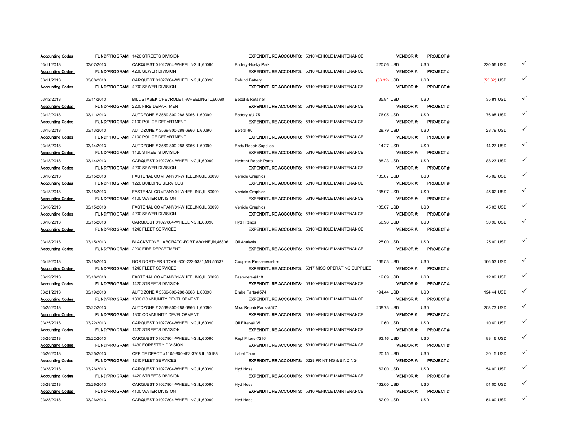|                         |            | <b>FUND/PROGRAM: 1420 STREETS DIVISION</b>  |                                                          | <b>EXPENDITURE ACCOUNTS: 5310 VEHICLE MAINTENANCE</b>     | <b>VENDOR</b> #: | <b>PROJECT#:</b> |               |   |
|-------------------------|------------|---------------------------------------------|----------------------------------------------------------|-----------------------------------------------------------|------------------|------------------|---------------|---|
| 03/11/2013              | 03/07/2013 | CARQUEST 01027804-WHEELING,IL,60090         | Battery-Husky Park                                       |                                                           | 220.56 USD       | <b>USD</b>       | 220.56 USD    | ✓ |
| <b>Accounting Codes</b> |            | <b>FUND/PROGRAM: 4200 SEWER DIVISION</b>    |                                                          | <b>EXPENDITURE ACCOUNTS: 5310 VEHICLE MAINTENANCE</b>     | <b>VENDOR#:</b>  | <b>PROJECT#:</b> |               |   |
| 03/11/2013              | 03/08/2013 | CARQUEST 01027804-WHEELING.IL.60090         | Refund Battery                                           |                                                           | $(53.32)$ USD    | <b>USD</b>       | $(53.32)$ USD | ✓ |
| <b>Accounting Codes</b> |            | <b>FUND/PROGRAM: 4200 SEWER DIVISION</b>    |                                                          | <b>EXPENDITURE ACCOUNTS: 5310 VEHICLE MAINTENANCE</b>     | <b>VENDOR#:</b>  | <b>PROJECT#:</b> |               |   |
|                         |            |                                             |                                                          |                                                           |                  |                  |               |   |
| 03/12/2013              | 03/11/2013 | BILL STASEK CHEVROLET,-WHEELING,IL,60090    | Bezel & Retainer                                         |                                                           | 35.81 USD        | <b>USD</b>       | 35.81 USD     | ✓ |
| <b>Accounting Codes</b> |            | <b>FUND/PROGRAM: 2200 FIRE DEPARTMENT</b>   |                                                          | <b>EXPENDITURE ACCOUNTS: 5310 VEHICLE MAINTENANCE</b>     | <b>VENDOR#:</b>  | <b>PROJECT#:</b> |               |   |
| 03/12/2013              | 03/11/2013 | AUTOZONE #3569-800-288-6966,IL,60090        | Battery-#U-75                                            |                                                           | 76.95 USD        | <b>USD</b>       | 76.95 USD     | ✓ |
| <b>Accounting Codes</b> |            | <b>FUND/PROGRAM: 2100 POLICE DEPARTMENT</b> |                                                          | <b>EXPENDITURE ACCOUNTS: 5310 VEHICLE MAINTENANCE</b>     | <b>VENDOR#:</b>  | <b>PROJECT#:</b> |               |   |
| 03/15/2013              | 03/13/2013 | AUTOZONE #3569-800-288-6966, IL, 60090      | Belt-#I-90                                               |                                                           | 28.79 USD        | <b>USD</b>       | 28.79 USD     | ✓ |
| <b>Accounting Codes</b> |            | FUND/PROGRAM: 2100 POLICE DEPARTMENT        |                                                          | <b>EXPENDITURE ACCOUNTS: 5310 VEHICLE MAINTENANCE</b>     | <b>VENDOR#:</b>  | <b>PROJECT#:</b> |               |   |
| 03/15/2013              | 03/14/2013 | AUTOZONE #3569-800-288-6966.IL.60090        | <b>Body Repair Supplies</b>                              |                                                           | 14.27 USD        | <b>USD</b>       | 14.27 USD     | ✓ |
| <b>Accounting Codes</b> |            | FUND/PROGRAM: 1420 STREETS DIVISION         |                                                          | <b>EXPENDITURE ACCOUNTS: 5310 VEHICLE MAINTENANCE</b>     | <b>VENDOR#:</b>  | <b>PROJECT#:</b> |               |   |
| 03/18/2013              | 03/14/2013 | CARQUEST 01027804-WHEELING,IL,60090         | <b>Hydrant Repair Parts</b>                              |                                                           | 88.23 USD        | <b>USD</b>       | 88.23 USD     | ✓ |
| <b>Accounting Codes</b> |            | <b>FUND/PROGRAM: 4200 SEWER DIVISION</b>    |                                                          | <b>EXPENDITURE ACCOUNTS: 5310 VEHICLE MAINTENANCE</b>     | <b>VENDOR#:</b>  | <b>PROJECT#:</b> |               |   |
| 03/18/2013              | 03/15/2013 | FASTENAL COMPANY01-WHEELING,IL,60090        | Vehicle Graphics                                         |                                                           | 135.07 USD       | <b>USD</b>       | 45.02 USD     | ✓ |
| <b>Accounting Codes</b> |            | <b>FUND/PROGRAM: 1220 BUILDING SERVICES</b> |                                                          | <b>EXPENDITURE ACCOUNTS: 5310 VEHICLE MAINTENANCE</b>     | <b>VENDOR#:</b>  | <b>PROJECT#:</b> |               |   |
| 03/18/2013              | 03/15/2013 | FASTENAL COMPANY01-WHEELING,IL,60090        | Vehicle Graphics                                         |                                                           | 135.07 USD       | <b>USD</b>       | 45.02 USD     | ✓ |
| <b>Accounting Codes</b> |            | FUND/PROGRAM: 4100 WATER DIVISION           |                                                          | <b>EXPENDITURE ACCOUNTS: 5310 VEHICLE MAINTENANCE</b>     | <b>VENDOR#:</b>  | <b>PROJECT#:</b> |               |   |
| 03/18/2013              | 03/15/2013 | FASTENAL COMPANY01-WHEELING.IL.60090        | <b>Vehicle Graphics</b>                                  |                                                           | 135.07 USD       | <b>USD</b>       | 45.03 USD     | ✓ |
| <b>Accounting Codes</b> |            | FUND/PROGRAM: 4200 SEWER DIVISION           |                                                          | <b>EXPENDITURE ACCOUNTS: 5310 VEHICLE MAINTENANCE</b>     | <b>VENDOR#:</b>  | <b>PROJECT#:</b> |               |   |
| 03/18/2013              | 03/15/2013 | CARQUEST 01027804-WHEELING,IL,60090         | <b>Hyd Fittings</b>                                      |                                                           | 50.96 USD        | <b>USD</b>       | 50.96 USD     | ✓ |
| <b>Accounting Codes</b> |            | FUND/PROGRAM: 1240 FLEET SERVICES           |                                                          | <b>EXPENDITURE ACCOUNTS: 5310 VEHICLE MAINTENANCE</b>     | <b>VENDOR#:</b>  | <b>PROJECT#:</b> |               |   |
|                         |            |                                             |                                                          |                                                           |                  |                  |               |   |
| 03/18/2013              |            |                                             |                                                          |                                                           |                  |                  |               | ✓ |
|                         | 03/15/2013 | BLACKSTONE LABORATO-FORT WAYNE, IN, 46806   | Oil Analysis                                             |                                                           | 25.00 USD        | <b>USD</b>       | 25.00 USD     |   |
| <b>Accounting Codes</b> |            | FUND/PROGRAM: 2200 FIRE DEPARTMENT          |                                                          | <b>EXPENDITURE ACCOUNTS: 5310 VEHICLE MAINTENANCE</b>     | <b>VENDOR#:</b>  | PROJECT #:       |               |   |
|                         |            |                                             |                                                          |                                                           |                  |                  |               |   |
| 03/19/2013              | 03/18/2013 | NOR NORTHERN TOOL-800-222-5381, MN, 55337   | Couplers Presserwasher                                   |                                                           | 166.53 USD       | <b>USD</b>       | 166.53 USD    | ✓ |
| <b>Accounting Codes</b> |            | <b>FUND/PROGRAM: 1240 FLEET SERVICES</b>    |                                                          | <b>EXPENDITURE ACCOUNTS: 5317 MISC OPERATING SUPPLIES</b> | <b>VENDOR#:</b>  | <b>PROJECT#:</b> |               |   |
| 03/19/2013              | 03/18/2013 | FASTENAL COMPANY01-WHEELING,IL,60090        | Fasteners-#118                                           |                                                           | 12.09 USD        | <b>USD</b>       | 12.09 USD     | ✓ |
| <b>Accounting Codes</b> |            | FUND/PROGRAM: 1420 STREETS DIVISION         |                                                          | <b>EXPENDITURE ACCOUNTS: 5310 VEHICLE MAINTENANCE</b>     | <b>VENDOR#:</b>  | <b>PROJECT#:</b> |               |   |
| 03/21/2013              | 03/19/2013 | AUTOZONE #3569-800-288-6966.IL.60090        | Brake Parts-#574                                         |                                                           | 194.44 USD       | <b>USD</b>       | 194.44 USD    | ✓ |
| <b>Accounting Codes</b> |            | FUND/PROGRAM: 1300 COMMUNITY DEVELOPMENT    |                                                          | <b>EXPENDITURE ACCOUNTS: 5310 VEHICLE MAINTENANCE</b>     | VENDOR#:         | <b>PROJECT#:</b> |               |   |
| 03/25/2013              | 03/22/2013 | AUTOZONE #3569-800-288-6966, IL, 60090      | Misc Repair Parts-#577                                   |                                                           | 208.73 USD       | <b>USD</b>       | 208.73 USD    | ✓ |
| <b>Accounting Codes</b> |            | FUND/PROGRAM: 1300 COMMUNITY DEVELOPMENT    |                                                          | <b>EXPENDITURE ACCOUNTS: 5310 VEHICLE MAINTENANCE</b>     | VENDOR#:         | <b>PROJECT#:</b> |               |   |
| 03/25/2013              | 03/22/2013 | CARQUEST 01027804-WHEELING.IL.60090         | Oil Filter-#135                                          |                                                           | 10.60 USD        | <b>USD</b>       | 10.60 USD     | ✓ |
| <b>Accounting Codes</b> |            | <b>FUND/PROGRAM: 1420 STREETS DIVISION</b>  |                                                          | <b>EXPENDITURE ACCOUNTS: 5310 VEHICLE MAINTENANCE</b>     | <b>VENDOR#:</b>  | <b>PROJECT#:</b> |               |   |
| 03/25/2013              | 03/22/2013 | CARQUEST 01027804-WHEELING.IL.60090         | Repl Filters-#216                                        |                                                           | 93.16 USD        | <b>USD</b>       | 93.16 USD     | ✓ |
| <b>Accounting Codes</b> |            | FUND/PROGRAM: 1430 FORESTRY DIVISION        |                                                          | <b>EXPENDITURE ACCOUNTS: 5310 VEHICLE MAINTENANCE</b>     | <b>VENDOR#:</b>  | <b>PROJECT#:</b> |               |   |
| 03/26/2013              | 03/25/2013 | OFFICE DEPOT #1105-800-463-3768,IL,60188    | Label Tape                                               |                                                           | 20.15 USD        | <b>USD</b>       | 20.15 USD     | ✓ |
| <b>Accounting Codes</b> |            | FUND/PROGRAM: 1240 FLEET SERVICES           | <b>EXPENDITURE ACCOUNTS: 5228 PRINTING &amp; BINDING</b> |                                                           | <b>VENDOR#:</b>  | <b>PROJECT#:</b> |               |   |
| 03/28/2013              | 03/26/2013 | CARQUEST 01027804-WHEELING,IL,60090         | Hyd Hose                                                 |                                                           | 162.00 USD       | <b>USD</b>       | 54.00 USD     | ✓ |
| <b>Accounting Codes</b> |            | FUND/PROGRAM: 1420 STREETS DIVISION         |                                                          | <b>EXPENDITURE ACCOUNTS: 5310 VEHICLE MAINTENANCE</b>     | VENDOR#:         | <b>PROJECT#:</b> |               |   |
| 03/28/2013              | 03/26/2013 | CARQUEST 01027804-WHEELING,IL,60090         | <b>Hyd Hose</b>                                          |                                                           | 162.00 USD       | <b>USD</b>       | 54.00 USD     | ✓ |
| <b>Accounting Codes</b> |            | FUND/PROGRAM: 4100 WATER DIVISION           |                                                          | <b>EXPENDITURE ACCOUNTS: 5310 VEHICLE MAINTENANCE</b>     | <b>VENDOR#:</b>  | <b>PROJECT#:</b> |               |   |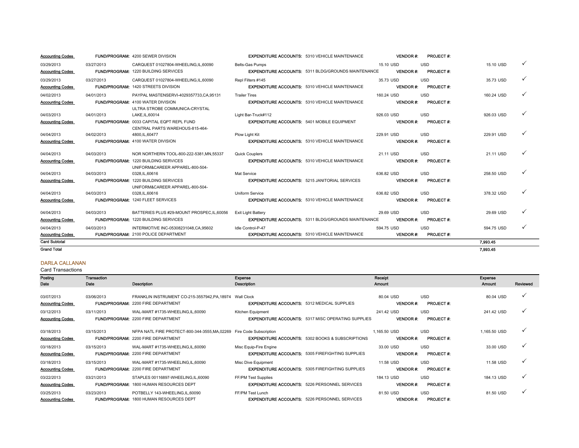| <b>Accounting Codes</b> |            | <b>FUND/PROGRAM: 4200 SEWER DIVISION</b>    |                                                    | <b>EXPENDITURE ACCOUNTS: 5310 VEHICLE MAINTENANCE</b>      |            | <b>VENDOR#:</b> | <b>PROJECT#:</b> |            |              |
|-------------------------|------------|---------------------------------------------|----------------------------------------------------|------------------------------------------------------------|------------|-----------------|------------------|------------|--------------|
| 03/29/2013              | 03/27/2013 | CARQUEST 01027804-WHEELING.IL.60090         | <b>Belts-Gas Pumps</b>                             |                                                            | 15.10 USD  |                 | <b>USD</b>       | 15.10 USD  | $\checkmark$ |
| <b>Accounting Codes</b> |            | <b>FUND/PROGRAM: 1220 BUILDING SERVICES</b> |                                                    | <b>EXPENDITURE ACCOUNTS: 5311 BLDG/GROUNDS MAINTENANCE</b> |            | <b>VENDOR#:</b> | <b>PROJECT#:</b> |            |              |
| 03/29/2013              | 03/27/2013 | CARQUEST 01027804-WHEELING.IL.60090         | Repl Filters #145                                  |                                                            | 35.73 USD  |                 | <b>USD</b>       | 35.73 USD  | ✓            |
| <b>Accounting Codes</b> |            | <b>FUND/PROGRAM: 1420 STREETS DIVISION</b>  |                                                    | <b>EXPENDITURE ACCOUNTS: 5310 VEHICLE MAINTENANCE</b>      |            | <b>VENDOR#:</b> | <b>PROJECT#:</b> |            |              |
| 04/02/2013              | 04/01/2013 | PAYPAL MASTENSERVI-4029357733.CA.95131      | <b>Trailer Tires</b>                               |                                                            | 160.24 USD |                 | <b>USD</b>       | 160.24 USD |              |
| <b>Accounting Codes</b> |            | <b>FUND/PROGRAM: 4100 WATER DIVISION</b>    |                                                    | <b>EXPENDITURE ACCOUNTS: 5310 VEHICLE MAINTENANCE</b>      |            | <b>VENDOR#:</b> | <b>PROJECT#:</b> |            |              |
|                         |            | ULTRA STROBE COMMUNICA-CRYSTAL              |                                                    |                                                            |            |                 |                  |            |              |
| 04/03/2013              | 04/01/2013 | LAKE.IL.60014                               | Light Bar-Truck#112                                |                                                            | 926.03 USD |                 | <b>USD</b>       | 926.03 USD | $\checkmark$ |
| <b>Accounting Codes</b> |            | FUND/PROGRAM: 0033 CAPITAL EQPT REPL FUND   | <b>EXPENDITURE ACCOUNTS: 5401 MOBILE EQUIPMENT</b> |                                                            |            | <b>VENDOR#:</b> | <b>PROJECT#:</b> |            |              |
|                         |            | CENTRAL PARTS WAREHOUS-815-464-             |                                                    |                                                            |            |                 |                  |            |              |
| 04/04/2013              | 04/02/2013 | 4800.IL.60477                               | Plow Light Kit                                     |                                                            | 229.91 USD |                 | <b>USD</b>       | 229.91 USD | ✓            |
| <b>Accounting Codes</b> |            | <b>FUND/PROGRAM: 4100 WATER DIVISION</b>    |                                                    | <b>EXPENDITURE ACCOUNTS: 5310 VEHICLE MAINTENANCE</b>      |            | <b>VENDOR#:</b> | <b>PROJECT#:</b> |            |              |
| 04/04/2013              | 04/03/2013 | NOR NORTHERN TOOL-800-222-5381.MN.55337     | <b>Quick Couplers</b>                              |                                                            | 21.11 USD  |                 | <b>USD</b>       | 21.11 USD  | $\checkmark$ |
| <b>Accounting Codes</b> |            | <b>FUND/PROGRAM: 1220 BUILDING SERVICES</b> |                                                    | <b>EXPENDITURE ACCOUNTS: 5310 VEHICLE MAINTENANCE</b>      |            | <b>VENDOR#:</b> | <b>PROJECT#:</b> |            |              |
|                         |            | UNIFORM&CAREER APPAREL-800-504-             |                                                    |                                                            |            |                 |                  |            |              |
| 04/04/2013              | 04/03/2013 | 0328.IL.60616                               | Mat Service                                        |                                                            | 636.82 USD |                 | <b>USD</b>       | 258.50 USD |              |
| <b>Accounting Codes</b> |            | <b>FUND/PROGRAM: 1220 BUILDING SERVICES</b> |                                                    | <b>EXPENDITURE ACCOUNTS: 5215 JANITORIAL SERVICES</b>      |            | <b>VENDOR#:</b> | <b>PROJECT#:</b> |            |              |
|                         |            | UNIFORM&CAREER APPAREL-800-504-             |                                                    |                                                            |            |                 |                  |            |              |
| 04/04/2013              | 04/03/2013 | 0328.IL.60616                               | <b>Uniform Service</b>                             |                                                            | 636.82 USD |                 | <b>USD</b>       | 378.32 USD | ✓            |
| <b>Accounting Codes</b> |            | FUND/PROGRAM: 1240 FLEET SERVICES           |                                                    | <b>EXPENDITURE ACCOUNTS: 5310 VEHICLE MAINTENANCE</b>      |            | <b>VENDOR#:</b> | <b>PROJECT#:</b> |            |              |
| 04/04/2013              | 04/03/2013 | BATTERIES PLUS #29-MOUNT PROSPEC.IL.60056   | Exit Light Battery                                 |                                                            | 29.69 USD  |                 | <b>USD</b>       | 29.69 USD  | $\checkmark$ |
| <b>Accounting Codes</b> |            | <b>FUND/PROGRAM: 1220 BUILDING SERVICES</b> |                                                    | <b>EXPENDITURE ACCOUNTS: 5311 BLDG/GROUNDS MAINTENANCE</b> |            | <b>VENDOR#:</b> | <b>PROJECT#:</b> |            |              |
| 04/04/2013              | 04/03/2013 | INTERMOTIVE INC-05308231048.CA.95602        | Idle Control-P-47                                  |                                                            | 594.75 USD |                 | <b>USD</b>       | 594.75 USD | $\checkmark$ |
| <b>Accounting Codes</b> |            | <b>FUND/PROGRAM: 2100 POLICE DEPARTMENT</b> |                                                    | <b>EXPENDITURE ACCOUNTS: 5310 VEHICLE MAINTENANCE</b>      |            | <b>VENDOR#:</b> | <b>PROJECT#:</b> |            |              |
| <b>Card Subtotal</b>    |            |                                             |                                                    |                                                            |            |                 |                  | 7.993.45   |              |
| <b>Grand Total</b>      |            |                                             |                                                    |                                                            |            |                 |                  | 7.993.45   |              |

### DARLA CALLANAN

| Posting                 | <b>Transaction</b> |                                                          | Expense                                            |                                                             | Receipt         |                  | Expense      |              |
|-------------------------|--------------------|----------------------------------------------------------|----------------------------------------------------|-------------------------------------------------------------|-----------------|------------------|--------------|--------------|
| Date                    | Date               | <b>Description</b>                                       | Description                                        |                                                             | <b>Amount</b>   |                  | Amount       | Reviewed     |
|                         |                    |                                                          |                                                    |                                                             |                 |                  |              |              |
| 03/07/2013              | 03/06/2013         | FRANKLIN INSTRUMENT CO-215-3557942, PA, 18974 Wall Clock |                                                    |                                                             | 80.04 USD       | <b>USD</b>       | 80.04 USD    | $\checkmark$ |
| <b>Accounting Codes</b> |                    | <b>FUND/PROGRAM: 2200 FIRE DEPARTMENT</b>                | <b>EXPENDITURE ACCOUNTS: 5312 MEDICAL SUPPLIES</b> |                                                             | <b>VENDOR#:</b> | <b>PROJECT#:</b> |              |              |
| 03/12/2013              | 03/11/2013         | WAL-MART #1735-WHEELING,IL,60090                         | Kitchen Equipment                                  |                                                             | 241.42 USD      | <b>USD</b>       | 241.42 USD   | $\checkmark$ |
| <b>Accounting Codes</b> |                    | <b>FUND/PROGRAM: 2200 FIRE DEPARTMENT</b>                |                                                    | <b>EXPENDITURE ACCOUNTS: 5317 MISC OPERATING SUPPLIES</b>   | <b>VENDOR#:</b> | <b>PROJECT#:</b> |              |              |
|                         |                    |                                                          |                                                    |                                                             |                 |                  |              |              |
| 03/18/2013              | 03/15/2013         | NFPA NATL FIRE PROTECT-800-344-3555, MA, 02269           | Fire Code Subscription                             |                                                             | 1,165.50 USD    | <b>USD</b>       | 1,165.50 USD | ✓            |
| <b>Accounting Codes</b> |                    | FUND/PROGRAM: 2200 FIRE DEPARTMENT                       |                                                    | <b>EXPENDITURE ACCOUNTS: 5302 BOOKS &amp; SUBSCRIPTIONS</b> | <b>VENDOR#:</b> | <b>PROJECT#:</b> |              |              |
| 03/18/2013              | 03/15/2013         | WAL-MART #1735-WHEELING.IL.60090                         | Misc Equip-Fire Engine                             |                                                             | 33.00 USD       | <b>USD</b>       | 33.00 USD    | $\checkmark$ |
| <b>Accounting Codes</b> |                    | <b>FUND/PROGRAM: 2200 FIRE DEPARTMENT</b>                |                                                    | <b>EXPENDITURE ACCOUNTS: 5305 FIREFIGHTING SUPPLIES</b>     | <b>VENDOR#:</b> | <b>PROJECT#:</b> |              |              |
| 03/18/2013              | 03/15/2013         | WAL-MART #1735-WHEELING,IL,60090                         | Misc Dive Equipment                                |                                                             | 11.58 USD       | <b>USD</b>       | 11.58 USD    | $\checkmark$ |
| <b>Accounting Codes</b> |                    | FUND/PROGRAM: 2200 FIRE DEPARTMENT                       |                                                    | <b>EXPENDITURE ACCOUNTS: 5305 FIREFIGHTING SUPPLIES</b>     | <b>VENDOR#:</b> | <b>PROJECT#:</b> |              |              |
| 03/22/2013              | 03/21/2013         | STAPLES 00116897-WHEELING.IL.60090                       | FF/PM Test Supplies                                |                                                             | 184.13 USD      | <b>USD</b>       | 184.13 USD   | $\checkmark$ |
| <b>Accounting Codes</b> |                    | <b>FUND/PROGRAM: 1800 HUMAN RESOURCES DEPT</b>           |                                                    | <b>EXPENDITURE ACCOUNTS: 5226 PERSONNEL SERVICES</b>        | <b>VENDOR#:</b> | <b>PROJECT#:</b> |              |              |
| 03/25/2013              | 03/23/2013         | POTBELLY 143-WHEELING,IL,60090                           | FF/PM Test Lunch                                   |                                                             | 81.50 USD       | <b>USD</b>       | 81.50 USD    | $\check{ }$  |
| <b>Accounting Codes</b> |                    | <b>FUND/PROGRAM: 1800 HUMAN RESOURCES DEPT</b>           |                                                    | <b>EXPENDITURE ACCOUNTS: 5226 PERSONNEL SERVICES</b>        | <b>VENDOR#:</b> | <b>PROJECT#:</b> |              |              |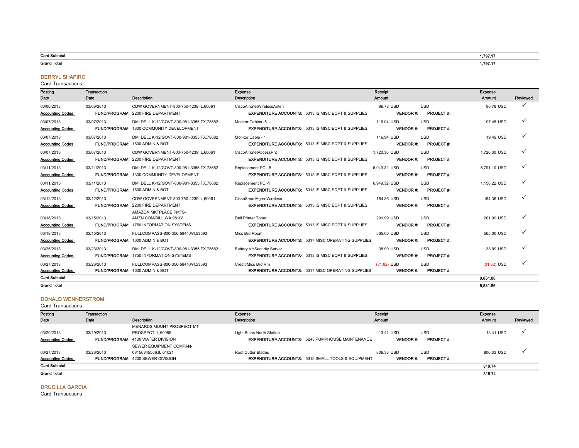#### Card Subtotal

Grand Total

#### DERRYL SHAPIRO

#### Card Transactions

| Posting<br>Date                       | <b>Transaction</b><br>Date | <b>Description</b>                                                                                 | Expense<br><b>Description</b>                                                                     | Receipt<br>Amount |                 |                                | Expense<br>Amount | Reviewed     |
|---------------------------------------|----------------------------|----------------------------------------------------------------------------------------------------|---------------------------------------------------------------------------------------------------|-------------------|-----------------|--------------------------------|-------------------|--------------|
| 03/06/2013<br><b>Accounting Codes</b> | 03/06/2013                 | CDW GOVERNMENT-800-750-4239.IL.60061<br><b>FUND/PROGRAM: 2200 FIRE DEPARTMENT</b>                  | CiscoAironetWirelessAnten<br><b>EXPENDITURE ACCOUNTS: 5313 IS MISC EQPT &amp; SUPPLIES</b>        | 86.78 USD         | <b>VENDOR#:</b> | <b>USD</b><br><b>PROJECT#:</b> | 86.78 USD         | $\checkmark$ |
| 03/07/2013<br><b>Accounting Codes</b> | 03/07/2013                 | DMI DELL K-12/GOVT-800-981-3355, TX, 78682<br>FUND/PROGRAM: 1300 COMMUNITY DEVELOPMENT             | Monitor Cables -5<br><b>EXPENDITURE ACCOUNTS: 5313 IS MISC EQPT &amp; SUPPLIES</b>                | 116.94 USD        | <b>VENDOR#:</b> | <b>USD</b><br><b>PROJECT#:</b> | 97.45 USD         |              |
| 03/07/2013<br><b>Accounting Codes</b> | 03/07/2013                 | DMI DELL K-12/GOVT-800-981-3355, TX, 78682<br>FUND/PROGRAM: 1600 ADMIN & BOT                       | Monitor Cable - 1<br><b>EXPENDITURE ACCOUNTS: 5313 IS MISC EQPT &amp; SUPPLIES</b>                | 116.94 USD        | <b>VENDOR#:</b> | <b>USD</b><br><b>PROJECT#:</b> | 19.49 USD         |              |
| 03/07/2013<br><b>Accounting Codes</b> | 03/07/2013                 | CDW GOVERNMENT-800-750-4239,IL,60061<br><b>FUND/PROGRAM: 2200 FIRE DEPARTMENT</b>                  | CiscoAironetAccessPnt<br><b>EXPENDITURE ACCOUNTS: 5313 IS MISC EQPT &amp; SUPPLIES</b>            | 1.720.30 USD      | <b>VENDOR#:</b> | <b>USD</b><br><b>PROJECT#:</b> | 1,720.30 USD      |              |
| 03/11/2013<br><b>Accounting Codes</b> | 03/11/2013                 | DMI DELL K-12/GOVT-800-981-3355.TX.78682<br>FUND/PROGRAM: 1300 COMMUNITY DEVELOPMENT               | Replacement PC - 5<br><b>EXPENDITURE ACCOUNTS: 5313 IS MISC EQPT &amp; SUPPLIES</b>               | 6.949.32 USD      | <b>VENDOR#:</b> | <b>USD</b><br><b>PROJECT#:</b> | 5,791.10 USD      |              |
| 03/11/2013<br><b>Accounting Codes</b> | 03/11/2013                 | DMI DELL K-12/GOVT-800-981-3355.TX.78682<br>FUND/PROGRAM: 1600 ADMIN & BOT                         | Replacement PC -1<br><b>EXPENDITURE ACCOUNTS: 5313 IS MISC EQPT &amp; SUPPLIES</b>                | 6.949.32 USD      | <b>VENDOR#:</b> | <b>USD</b><br>PROJECT #:       | 1.158.22 USD      |              |
| 03/12/2013<br><b>Accounting Codes</b> | 03/12/2013                 | CDW GOVERNMENT-800-750-4239.IL.60061<br>FUND/PROGRAM: 2200 FIRE DEPARTMENT                         | CiscoSmartAgreeWireless<br><b>EXPENDITURE ACCOUNTS: 5313 IS MISC EQPT &amp; SUPPLIES</b>          | 184.36 USD        | <b>VENDOR#:</b> | <b>USD</b><br><b>PROJECT#:</b> | 184.36 USD        |              |
| 03/18/2013<br><b>Accounting Codes</b> | 03/15/2013                 | AMAZON MKTPLACE PMTS-<br>AMZN.COM/BILL, WA, 98108<br><b>FUND/PROGRAM: 1750 INFORMATION SYSTEMS</b> | <b>Dell Printer Toner</b><br><b>EXPENDITURE ACCOUNTS: 5313 IS MISC EQPT &amp; SUPPLIES</b>        | 201.99 USD        | <b>VENDOR#:</b> | <b>USD</b><br><b>PROJECT#:</b> | 201.99 USD        |              |
| 03/18/2013<br><b>Accounting Codes</b> | 03/15/2013                 | FULLCOMPASS-800-356-5844.WI.53593<br>FUND/PROGRAM: 1600 ADMIN & BOT                                | Mics Brd Room<br><b>EXPENDITURE ACCOUNTS: 5317 MISC OPERATING SUPPLIES</b>                        | 565.00 USD        | <b>VENDOR#:</b> | <b>USD</b><br><b>PROJECT#:</b> | 565.00 USD        |              |
| 03/25/2013<br><b>Accounting Codes</b> | 03/23/2013                 | DMI DELL K-12/GOVT-800-981-3355.TX.78682<br><b>FUND/PROGRAM: 1750 INFORMATION SYSTEMS</b>          | <b>Battery VHSecurity Server</b><br><b>EXPENDITURE ACCOUNTS: 5313 IS MISC EQPT &amp; SUPPLIES</b> | 38.99 USD         | <b>VENDOR#:</b> | <b>USD</b><br>PROJECT #:       | 38.99 USD         |              |
| 03/27/2013<br><b>Accounting Codes</b> | 03/26/2013                 | FULLCOMPASS-800-356-5844, WI,53593<br>FUND/PROGRAM: 1600 ADMIN & BOT                               | Credit Mics Brd Rm<br><b>EXPENDITURE ACCOUNTS: 5317 MISC OPERATING SUPPLIES</b>                   | $(31.82)$ USD     | <b>VENDOR#:</b> | <b>USD</b><br><b>PROJECT#:</b> | $(31.82)$ USD     |              |
| <b>Card Subtotal</b>                  |                            |                                                                                                    |                                                                                                   |                   |                 |                                | 9,831.86          |              |
| <b>Grand Total</b>                    |                            |                                                                                                    |                                                                                                   |                   |                 |                                | 9.831.86          |              |

### DONALD WENNERSTROM

#### Posting Date Transaction Date **Description** Expense Description Receipt Amount Expense Amount Reviewed 03/20/2013 03/19/2013 MENARDS MOUNT PROSPECT-MT PROSPECT,IL,60056 Light Bulbs-North Station 13.41 USD USD 13.41 USD 3 Accounting Codes FUND/PROGRAM: 4100 WATER DIVISION **EXPENDITURE ACCOUNTS:** 5243 PUMPHOUSE MAINTENANCE VENDOR #: PROJECT #: 03/27/2013 03/26/2013 SEWER EQUIPMENT COMPAN-08156845566,IL,61021 Root Cutter Blades 806.33 USD USD 806.33 USD 3 Accounting Codes FUND/PROGRAM: 4200 SEWER DIVISION **EXPENDITURE ACCOUNTS:** 5315 SMALL TOOLS & EQUIPMENT VENDOR #: PROJECT #: Card Subtotal Grand Total Card Transactions 819.74 819.74

#### DRUCILLA GARCIA

Card Transactions

1,797.17

1,797.17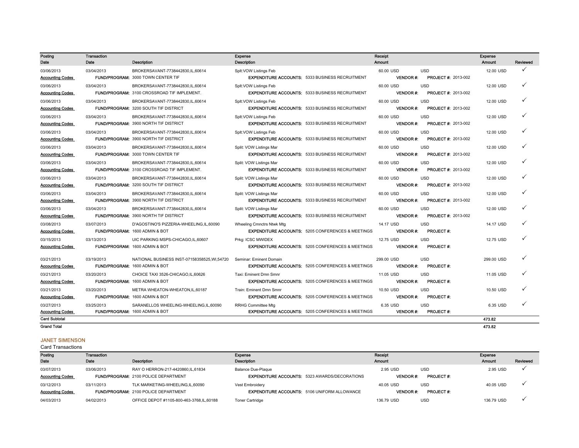| Posting<br>Date         | Transaction<br>Date | <b>Description</b>                                 | Expense<br>Description                                       | Receipt<br>Amount |                            | Expense<br><b>Amount</b> | Reviewed     |
|-------------------------|---------------------|----------------------------------------------------|--------------------------------------------------------------|-------------------|----------------------------|--------------------------|--------------|
| 03/06/2013              | 03/04/2013          | BROKERSAVANT-7738442830.IL.60614                   | Splt: VOW Listings Feb                                       | 60.00 USD         | <b>USD</b>                 | 12.00 USD                |              |
| <b>Accounting Codes</b> |                     | FUND/PROGRAM: 3000 TOWN CENTER TIF                 | <b>EXPENDITURE ACCOUNTS: 5333 BUSINESS RECRUITMENT</b>       | <b>VENDOR#:</b>   | <b>PROJECT #: 2013-002</b> |                          |              |
| 03/06/2013              | 03/04/2013          | BROKERSAVANT-7738442830.IL.60614                   | Splt: VOW Listings Feb                                       | 60.00 USD         | <b>USD</b>                 | 12.00 USD                |              |
| <b>Accounting Codes</b> |                     | <b>FUND/PROGRAM: 3100 CROSSROAD TIF IMPLEMENT.</b> | <b>EXPENDITURE ACCOUNTS: 5333 BUSINESS RECRUITMENT</b>       | <b>VENDOR#:</b>   | <b>PROJECT #: 2013-002</b> |                          |              |
| 03/06/2013              | 03/04/2013          | BROKERSAVANT-7738442830,IL,60614                   | Splt: VOW Listings Feb                                       | 60.00 USD         | <b>USD</b>                 | 12.00 USD                |              |
| <b>Accounting Codes</b> |                     | FUND/PROGRAM: 3200 SOUTH TIF DISTRICT              | <b>EXPENDITURE ACCOUNTS: 5333 BUSINESS RECRUITMENT</b>       | <b>VENDOR#:</b>   | <b>PROJECT #: 2013-002</b> |                          |              |
| 03/06/2013              | 03/04/2013          | BROKERSAVANT-7738442830.IL.60614                   | Splt: VOW Listings Feb                                       | 60.00 USD         | <b>USD</b>                 | 12.00 USD                |              |
| <b>Accounting Codes</b> |                     | <b>FUND/PROGRAM: 3900 NORTH TIF DISTRICT</b>       | <b>EXPENDITURE ACCOUNTS: 5333 BUSINESS RECRUITMENT</b>       | <b>VENDOR #:</b>  | <b>PROJECT #: 2013-002</b> |                          |              |
| 03/06/2013              | 03/04/2013          | BROKERSAVANT-7738442830.IL.60614                   | Splt: VOW Listings Feb                                       | 60.00 USD         | <b>USD</b>                 | 12.00 USD                |              |
| <b>Accounting Codes</b> |                     | FUND/PROGRAM: 3900 NORTH TIF DISTRICT              | <b>EXPENDITURE ACCOUNTS: 5333 BUSINESS RECRUITMENT</b>       | <b>VENDOR#:</b>   | <b>PROJECT #: 2013-002</b> |                          |              |
| 03/06/2013              | 03/04/2013          | BROKERSAVANT-7738442830.IL.60614                   | Split: VOW Listings Mar                                      | 60.00 USD         | <b>USD</b>                 | 12.00 USD                | $\checkmark$ |
| <b>Accounting Codes</b> |                     | FUND/PROGRAM: 3000 TOWN CENTER TIF                 | <b>EXPENDITURE ACCOUNTS: 5333 BUSINESS RECRUITMENT</b>       | <b>VENDOR#:</b>   | <b>PROJECT #: 2013-002</b> |                          |              |
| 03/06/2013              | 03/04/2013          | BROKERSAVANT-7738442830,IL,60614                   | Split: VOW Listings Mar                                      | 60.00 USD         | <b>USD</b>                 | 12.00 USD                | ✓            |
| <b>Accounting Codes</b> |                     | FUND/PROGRAM: 3100 CROSSROAD TIF IMPLEMENT.        | <b>EXPENDITURE ACCOUNTS: 5333 BUSINESS RECRUITMENT</b>       | <b>VENDOR#:</b>   | <b>PROJECT #: 2013-002</b> |                          |              |
| 03/06/2013              | 03/04/2013          | BROKERSAVANT-7738442830.IL.60614                   | Split: VOW Listings Mar                                      | 60.00 USD         | <b>USD</b>                 | 12.00 USD                |              |
| <b>Accounting Codes</b> |                     | <b>FUND/PROGRAM: 3200 SOUTH TIF DISTRICT</b>       | <b>EXPENDITURE ACCOUNTS: 5333 BUSINESS RECRUITMENT</b>       | <b>VENDOR#:</b>   | <b>PROJECT #: 2013-002</b> |                          |              |
| 03/06/2013              | 03/04/2013          | BROKERSAVANT-7738442830.IL.60614                   | Split: VOW Listings Mar                                      | 60.00 USD         | <b>USD</b>                 | 12.00 USD                |              |
| <b>Accounting Codes</b> |                     | <b>FUND/PROGRAM: 3900 NORTH TIF DISTRICT</b>       | <b>EXPENDITURE ACCOUNTS: 5333 BUSINESS RECRUITMENT</b>       | <b>VENDOR#:</b>   | <b>PROJECT #: 2013-002</b> |                          |              |
| 03/06/2013              | 03/04/2013          | BROKERSAVANT-7738442830.IL.60614                   | Split: VOW Listings Mar                                      | 60.00 USD         | <b>USD</b>                 | 12.00 USD                |              |
| <b>Accounting Codes</b> |                     | <b>FUND/PROGRAM: 3900 NORTH TIF DISTRICT</b>       | <b>EXPENDITURE ACCOUNTS: 5333 BUSINESS RECRUITMENT</b>       | <b>VENDOR#:</b>   | <b>PROJECT #: 2013-002</b> |                          |              |
| 03/08/2013              | 03/07/2013          | D'AGOSTINO'S PIZZERIA-WHEELING.IL.60090            | Wheeling Cmnctrs Ntwk Mtg                                    | 14.17 USD         | <b>USD</b>                 | 14.17 USD                |              |
| <b>Accounting Codes</b> |                     | FUND/PROGRAM: 1600 ADMIN & BOT                     | <b>EXPENDITURE ACCOUNTS: 5205 CONFERENCES &amp; MEETINGS</b> | <b>VENDOR#:</b>   | <b>PROJECT#:</b>           |                          |              |
| 03/15/2013              | 03/13/2013          | UIC PARKING MSPS-CHICAGO, IL, 60607                | Prkg: ICSC MWIDEX                                            | 12.75 USD         | <b>USD</b>                 | 12.75 USD                |              |
| <b>Accounting Codes</b> |                     | FUND/PROGRAM: 1600 ADMIN & BOT                     | <b>EXPENDITURE ACCOUNTS: 5205 CONFERENCES &amp; MEETINGS</b> | <b>VENDOR#:</b>   | <b>PROJECT#:</b>           |                          |              |
| 03/21/2013              | 03/19/2013          | NATIONAL BUSINESS INST-07158358525.WI.54720        | Seminar: Eminent Domain                                      | 299.00 USD        | <b>USD</b>                 | 299.00 USD               |              |
| <b>Accounting Codes</b> |                     | FUND/PROGRAM: 1600 ADMIN & BOT                     | <b>EXPENDITURE ACCOUNTS: 5205 CONFERENCES &amp; MEETINGS</b> | <b>VENDOR#:</b>   | <b>PROJECT#:</b>           |                          |              |
| 03/21/2013              | 03/20/2013          | CHOICE TAXI 3526-CHICAGO.IL.60626                  | Taxi: Eminent Dmn Smnr                                       | 11.05 USD         | <b>USD</b>                 | 11.05 USD                |              |
| <b>Accounting Codes</b> |                     | FUND/PROGRAM: 1600 ADMIN & BOT                     | <b>EXPENDITURE ACCOUNTS: 5205 CONFERENCES &amp; MEETINGS</b> | <b>VENDOR#:</b>   | <b>PROJECT#:</b>           |                          |              |
| 03/21/2013              | 03/20/2013          | METRA WHEATON-WHEATON, IL, 60187                   | Train: Eminent Dmn Smnr                                      | 10.50 USD         | <b>USD</b>                 | 10.50 USD                |              |
| <b>Accounting Codes</b> |                     | FUND/PROGRAM: 1600 ADMIN & BOT                     | <b>EXPENDITURE ACCOUNTS: 5205 CONFERENCES &amp; MEETINGS</b> | <b>VENDOR#:</b>   | <b>PROJECT#:</b>           |                          |              |
| 03/27/2013              | 03/25/2013          | SARANELLOS WHEELING-WHEELING.IL.60090              | <b>RRHG Committee Mtg</b>                                    | 6.35 USD          | <b>USD</b>                 | 6.35 USD                 |              |
| <b>Accounting Codes</b> |                     | FUND/PROGRAM: 1600 ADMIN & BOT                     | <b>EXPENDITURE ACCOUNTS: 5205 CONFERENCES &amp; MEETINGS</b> | <b>VENDOR#:</b>   | <b>PROJECT#:</b>           |                          |              |
| <b>Card Subtotal</b>    |                     |                                                    |                                                              |                   |                            | 473.82                   |              |

Grand Total

### JANET SIMENSON

Card Transactions

| Posting                 | Transaction |                                             | Expense                                              | Receipt         |                  | Expense       |          |
|-------------------------|-------------|---------------------------------------------|------------------------------------------------------|-----------------|------------------|---------------|----------|
| Date                    | Date        | Description                                 | Description                                          | <b>Amount</b>   |                  | <b>Amount</b> | Reviewed |
| 03/07/2013              | 03/06/2013  | RAY O HERRON-217-4420860, IL, 61834         | <b>Balance Due-Plaque</b>                            | 2.95 USD        | <b>USD</b>       | 2.95 USD      |          |
| <b>Accounting Codes</b> |             | <b>FUND/PROGRAM: 2100 POLICE DEPARTMENT</b> | <b>EXPENDITURE ACCOUNTS: 5323 AWARDS/DECORATIONS</b> | <b>VENDOR#:</b> | <b>PROJECT#:</b> |               |          |
| 03/12/2013              | 03/11/2013  | TLK MARKETING-WHEELING,IL,60090             | Vest Embroidery                                      | 40.05 USD       | <b>USD</b>       | 40.05 USD     |          |
| <b>Accounting Codes</b> |             | <b>FUND/PROGRAM: 2100 POLICE DEPARTMENT</b> | <b>EXPENDITURE ACCOUNTS: 5106 UNIFORM ALLOWANCE</b>  | <b>VENDOR#:</b> | <b>PROJECT#:</b> |               |          |
| 04/03/2013              | 04/02/2013  | OFFICE DEPOT #1105-800-463-3768,IL,60188    | <b>Toner Cartridge</b>                               | 136.79 USD      | <b>USD</b>       | 136.79 USD    |          |

473.82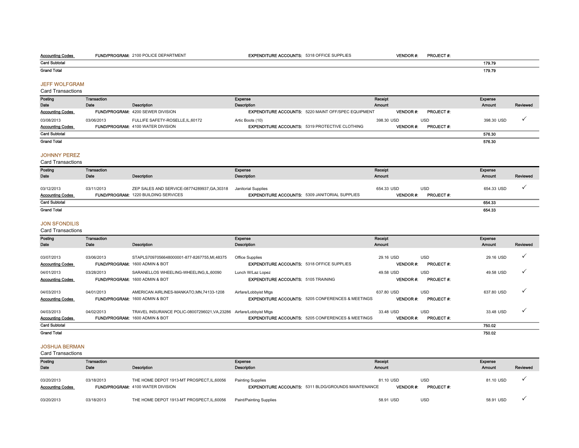#### Accounting Codes FUND/PROGRAM: 2100 POLICE DEPARTMENT **EXPENDITURE ACCOUNTS:** 5318 OFFICE SUPPLIES **VENDOR #: PROJECT #:** Card Subtotal Grand Total 179.79 179.79

#### JEFF WOLFGRAM

Card Transactions

| Posting                 | Transaction |                                          | Expense                                                    | Receipt         | Expense                  |          |
|-------------------------|-------------|------------------------------------------|------------------------------------------------------------|-----------------|--------------------------|----------|
| Date                    | Date        | <b>Description</b>                       | <b>Description</b>                                         | Amount          | Amount                   | Reviewed |
| <b>Accounting Codes</b> |             | <b>FUND/PROGRAM: 4200 SEWER DIVISION</b> | <b>EXPENDITURE ACCOUNTS: 5220 MAINT OFF/SPEC EQUIPMENT</b> | <b>VENDOR#:</b> | <b>PROJECT#:</b>         |          |
| 03/08/2013              | 03/06/2013  | FULLIFE SAFETY-ROSELLE, IL, 60172        | Artic Boots (10)                                           | 398.30 USD      | 398.30 USD<br><b>USD</b> |          |
| <b>Accounting Codes</b> |             | <b>FUND/PROGRAM: 4100 WATER DIVISION</b> | <b>EXPENDITURE ACCOUNTS: 5319 PROTECTIVE CLOTHING</b>      | <b>VENDOR#:</b> | <b>PROJECT#:</b>         |          |
| <b>Card Subtotal</b>    |             |                                          |                                                            |                 | 576.30                   |          |
| <b>Grand Total</b>      |             |                                          |                                                            |                 | 576.30                   |          |
|                         |             |                                          |                                                            |                 |                          |          |

#### JOHNNY PEREZ

Card Transactions

| Posting                 | Transaction |                                              | Expense                                               | Receipt         |                  | Exponso    |          |
|-------------------------|-------------|----------------------------------------------|-------------------------------------------------------|-----------------|------------------|------------|----------|
| Date                    | Date        | Description                                  | Description                                           | Amount          |                  | Amount     | Reviewed |
| 03/12/2013              | 03/11/2013  | ZEP SALES AND SERVICE-08774289937, GA, 30318 | Janitorial Supplies                                   | 654.33 USD      | <b>USD</b>       | 654.33 USD |          |
| <b>Accounting Codes</b> |             | <b>FUND/PROGRAM: 1220 BUILDING SERVICES</b>  | <b>EXPENDITURE ACCOUNTS: 5309 JANITORIAL SUPPLIES</b> | <b>VENDOR#:</b> | <b>PROJECT#:</b> |            |          |
| <b>Card Subtotal</b>    |             |                                              |                                                       |                 |                  | 654.33     |          |
| <b>Grand Total</b>      |             |                                              |                                                       |                 |                  | 654.33     |          |

### JON SFONDILIS

Card Transactions

| Posting                 | Transaction |                                                                     | Expense                                                      | Receipt          |                  | Expense    |              |
|-------------------------|-------------|---------------------------------------------------------------------|--------------------------------------------------------------|------------------|------------------|------------|--------------|
| Date                    | Date        | Description                                                         | Description                                                  | Amount           |                  | Amount     | Reviewed     |
|                         |             |                                                                     |                                                              |                  |                  |            |              |
| 03/07/2013              | 03/06/2013  | STAPLS7097056648000001-877-8267755,MI,48375                         | Office Supplies                                              | 29.16 USD        | <b>USD</b>       | 29.16 USD  | v            |
| <b>Accounting Codes</b> |             | FUND/PROGRAM: 1600 ADMIN & BOT                                      | <b>EXPENDITURE ACCOUNTS: 5318 OFFICE SUPPLIES</b>            | <b>VENDOR#:</b>  | <b>PROJECT#:</b> |            |              |
| 04/01/2013              | 03/28/2013  | SARANELLOS WHEELING-WHEELING, IL, 60090                             | Lunch W/Laz Lopez                                            | 49.58 USD        | <b>USD</b>       | 49.58 USD  | ✓            |
| <b>Accounting Codes</b> |             | FUND/PROGRAM: 1600 ADMIN & BOT                                      | <b>EXPENDITURE ACCOUNTS: 5105 TRAINING</b>                   | <b>VENDOR</b> #: | <b>PROJECT#:</b> |            |              |
| 04/03/2013              | 04/01/2013  | AMERICAN AIRLINES-MANKATO.MN.74133-1208                             | Airfare/Lobbyist Mtgs                                        | 637.80 USD       | <b>USD</b>       | 637.80 USD | v            |
| <b>Accounting Codes</b> |             | FUND/PROGRAM: 1600 ADMIN & BOT                                      | <b>EXPENDITURE ACCOUNTS: 5205 CONFERENCES &amp; MEETINGS</b> | <b>VENDOR#:</b>  | <b>PROJECT#:</b> |            |              |
| 04/03/2013              | 04/02/2013  | TRAVEL INSURANCE POLIC-08007296021, VA, 23286 Airfare/Lobbyist Mtgs |                                                              | 33.48 USD        | <b>USD</b>       | 33.48 USD  | $\checkmark$ |
| <b>Accounting Codes</b> |             | FUND/PROGRAM: 1600 ADMIN & BOT                                      | <b>EXPENDITURE ACCOUNTS: 5205 CONFERENCES &amp; MEETINGS</b> | <b>VENDOR#:</b>  | <b>PROJECT#:</b> |            |              |
| <b>Card Subtotal</b>    |             |                                                                     |                                                              |                  |                  | 750.02     |              |
| <b>Grand Total</b>      |             |                                                                     |                                                              |                  |                  | 750.02     |              |

### JOSHUA BERMAN

| Posting                               | Transaction |                                                                                      | Expense                                                                                | Receipt                      |                                | Expense       |          |
|---------------------------------------|-------------|--------------------------------------------------------------------------------------|----------------------------------------------------------------------------------------|------------------------------|--------------------------------|---------------|----------|
| Date                                  | Date        | Description                                                                          | Description                                                                            | <b>Amount</b>                |                                | <b>Amount</b> | Reviewed |
| 03/20/2013<br><b>Accounting Codes</b> | 03/18/2013  | THE HOME DEPOT 1913-MT PROSPECT.IL.60056<br><b>FUND/PROGRAM: 4100 WATER DIVISION</b> | <b>Painting Supplies</b><br><b>EXPENDITURE ACCOUNTS: 5311 BLDG/GROUNDS MAINTENANCE</b> | 81.10 USD<br><b>VENDOR#:</b> | <b>USD</b><br><b>PROJECT#:</b> | 81.10 USD     |          |
| 03/20/2013                            | 03/18/2013  | THE HOME DEPOT 1913-MT PROSPECT, IL, 60056                                           | Paint/Painting Supplies                                                                | 58.91 USD                    | <b>USD</b>                     | 58.91 USD     |          |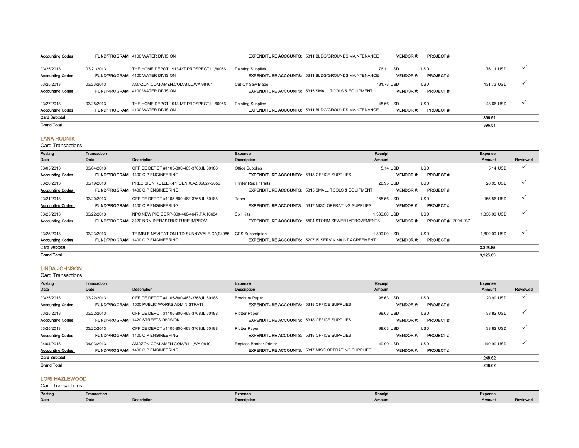| <b>Accounting Codes</b>               |            | <b>FUND/PROGRAM: 4100 WATER DIVISION</b>                                             |                          | <b>EXPENDITURE ACCOUNTS: 5311 BLDG/GROUNDS MAINTENANCE</b>    | <b>VENDOR#:</b>               | <b>PROJECT#:</b>               |            |  |
|---------------------------------------|------------|--------------------------------------------------------------------------------------|--------------------------|---------------------------------------------------------------|-------------------------------|--------------------------------|------------|--|
| 03/25/2013<br><b>Accounting Codes</b> | 03/21/2013 | THE HOME DEPOT 1913-MT PROSPECT.IL.60056<br><b>FUND/PROGRAM: 4100 WATER DIVISION</b> | <b>Painting Supplies</b> | <b>EXPENDITURE ACCOUNTS: 5311 BLDG/GROUNDS MAINTENANCE</b>    | 76.11 USD<br><b>VENDOR#:</b>  | <b>USD</b><br><b>PROJECT#:</b> | 76.11 USD  |  |
| 03/25/2013<br><b>Accounting Codes</b> | 03/23/2013 | AMAZON.COM-AMZN.COM/BILL.WA.98101<br><b>FUND/PROGRAM: 4100 WATER DIVISION</b>        | Cut-Off Saw Blade        | <b>EXPENDITURE ACCOUNTS: 5315 SMALL TOOLS &amp; EQUIPMENT</b> | 131.73 USD<br><b>VENDOR#:</b> | <b>USD</b><br><b>PROJECT#:</b> | 131.73 USD |  |
| 03/27/2013<br><b>Accounting Codes</b> | 03/25/2013 | THE HOME DEPOT 1913-MT PROSPECT.IL.60056<br><b>FUND/PROGRAM: 4100 WATER DIVISION</b> | <b>Painting Supplies</b> | <b>EXPENDITURE ACCOUNTS: 5311 BLDG/GROUNDS MAINTENANCE</b>    | 48.66 USD<br><b>VENDOR#:</b>  | <b>USD</b><br><b>PROJECT#:</b> | 48.66 USD  |  |
| <b>Card Subtotal</b>                  |            |                                                                                      |                          |                                                               |                               |                                | 396.51     |  |
| <b>Grand Total</b>                    |            |                                                                                      |                          |                                                               |                               |                                | 396.51     |  |

### LANA RUDNIK

Card Transactions

| Posting                 | Transaction |                                                     | Expense                                           |                                                                 | Receipt         |                            | Expense      |          |
|-------------------------|-------------|-----------------------------------------------------|---------------------------------------------------|-----------------------------------------------------------------|-----------------|----------------------------|--------------|----------|
| Date                    | Date        | Description                                         | Description                                       |                                                                 | <b>Amount</b>   |                            | Amount       | Reviewed |
| 03/05/2013              | 03/04/2013  | OFFICE DEPOT #1105-800-463-3768,IL,60188            | Office Supplies                                   |                                                                 | 5.14 USD        | <b>USD</b>                 | 5.14 USD     |          |
| <b>Accounting Codes</b> |             | <b>FUND/PROGRAM: 1400 CIP ENGINEERING</b>           | <b>EXPENDITURE ACCOUNTS: 5318 OFFICE SUPPLIES</b> |                                                                 | <b>VENDOR#:</b> | <b>PROJECT#:</b>           |              |          |
| 03/20/2013              | 03/19/2013  | PRECISION ROLLER-PHOENIX.AZ.85027-2656              | <b>Printer Repair Parts</b>                       |                                                                 | 28.95 USD       | <b>USD</b>                 | 28.95 USD    |          |
| <b>Accounting Codes</b> |             | <b>FUND/PROGRAM: 1400 CIP ENGINEERING</b>           |                                                   | <b>EXPENDITURE ACCOUNTS: 5315 SMALL TOOLS &amp; EQUIPMENT</b>   | <b>VENDOR#:</b> | <b>PROJECT#:</b>           |              |          |
| 03/21/2013              | 03/20/2013  | OFFICE DEPOT #1105-800-463-3768,IL,60188            | Toner                                             |                                                                 | 155.56 USD      | <b>USD</b>                 | 155.56 USD   |          |
| <b>Accounting Codes</b> |             | <b>FUND/PROGRAM: 1400 CIP ENGINEERING</b>           |                                                   | <b>EXPENDITURE ACCOUNTS: 5317 MISC OPERATING SUPPLIES</b>       | <b>VENDOR#:</b> | <b>PROJECT#:</b>           |              |          |
| 03/25/2013              | 03/22/2013  | NPC NEW PIG CORP-800-468-4647.PA.16684              | Spill Kits                                        |                                                                 | 1.336.00 USD    | <b>USD</b>                 | 1,336.00 USD |          |
| <b>Accounting Codes</b> |             | <b>FUND/PROGRAM: 3420 NON-INFRASTRUCTURE IMPROV</b> |                                                   | <b>EXPENDITURE ACCOUNTS: 5504 STORM SEWER IMPROVEMENTS</b>      | <b>VENDOR#:</b> | <b>PROJECT #: 2004-037</b> |              |          |
| 03/25/2013              | 03/23/2013  | TRIMBLE NAVIGATION LTD-SUNNYVALE,CA,94085           | <b>GPS Subscription</b>                           |                                                                 | 1.800.00 USD    | <b>USD</b>                 | 1.800.00 USD |          |
| <b>Accounting Codes</b> |             | FUND/PROGRAM: 1400 CIP ENGINEERING                  |                                                   | <b>EXPENDITURE ACCOUNTS: 5207 IS SERV &amp; MAINT AGREEMENT</b> | <b>VENDOR#:</b> | <b>PROJECT#:</b>           |              |          |
| <b>Card Subtotal</b>    |             |                                                     |                                                   |                                                                 |                 |                            | 3,325.65     |          |
| <b>Grand Total</b>      |             |                                                     |                                                   |                                                                 |                 |                            | 3,325.65     |          |

#### LINDA JOHNSON

Card Transactions

| Posting                               | Transaction |                                                                                                 | Expense                                                                              | Receipt                                                         | Expense                    |
|---------------------------------------|-------------|-------------------------------------------------------------------------------------------------|--------------------------------------------------------------------------------------|-----------------------------------------------------------------|----------------------------|
| Date                                  | Date        | <b>Description</b>                                                                              | Description                                                                          | Amount                                                          | Reviewed<br><b>Amount</b>  |
| 03/25/2013<br><b>Accounting Codes</b> | 03/22/2013  | OFFICE DEPOT #1105-800-463-3768.IL.60188<br><b>FUND/PROGRAM: 1500 PUBLIC WORKS ADMINISTRATI</b> | <b>Brochure Paper</b><br><b>EXPENDITURE ACCOUNTS: 5318 OFFICE SUPPLIES</b>           | <b>USD</b><br>98.63 USD<br><b>PROJECT#:</b><br><b>VENDOR#:</b>  | $\checkmark$<br>20.99 USD  |
| 03/25/2013<br><b>Accounting Codes</b> | 03/22/2013  | OFFICE DEPOT #1105-800-463-3768.IL.60188<br><b>FUND/PROGRAM: 1420 STREETS DIVISION</b>          | Plotter Paper<br><b>EXPENDITURE ACCOUNTS: 5318 OFFICE SUPPLIES</b>                   | <b>USD</b><br>98.63 USD<br><b>VENDOR#:</b><br><b>PROJECT#:</b>  | ٧<br>38.82 USD             |
| 03/25/2013<br><b>Accounting Codes</b> | 03/22/2013  | OFFICE DEPOT #1105-800-463-3768.IL.60188<br><b>FUND/PROGRAM: 1400 CIP ENGINEERING</b>           | <b>Plotter Paper</b><br><b>EXPENDITURE ACCOUNTS: 5318 OFFICE SUPPLIES</b>            | <b>USD</b><br>98.63 USD<br><b>PROJECT#:</b><br><b>VENDOR#:</b>  | ✓<br>38.82 USD             |
| 04/04/2013<br><b>Accounting Codes</b> | 04/03/2013  | AMAZON.COM-AMZN.COM/BILL.WA.98101<br><b>FUND/PROGRAM: 1400 CIP ENGINEERING</b>                  | Replace Brother Printer<br><b>EXPENDITURE ACCOUNTS: 5317 MISC OPERATING SUPPLIES</b> | <b>USD</b><br>149.99 USD<br><b>VENDOR#:</b><br><b>PROJECT#:</b> | $\checkmark$<br>149.99 USD |
| <b>Card Subtotal</b>                  |             |                                                                                                 |                                                                                      |                                                                 | 248.62                     |
| <b>Grand Total</b>                    |             |                                                                                                 |                                                                                      |                                                                 | 248.62                     |

### LORI HAZLEWOOD

| Posting | Transaction |             | Expense     | Receip<br>Expense<br>. |        |          |
|---------|-------------|-------------|-------------|------------------------|--------|----------|
| Date    | Date        | Description | Description | Amount                 | Amount | Reviewed |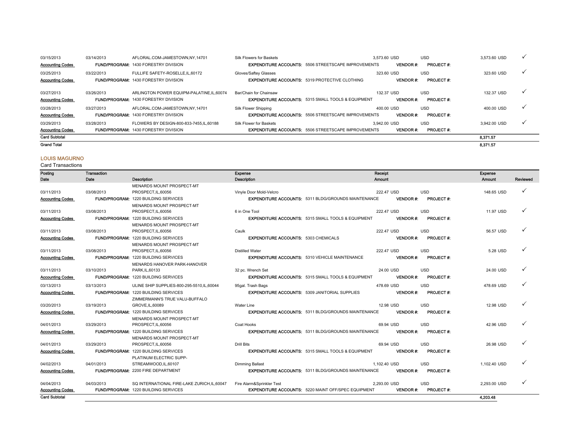| <b>Grand Total</b>                    |            |                                                                                         |                                                                                         |                                 |                                | 8.371.57     |              |
|---------------------------------------|------------|-----------------------------------------------------------------------------------------|-----------------------------------------------------------------------------------------|---------------------------------|--------------------------------|--------------|--------------|
| <b>Card Subtotal</b>                  |            |                                                                                         |                                                                                         |                                 |                                | 8.371.57     |              |
| 03/29/2013<br><b>Accounting Codes</b> | 03/28/2013 | FLOWERS BY DESIGN-800-833-7455.IL.60188<br><b>FUND/PROGRAM: 1430 FORESTRY DIVISION</b>  | Silk Flower for Baskets<br><b>EXPENDITURE ACCOUNTS: 5506 STREETSCAPE IMPROVEMENTS</b>   | 3.942.00 USD<br><b>VENDOR#:</b> | <b>USD</b><br><b>PROJECT#:</b> | 3.942.00 USD | $\checkmark$ |
| 03/28/2013<br><b>Accounting Codes</b> | 03/27/2013 | AFLORAL.COM-JAMESTOWN.NY.14701<br><b>FUND/PROGRAM: 1430 FORESTRY DIVISION</b>           | Silk Flower Shipping<br><b>EXPENDITURE ACCOUNTS: 5506 STREETSCAPE IMPROVEMENTS</b>      | 400.00 USD<br><b>VENDOR#:</b>   | <b>USD</b><br><b>PROJECT#:</b> | 400.00 USD   | $\checkmark$ |
| 03/27/2013<br><b>Accounting Codes</b> | 03/26/2013 | ARLINGTON POWER EQUIPM-PALATINE.IL.60074<br><b>FUND/PROGRAM: 1430 FORESTRY DIVISION</b> | Bar/Chain for Chainsaw<br><b>EXPENDITURE ACCOUNTS: 5315 SMALL TOOLS &amp; EQUIPMENT</b> | 132.37 USD<br><b>VENDOR#:</b>   | <b>USD</b><br><b>PROJECT#:</b> | 132.37 USD   | $\checkmark$ |
| 03/25/2013<br><b>Accounting Codes</b> | 03/22/2013 | FULLIFE SAFETY-ROSELLE.IL.60172<br><b>FUND/PROGRAM: 1430 FORESTRY DIVISION</b>          | Gloves/Saftey Glasses<br><b>EXPENDITURE ACCOUNTS: 5319 PROTECTIVE CLOTHING</b>          | 323.60 USD<br><b>VENDOR#:</b>   | <b>USD</b><br><b>PROJECT#:</b> | 323.60 USD   | $\checkmark$ |
| 03/15/2013<br><b>Accounting Codes</b> | 03/14/2013 | AFLORAL.COM-JAMESTOWN.NY.14701<br><b>FUND/PROGRAM: 1430 FORESTRY DIVISION</b>           | Silk Flowers for Baskets<br><b>EXPENDITURE ACCOUNTS: 5506 STREETSCAPE IMPROVEMENTS</b>  | 3.573.60 USD<br><b>VENDOR#:</b> | <b>USD</b><br><b>PROJECT#:</b> | 3.573.60 USD |              |

### LOUIS MAGURNO

| Posting                 | Transaction |                                             | Expense                                     |                                                               | Receipt       |                 |                  | <b>Expense</b> |          |
|-------------------------|-------------|---------------------------------------------|---------------------------------------------|---------------------------------------------------------------|---------------|-----------------|------------------|----------------|----------|
| Date                    | Date        | Description                                 | Description                                 |                                                               | <b>Amount</b> |                 |                  | Amount         | Reviewed |
|                         |             | MENARDS MOUNT PROSPECT-MT                   |                                             |                                                               |               |                 |                  |                |          |
| 03/11/2013              | 03/08/2013  | PROSPECT, IL, 60056                         | Vinyle Door Mold-Velcro                     |                                                               | 222.47 USD    |                 | <b>USD</b>       | 148.65 USD     | ✓        |
| <b>Accounting Codes</b> |             | <b>FUND/PROGRAM: 1220 BUILDING SERVICES</b> |                                             | <b>EXPENDITURE ACCOUNTS: 5311 BLDG/GROUNDS MAINTENANCE</b>    |               | <b>VENDOR#:</b> | <b>PROJECT#:</b> |                |          |
|                         |             | MENARDS MOUNT PROSPECT-MT                   |                                             |                                                               |               |                 |                  |                |          |
| 03/11/2013              | 03/08/2013  | PROSPECT, IL, 60056                         | 6 in One Tool                               |                                                               | 222.47 USD    |                 | <b>USD</b>       | 11.97 USD      | ✓        |
| <b>Accounting Codes</b> |             | <b>FUND/PROGRAM: 1220 BUILDING SERVICES</b> |                                             | <b>EXPENDITURE ACCOUNTS: 5315 SMALL TOOLS &amp; EQUIPMENT</b> |               | <b>VENDOR#:</b> | PROJECT#:        |                |          |
|                         |             | MENARDS MOUNT PROSPECT-MT                   |                                             |                                                               |               |                 |                  |                |          |
| 03/11/2013              | 03/08/2013  | PROSPECT.IL.60056                           | Caulk                                       |                                                               | 222.47 USD    |                 | <b>USD</b>       | 56.57 USD      | ✓        |
| <b>Accounting Codes</b> |             | <b>FUND/PROGRAM: 1220 BUILDING SERVICES</b> | <b>EXPENDITURE ACCOUNTS: 5303 CHEMICALS</b> |                                                               |               | <b>VENDOR#:</b> | <b>PROJECT#:</b> |                |          |
|                         |             | <b>MENARDS MOUNT PROSPECT-MT</b>            |                                             |                                                               |               |                 |                  |                |          |
| 03/11/2013              | 03/08/2013  | PROSPECT, IL, 60056                         | <b>Distilled Water</b>                      |                                                               | 222.47 USD    |                 | <b>USD</b>       | 5.28 USD       | ✓        |
| <b>Accounting Codes</b> |             | FUND/PROGRAM: 1220 BUILDING SERVICES        |                                             | <b>EXPENDITURE ACCOUNTS: 5310 VEHICLE MAINTENANCE</b>         |               | <b>VENDOR#:</b> | <b>PROJECT#:</b> |                |          |
|                         |             | MENARDS HANOVER PARK-HANOVER                |                                             |                                                               |               |                 |                  |                |          |
| 03/11/2013              | 03/10/2013  | PARK.IL.60133                               | 32 pc. Wrench Set                           |                                                               | 24.00 USD     |                 | <b>USD</b>       | 24.00 USD      | ✓        |
| <b>Accounting Codes</b> |             | <b>FUND/PROGRAM: 1220 BUILDING SERVICES</b> |                                             | <b>EXPENDITURE ACCOUNTS: 5315 SMALL TOOLS &amp; EQUIPMENT</b> |               | <b>VENDOR#:</b> | <b>PROJECT#:</b> |                |          |
| 03/13/2013              | 03/13/2013  | ULINE SHIP SUPPLIES-800-295-5510.IL.60044   | 95gal. Trash Bags                           |                                                               | 478.69 USD    |                 | <b>USD</b>       | 478.69 USD     | ✓        |
| <b>Accounting Codes</b> |             | <b>FUND/PROGRAM: 1220 BUILDING SERVICES</b> |                                             | <b>EXPENDITURE ACCOUNTS: 5309 JANITORIAL SUPPLIES</b>         |               | <b>VENDOR#:</b> | <b>PROJECT#:</b> |                |          |
|                         |             | ZIMMERMANN'S TRUE VALU-BUFFALO              |                                             |                                                               |               |                 |                  |                |          |
| 03/20/2013              | 03/19/2013  | GROVE.IL.60089                              | Water Line                                  |                                                               | 12.98 USD     |                 | <b>USD</b>       | 12.98 USD      | ✓        |
| <b>Accounting Codes</b> |             | FUND/PROGRAM: 1220 BUILDING SERVICES        |                                             | <b>EXPENDITURE ACCOUNTS: 5311 BLDG/GROUNDS MAINTENANCE</b>    |               | <b>VENDOR#:</b> | <b>PROJECT#:</b> |                |          |
|                         |             | MENARDS MOUNT PROSPECT-MT                   |                                             |                                                               |               |                 |                  |                |          |
| 04/01/2013              | 03/29/2013  | PROSPECT.IL.60056                           | Coat Hooks                                  |                                                               | 69.94 USD     |                 | <b>USD</b>       | 42.96 USD      | ✓        |
| <b>Accounting Codes</b> |             | <b>FUND/PROGRAM: 1220 BUILDING SERVICES</b> |                                             | <b>EXPENDITURE ACCOUNTS: 5311 BLDG/GROUNDS MAINTENANCE</b>    |               | <b>VENDOR#:</b> | <b>PROJECT#:</b> |                |          |
|                         |             | MENARDS MOUNT PROSPECT-MT                   |                                             |                                                               |               |                 |                  |                |          |
| 04/01/2013              | 03/29/2013  | PROSPECT, IL, 60056                         | <b>Drill Bits</b>                           |                                                               | 69.94 USD     |                 | <b>USD</b>       | 26.98 USD      | ✓        |
| <b>Accounting Codes</b> |             | FUND/PROGRAM: 1220 BUILDING SERVICES        |                                             | <b>EXPENDITURE ACCOUNTS: 5315 SMALL TOOLS &amp; EQUIPMENT</b> |               | <b>VENDOR#:</b> | <b>PROJECT#:</b> |                |          |
|                         |             | PLATINUM ELECTRIC SUPP-                     |                                             |                                                               |               |                 |                  |                |          |
| 04/02/2013              | 04/01/2013  | STREAMWOOD, IL, 60107                       | Dimming Ballast                             |                                                               | 1.102.40 USD  |                 | <b>USD</b>       | 1,102.40 USD   | ✓        |
| <b>Accounting Codes</b> |             | <b>FUND/PROGRAM: 2200 FIRE DEPARTMENT</b>   |                                             | <b>EXPENDITURE ACCOUNTS: 5311 BLDG/GROUNDS MAINTENANCE</b>    |               | <b>VENDOR#:</b> | <b>PROJECT#:</b> |                |          |
| 04/04/2013              | 04/03/2013  | SQ INTERNATIONAL FIRE-LAKE ZURICH.IL.60047  | Fire Alarm&Sprinkler Test                   |                                                               | 2,293.00 USD  |                 | <b>USD</b>       | 2,293.00 USD   | ✓        |
| <b>Accounting Codes</b> |             | <b>FUND/PROGRAM: 1220 BUILDING SERVICES</b> |                                             | <b>EXPENDITURE ACCOUNTS: 5220 MAINT OFF/SPEC EQUIPMENT</b>    |               | <b>VENDOR#:</b> | PROJECT#:        |                |          |
| <b>Card Subtotal</b>    |             |                                             |                                             |                                                               |               |                 |                  | 4,203.48       |          |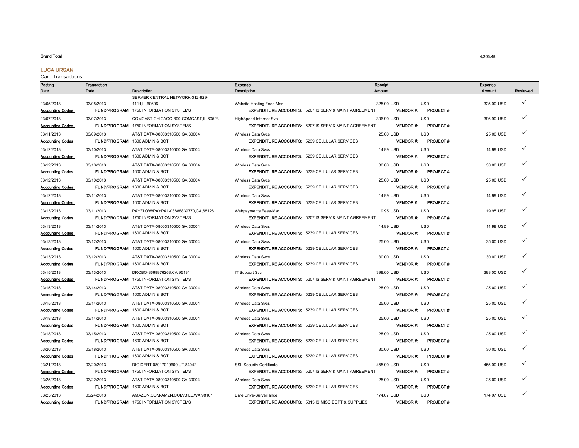#### Grand Total

### LUCA URSAN

| Posting                 | Transaction |                                                                                      | Expense                                                                          |                                                                 | Receipt    |                 |                                | Expense    |          |
|-------------------------|-------------|--------------------------------------------------------------------------------------|----------------------------------------------------------------------------------|-----------------------------------------------------------------|------------|-----------------|--------------------------------|------------|----------|
| Date                    | Date        | <b>Description</b>                                                                   | <b>Description</b>                                                               |                                                                 | Amount     |                 |                                | Amount     | Reviewed |
|                         |             | SERVER CENTRAL NETWORK-312-829-                                                      |                                                                                  |                                                                 |            |                 |                                |            |          |
| 03/05/2013              | 03/05/2013  | 1111, IL, 60606                                                                      | Website Hosting Fees-Mar                                                         |                                                                 | 325.00 USD |                 | <b>USD</b>                     | 325.00 USD | ✓        |
| <b>Accounting Codes</b> |             | FUND/PROGRAM: 1750 INFORMATION SYSTEMS                                               |                                                                                  | <b>EXPENDITURE ACCOUNTS: 5207 IS SERV &amp; MAINT AGREEMENT</b> |            | <b>VENDOR#:</b> | <b>PROJECT#:</b>               |            |          |
| 03/07/2013              | 03/07/2013  | COMCAST CHICAGO-800-COMCAST, IL, 60523                                               | <b>HighSpeed Internet Svc</b>                                                    |                                                                 | 396.90 USD |                 | <b>USD</b>                     | 396.90 USD |          |
| <b>Accounting Codes</b> |             | <b>FUND/PROGRAM: 1750 INFORMATION SYSTEMS</b>                                        |                                                                                  | <b>EXPENDITURE ACCOUNTS: 5207 IS SERV &amp; MAINT AGREEMENT</b> |            | <b>VENDOR#:</b> | <b>PROJECT#:</b>               |            |          |
| 03/11/2013              | 03/09/2013  | AT&T DATA-08003310500.GA.30004                                                       | <b>Wireless Data Sycs</b>                                                        |                                                                 | 25.00 USD  |                 | <b>USD</b>                     | 25.00 USD  |          |
| <b>Accounting Codes</b> |             | FUND/PROGRAM: 1600 ADMIN & BOT                                                       |                                                                                  | <b>EXPENDITURE ACCOUNTS: 5239 CELLULAR SERVICES</b>             |            | <b>VENDOR#:</b> | PROJECT #:                     |            |          |
| 03/12/2013              | 03/10/2013  | AT&T DATA-08003310500, GA, 30004                                                     | <b>Wireless Data Svcs</b>                                                        |                                                                 | 14.99 USD  |                 | <b>USD</b>                     | 14.99 USD  | ✓        |
| <b>Accounting Codes</b> |             | FUND/PROGRAM: 1600 ADMIN & BOT                                                       |                                                                                  | <b>EXPENDITURE ACCOUNTS: 5239 CELLULAR SERVICES</b>             |            | <b>VENDOR#:</b> | <b>PROJECT#:</b>               |            |          |
| 03/12/2013              | 03/10/2013  | AT&T DATA-08003310500, GA, 30004                                                     | <b>Wireless Data Svcs</b>                                                        |                                                                 | 30.00 USD  |                 | <b>USD</b>                     | 30.00 USD  | ✓        |
| <b>Accounting Codes</b> |             | FUND/PROGRAM: 1600 ADMIN & BOT                                                       | <b>EXPENDITURE ACCOUNTS: 5239 CELLULAR SERVICES</b>                              |                                                                 |            | <b>VENDOR#:</b> | <b>PROJECT#:</b>               |            |          |
| 03/12/2013              | 03/10/2013  | AT&T DATA-08003310500.GA.30004                                                       | <b>Wireless Data Svcs</b>                                                        |                                                                 | 25.00 USD  |                 | <b>USD</b>                     | 25.00 USD  | ✓        |
| <b>Accounting Codes</b> |             | FUND/PROGRAM: 1600 ADMIN & BOT                                                       | <b>EXPENDITURE ACCOUNTS: 5239 CELLULAR SERVICES</b>                              |                                                                 |            | <b>VENDOR#:</b> | PROJECT #:                     |            |          |
| 03/12/2013              | 03/11/2013  | AT&T DATA-08003310500, GA, 30004                                                     | <b>Wireless Data Svcs</b>                                                        |                                                                 | 14.99 USD  |                 | <b>USD</b>                     | 14.99 USD  |          |
| <b>Accounting Codes</b> |             | FUND/PROGRAM: 1600 ADMIN & BOT                                                       | <b>EXPENDITURE ACCOUNTS: 5239 CELLULAR SERVICES</b>                              |                                                                 |            | <b>VENDOR#:</b> | PROJECT #:                     |            |          |
|                         |             |                                                                                      |                                                                                  |                                                                 |            |                 |                                |            |          |
| 03/13/2013              | 03/11/2013  | PAYFLOW/PAYPAL-08888839770,CA,68128<br><b>FUND/PROGRAM: 1750 INFORMATION SYSTEMS</b> | Webpayments Fees-Mar                                                             | <b>EXPENDITURE ACCOUNTS: 5207 IS SERV &amp; MAINT AGREEMENT</b> | 19.95 USD  | <b>VENDOR#:</b> | <b>USD</b><br><b>PROJECT#:</b> | 19.95 USD  |          |
| <b>Accounting Codes</b> |             |                                                                                      |                                                                                  |                                                                 |            |                 |                                |            |          |
| 03/13/2013              | 03/11/2013  | AT&T DATA-08003310500, GA, 30004                                                     | <b>Wireless Data Sycs</b>                                                        |                                                                 | 14.99 USD  |                 | <b>USD</b>                     | 14.99 USD  |          |
| <b>Accounting Codes</b> |             | FUND/PROGRAM: 1600 ADMIN & BOT                                                       |                                                                                  | <b>EXPENDITURE ACCOUNTS: 5239 CELLULAR SERVICES</b>             |            | <b>VENDOR#:</b> | PROJECT #:                     |            |          |
| 03/13/2013              | 03/12/2013  | AT&T DATA-08003310500.GA.30004                                                       | <b>Wireless Data Svcs</b>                                                        |                                                                 | 25.00 USD  |                 | <b>USD</b>                     | 25.00 USD  | ✓        |
| <b>Accounting Codes</b> |             | FUND/PROGRAM: 1600 ADMIN & BOT                                                       |                                                                                  | <b>EXPENDITURE ACCOUNTS: 5239 CELLULAR SERVICES</b>             |            | <b>VENDOR#:</b> | <b>PROJECT#:</b>               |            |          |
| 03/13/2013              | 03/12/2013  | AT&T DATA-08003310500.GA.30004                                                       | <b>Wireless Data Sycs</b>                                                        |                                                                 | 30.00 USD  |                 | <b>USD</b>                     | 30.00 USD  | ✓        |
| <b>Accounting Codes</b> |             | FUND/PROGRAM: 1600 ADMIN & BOT                                                       |                                                                                  | <b>EXPENDITURE ACCOUNTS: 5239 CELLULAR SERVICES</b>             |            | <b>VENDOR#:</b> | PROJECT #:                     |            |          |
| 03/15/2013              | 03/13/2013  | DROBO-8669976268, CA, 95131                                                          | IT Support Svc                                                                   |                                                                 | 398.00 USD |                 | <b>USD</b>                     | 398.00 USD | ✓        |
| <b>Accounting Codes</b> |             | <b>FUND/PROGRAM: 1750 INFORMATION SYSTEMS</b>                                        |                                                                                  | <b>EXPENDITURE ACCOUNTS: 5207 IS SERV &amp; MAINT AGREEMENT</b> |            | <b>VENDOR#:</b> | PROJECT #:                     |            |          |
| 03/15/2013              | 03/14/2013  | AT&T DATA-08003310500, GA, 30004                                                     | <b>Wireless Data Svcs</b>                                                        |                                                                 | 25.00 USD  |                 | <b>USD</b>                     | 25.00 USD  | ✓        |
| <b>Accounting Codes</b> |             | FUND/PROGRAM: 1600 ADMIN & BOT                                                       |                                                                                  | <b>EXPENDITURE ACCOUNTS: 5239 CELLULAR SERVICES</b>             |            | <b>VENDOR#:</b> | <b>PROJECT#:</b>               |            |          |
| 03/15/2013              | 03/14/2013  | AT&T DATA-08003310500, GA, 30004                                                     | <b>Wireless Data Svcs</b>                                                        |                                                                 | 25.00 USD  |                 | <b>USD</b>                     | 25.00 USD  |          |
| <b>Accounting Codes</b> |             | FUND/PROGRAM: 1600 ADMIN & BOT                                                       | <b>EXPENDITURE ACCOUNTS: 5239 CELLULAR SERVICES</b>                              |                                                                 |            | <b>VENDOR#:</b> | <b>PROJECT#:</b>               |            |          |
| 03/18/2013              | 03/14/2013  | AT&T DATA-08003310500, GA, 30004                                                     | <b>Wireless Data Svcs</b>                                                        |                                                                 | 25.00 USD  |                 | <b>USD</b>                     | 25.00 USD  |          |
| <b>Accounting Codes</b> |             | <b>FUND/PROGRAM: 1600 ADMIN &amp; BOT</b>                                            |                                                                                  | <b>EXPENDITURE ACCOUNTS: 5239 CELLULAR SERVICES</b>             |            | <b>VENDOR#:</b> | <b>PROJECT#:</b>               |            |          |
| 03/18/2013              | 03/15/2013  | AT&T DATA-08003310500.GA.30004                                                       | <b>Wireless Data Sycs</b>                                                        |                                                                 | 25.00 USD  |                 | <b>USD</b>                     | 25.00 USD  |          |
| <b>Accounting Codes</b> |             | FUND/PROGRAM: 1600 ADMIN & BOT                                                       |                                                                                  | <b>EXPENDITURE ACCOUNTS: 5239 CELLULAR SERVICES</b>             |            | <b>VENDOR#:</b> | PROJECT #:                     |            |          |
| 03/20/2013              | 03/18/2013  | AT&T DATA-08003310500, GA, 30004                                                     | <b>Wireless Data Svcs</b>                                                        |                                                                 | 30.00 USD  |                 | <b>USD</b>                     | 30.00 USD  | ✓        |
| <b>Accounting Codes</b> |             | FUND/PROGRAM: 1600 ADMIN & BOT                                                       |                                                                                  | <b>EXPENDITURE ACCOUNTS: 5239 CELLULAR SERVICES</b>             |            | <b>VENDOR#:</b> | <b>PROJECT#:</b>               |            |          |
| 03/21/2013              | 03/20/2013  | DIGICERT-08017019600,UT,84042                                                        | <b>SSL Security Certificate</b>                                                  |                                                                 | 455.00 USD |                 | <b>USD</b>                     | 455.00 USD |          |
| <b>Accounting Codes</b> |             | FUND/PROGRAM: 1750 INFORMATION SYSTEMS                                               |                                                                                  | <b>EXPENDITURE ACCOUNTS: 5207 IS SERV &amp; MAINT AGREEMENT</b> |            | <b>VENDOR#:</b> | <b>PROJECT#:</b>               |            |          |
|                         |             |                                                                                      |                                                                                  |                                                                 |            |                 |                                |            |          |
| 03/25/2013              | 03/22/2013  | AT&T DATA-08003310500, GA, 30004<br>FUND/PROGRAM: 1600 ADMIN & BOT                   | <b>Wireless Data Svcs</b><br><b>EXPENDITURE ACCOUNTS: 5239 CELLULAR SERVICES</b> |                                                                 | 25.00 USD  | <b>VENDOR#:</b> | <b>USD</b><br>PROJECT #:       | 25.00 USD  |          |
| <b>Accounting Codes</b> |             |                                                                                      |                                                                                  |                                                                 |            |                 |                                |            |          |
| 03/25/2013              | 03/24/2013  | AMAZON.COM-AMZN.COM/BILL,WA,98101                                                    | Bare Drive-Surveillance                                                          |                                                                 | 174.07 USD |                 | <b>USD</b>                     | 174.07 USD |          |
| <b>Accounting Codes</b> |             | FUND/PROGRAM: 1750 INFORMATION SYSTEMS                                               |                                                                                  | <b>EXPENDITURE ACCOUNTS: 5313 IS MISC EQPT &amp; SUPPLIES</b>   |            | <b>VENDOR#:</b> | PROJECT #:                     |            |          |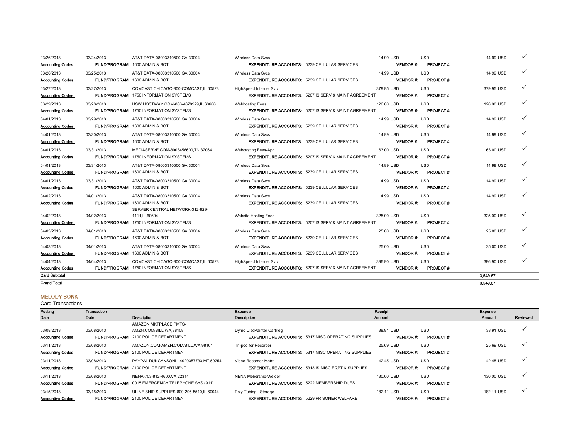| 03/26/2013<br><b>Accounting Codes</b>                         | 03/24/2013 | AT&T DATA-08003310500.GA.30004<br>FUND/PROGRAM: 1600 ADMIN & BOT                                      | <b>Wireless Data Svcs</b><br><b>EXPENDITURE ACCOUNTS: 5239 CELLULAR SERVICES</b> |                                                                 | 14.99 USD  | <b>VENDOR#:</b>  | <b>USD</b><br><b>PROJECT#:</b>  | 14.99 USD              |   |
|---------------------------------------------------------------|------------|-------------------------------------------------------------------------------------------------------|----------------------------------------------------------------------------------|-----------------------------------------------------------------|------------|------------------|---------------------------------|------------------------|---|
| 03/26/2013<br><b>Accounting Codes</b>                         | 03/25/2013 | AT&T DATA-08003310500.GA.30004<br><b>FUND/PROGRAM: 1600 ADMIN &amp; BOT</b>                           | <b>Wireless Data Svcs</b><br><b>EXPENDITURE ACCOUNTS: 5239 CELLULAR SERVICES</b> |                                                                 | 14.99 USD  | <b>VENDOR#:</b>  | <b>USD</b><br><b>PROJECT#:</b>  | 14.99 USD              |   |
| 03/27/2013<br><b>Accounting Codes</b>                         | 03/27/2013 | COMCAST CHICAGO-800-COMCAST.IL.60523<br><b>FUND/PROGRAM: 1750 INFORMATION SYSTEMS</b>                 | HighSpeed Internet Svc                                                           | <b>EXPENDITURE ACCOUNTS: 5207 IS SERV &amp; MAINT AGREEMENT</b> | 379.95 USD | <b>VENDOR#:</b>  | <b>USD</b><br><b>PROJECT#:</b>  | 379.95 USD             | ✓ |
| 03/29/2013<br><b>Accounting Codes</b>                         | 03/28/2013 | HSW HOSTWAY.COM-866-4678929.IL.60606<br><b>FUND/PROGRAM: 1750 INFORMATION SYSTEMS</b>                 | <b>Webhosting Fees</b>                                                           | <b>EXPENDITURE ACCOUNTS: 5207 IS SERV &amp; MAINT AGREEMENT</b> | 126,00 USD | <b>VENDOR#:</b>  | <b>USD</b><br><b>PROJECT#:</b>  | 126,00 USD             | ✓ |
| 04/01/2013<br><b>Accounting Codes</b>                         | 03/29/2013 | AT&T DATA-08003310500, GA, 30004<br><b>FUND/PROGRAM: 1600 ADMIN &amp; BOT</b>                         | <b>Wireless Data Svcs</b><br><b>EXPENDITURE ACCOUNTS: 5239 CELLULAR SERVICES</b> |                                                                 | 14.99 USD  | <b>VENDOR#:</b>  | <b>USD</b><br><b>PROJECT#:</b>  | 14.99 USD              | ✓ |
| 04/01/2013<br><b>Accounting Codes</b>                         | 03/30/2013 | AT&T DATA-08003310500.GA.30004<br>FUND/PROGRAM: 1600 ADMIN & BOT                                      | <b>Wireless Data Svcs</b><br><b>EXPENDITURE ACCOUNTS: 5239 CELLULAR SERVICES</b> |                                                                 | 14.99 USD  | <b>VENDOR#:</b>  | <b>USD</b><br><b>PROJECT#:</b>  | 14.99 USD              | ✓ |
| 04/01/2013<br><b>Accounting Codes</b>                         | 03/31/2013 | MEDIASERVE.COM-8003456600,TN,37064<br><b>FUND/PROGRAM: 1750 INFORMATION SYSTEMS</b>                   | Webcasting Fees-Apr                                                              | <b>EXPENDITURE ACCOUNTS: 5207 IS SERV &amp; MAINT AGREEMENT</b> | 63.00 USD  | <b>VENDOR#:</b>  | <b>USD</b><br><b>PROJECT#:</b>  | 63.00 USD              | ✓ |
| 04/01/2013<br><b>Accounting Codes</b>                         | 03/31/2013 | AT&T DATA-08003310500.GA.30004<br>FUND/PROGRAM: 1600 ADMIN & BOT                                      | <b>Wireless Data Svcs</b><br><b>EXPENDITURE ACCOUNTS: 5239 CELLULAR SERVICES</b> |                                                                 | 14.99 USD  | <b>VENDOR#:</b>  | <b>USD</b><br><b>PROJECT#:</b>  | 14.99 USD              | ✓ |
| 04/01/2013<br><b>Accounting Codes</b>                         | 03/31/2013 | AT&T DATA-08003310500, GA, 30004<br>FUND/PROGRAM: 1600 ADMIN & BOT                                    | <b>Wireless Data Svcs</b><br><b>EXPENDITURE ACCOUNTS: 5239 CELLULAR SERVICES</b> |                                                                 | 14.99 USD  | <b>VENDOR#:</b>  | <b>USD</b><br><b>PROJECT#:</b>  | 14.99 USD              | ✓ |
| 04/02/2013<br><b>Accounting Codes</b>                         | 04/01/2013 | AT&T DATA-08003310500, GA, 30004<br>FUND/PROGRAM: 1600 ADMIN & BOT<br>SERVER CENTRAL NETWORK-312-829- | Wireless Data Svcs<br><b>EXPENDITURE ACCOUNTS: 5239 CELLULAR SERVICES</b>        |                                                                 | 14.99 USD  | <b>VENDOR#:</b>  | <b>USD</b><br><b>PROJECT #:</b> | 14.99 USD              | ✓ |
| 04/02/2013<br><b>Accounting Codes</b>                         | 04/02/2013 | 1111.IL.60604<br><b>FUND/PROGRAM: 1750 INFORMATION SYSTEMS</b>                                        | <b>Website Hosting Fees</b>                                                      | <b>EXPENDITURE ACCOUNTS:</b> 5207 IS SERV & MAINT AGREEMENT     | 325.00 USD | <b>VENDOR</b> #: | <b>USD</b><br><b>PROJECT#:</b>  | 325.00 USD             | ✓ |
| 04/03/2013<br><b>Accounting Codes</b>                         | 04/01/2013 | AT&T DATA-08003310500.GA.30004<br>FUND/PROGRAM: 1600 ADMIN & BOT                                      | <b>Wireless Data Svcs</b><br><b>EXPENDITURE ACCOUNTS: 5239 CELLULAR SERVICES</b> |                                                                 | 25.00 USD  | <b>VENDOR#:</b>  | <b>USD</b><br><b>PROJECT#:</b>  | 25.00 USD              | ✓ |
| 04/03/2013<br><b>Accounting Codes</b>                         | 04/01/2013 | AT&T DATA-08003310500.GA.30004<br>FUND/PROGRAM: 1600 ADMIN & BOT                                      | <b>Wireless Data Svcs</b><br><b>EXPENDITURE ACCOUNTS: 5239 CELLULAR SERVICES</b> |                                                                 | 25.00 USD  | <b>VENDOR#:</b>  | <b>USD</b><br><b>PROJECT#:</b>  | 25.00 USD              | ✓ |
| 04/04/2013<br><b>Accounting Codes</b><br><b>Card Subtotal</b> | 04/04/2013 | COMCAST CHICAGO-800-COMCAST, IL, 60523<br><b>FUND/PROGRAM: 1750 INFORMATION SYSTEMS</b>               | HighSpeed Internet Svc                                                           | <b>EXPENDITURE ACCOUNTS: 5207 IS SERV &amp; MAINT AGREEMENT</b> | 396.90 USD | <b>VENDOR#:</b>  | <b>USD</b><br>PROJECT #:        | 396.90 USD<br>3.549.67 | ✓ |

## Grand Total

MELODY BONK

Card Transactions

| Posting                 | Transaction |                                                         | Expense                                                       | Receipt         |                  | Expense    |              |
|-------------------------|-------------|---------------------------------------------------------|---------------------------------------------------------------|-----------------|------------------|------------|--------------|
| Date                    | Date        | <b>Description</b>                                      | Description                                                   | Amount          |                  | Amount     | Reviewed     |
|                         |             | AMAZON MKTPLACE PMTS-                                   |                                                               |                 |                  |            |              |
| 03/08/2013              | 03/08/2013  | AMZN.COM/BILL.WA.98108                                  | Dymo DiscPainter Cartridg                                     | 38.91 USD       | <b>USD</b>       | 38.91 USD  |              |
| <b>Accounting Codes</b> |             | <b>FUND/PROGRAM: 2100 POLICE DEPARTMENT</b>             | <b>EXPENDITURE ACCOUNTS: 5317 MISC OPERATING SUPPLIES</b>     | <b>VENDOR#:</b> | <b>PROJECT#:</b> |            |              |
| 03/11/2013              | 03/08/2013  | AMAZON.COM-AMZN.COM/BILL.WA.98101                       | Tri-pod for Recorder                                          | 25.69 USD       | <b>USD</b>       | 25.69 USD  | $\checkmark$ |
| <b>Accounting Codes</b> |             | <b>FUND/PROGRAM: 2100 POLICE DEPARTMENT</b>             | <b>EXPENDITURE ACCOUNTS: 5317 MISC OPERATING SUPPLIES</b>     | <b>VENDOR#:</b> | <b>PROJECT#:</b> |            |              |
| 03/11/2013              | 03/08/2013  | PAYPAL DUNCANSONLI-4029357733.MT.59254                  | Video Recorder-Metra                                          | 42.45 USD       | <b>USD</b>       | 42.45 USD  | √            |
| <b>Accounting Codes</b> |             | <b>FUND/PROGRAM: 2100 POLICE DEPARTMENT</b>             | <b>EXPENDITURE ACCOUNTS: 5313 IS MISC EQPT &amp; SUPPLIES</b> | <b>VENDOR#:</b> | <b>PROJECT#:</b> |            |              |
| 03/11/2013              | 03/08/2013  | NENA-703-812-4600.VA.22314                              | NENA Mebership-Weider                                         | 130.00 USD      | <b>USD</b>       | 130.00 USD | $\checkmark$ |
| <b>Accounting Codes</b> |             | <b>FUND/PROGRAM: 0015 EMERGENCY TELEPHONE SYS (911)</b> | <b>EXPENDITURE ACCOUNTS: 5222 MEMBERSHIP DUES</b>             | <b>VENDOR#:</b> | <b>PROJECT#:</b> |            |              |
| 03/15/2013              | 03/15/2013  | ULINE SHIP SUPPLIES-800-295-5510.IL.60044               | Poly-Tubing - Storage                                         | 182.11 USD      | <b>USD</b>       | 182.11 USD | $\checkmark$ |
| <b>Accounting Codes</b> |             | <b>FUND/PROGRAM: 2100 POLICE DEPARTMENT</b>             | <b>EXPENDITURE ACCOUNTS: 5229 PRISONER WELFARE</b>            | <b>VENDOR#:</b> | <b>PROJECT#:</b> |            |              |

3,549.67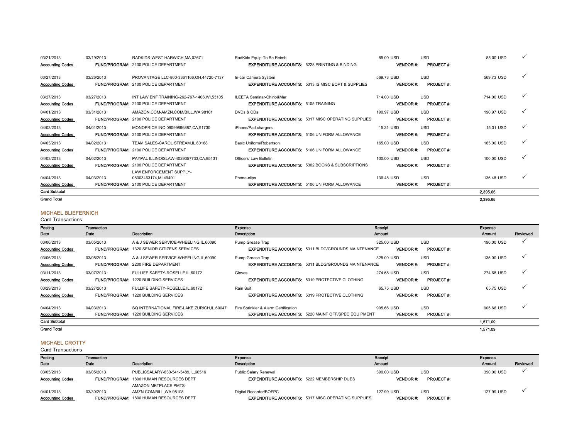| 03/21/2013              | 03/19/2013 | RADKIDS-WEST HARWICH, MA.02671              | RadKids Equip-To Be Reimb                                |                                                               | 85.00 USD       | <b>USD</b>       | 85.00 USD  |   |
|-------------------------|------------|---------------------------------------------|----------------------------------------------------------|---------------------------------------------------------------|-----------------|------------------|------------|---|
| <b>Accounting Codes</b> |            | <b>FUND/PROGRAM: 2100 POLICE DEPARTMENT</b> | <b>EXPENDITURE ACCOUNTS: 5228 PRINTING &amp; BINDING</b> |                                                               | <b>VENDOR#:</b> | <b>PROJECT#:</b> |            |   |
| 03/27/2013              | 03/26/2013 | PROVANTAGE LLC-800-3361166.OH.44720-7137    | In-car Camera System                                     |                                                               | 569.73 USD      | <b>USD</b>       | 569.73 USD | ✓ |
| <b>Accounting Codes</b> |            | <b>FUND/PROGRAM: 2100 POLICE DEPARTMENT</b> |                                                          | <b>EXPENDITURE ACCOUNTS: 5313 IS MISC EQPT &amp; SUPPLIES</b> | <b>VENDOR#:</b> | <b>PROJECT#:</b> |            |   |
| 03/27/2013              | 03/27/2013 | INT LAW ENF TRAINING-262-767-1406.WI.53105  | ILEETA Seminar-Chirio&Mar                                |                                                               | 714.00 USD      | <b>USD</b>       | 714.00 USD | ✓ |
| <b>Accounting Codes</b> |            | <b>FUND/PROGRAM: 2100 POLICE DEPARTMENT</b> | <b>EXPENDITURE ACCOUNTS: 5105 TRAINING</b>               |                                                               | <b>VENDOR#:</b> | <b>PROJECT#:</b> |            |   |
| 04/01/2013              | 03/31/2013 | AMAZON.COM-AMZN.COM/BILL.WA.98101           | DVDs & CDs                                               |                                                               | 190.97 USD      | <b>USD</b>       | 190.97 USD | √ |
| <b>Accounting Codes</b> |            | FUND/PROGRAM: 2100 POLICE DEPARTMENT        |                                                          | <b>EXPENDITURE ACCOUNTS: 5317 MISC OPERATING SUPPLIES</b>     | <b>VENDOR#:</b> | <b>PROJECT#:</b> |            |   |
| 04/03/2013              | 04/01/2013 | MONOPRICE INC-09099896887.CA.91730          | iPhone/Pad chargers                                      |                                                               | 15.31 USD       | <b>USD</b>       | 15.31 USD  |   |
| <b>Accounting Codes</b> |            | <b>FUND/PROGRAM: 2100 POLICE DEPARTMENT</b> |                                                          | <b>EXPENDITURE ACCOUNTS: 5106 UNIFORM ALLOWANCE</b>           | <b>VENDOR#:</b> | <b>PROJECT#:</b> |            |   |
| 04/03/2013              | 04/02/2013 | TEAM SALES-CAROL STREAM.IL.60188            | Basic Uniform/Robertson                                  |                                                               | 165.00 USD      | <b>USD</b>       | 165.00 USD |   |
| <b>Accounting Codes</b> |            | <b>FUND/PROGRAM: 2100 POLICE DEPARTMENT</b> |                                                          | <b>EXPENDITURE ACCOUNTS: 5106 UNIFORM ALLOWANCE</b>           | <b>VENDOR#:</b> | <b>PROJECT#:</b> |            |   |
| 04/03/2013              | 04/02/2013 | PAYPAL ILLINOISLAW-4029357733,CA,95131      | Officers' Law Bulletin                                   |                                                               | 100.00 USD      | <b>USD</b>       | 100.00 USD | ✓ |
| <b>Accounting Codes</b> |            | <b>FUND/PROGRAM: 2100 POLICE DEPARTMENT</b> |                                                          | <b>EXPENDITURE ACCOUNTS: 5302 BOOKS &amp; SUBSCRIPTIONS</b>   | <b>VENDOR#:</b> | <b>PROJECT#:</b> |            |   |
|                         |            | LAW ENFORCEMENT SUPPLY-                     |                                                          |                                                               |                 |                  |            |   |
| 04/04/2013              | 04/03/2013 | 08003463174.MI.49401                        | Phone-clips                                              |                                                               | 136.48 USD      | <b>USD</b>       | 136.48 USD | v |
| <b>Accounting Codes</b> |            | <b>FUND/PROGRAM: 2100 POLICE DEPARTMENT</b> |                                                          | <b>EXPENDITURE ACCOUNTS: 5106 UNIFORM ALLOWANCE</b>           | <b>VENDOR#:</b> | <b>PROJECT#:</b> |            |   |
| <b>Card Subtotal</b>    |            |                                             |                                                          |                                                               |                 |                  | 2,395.65   |   |
| <b>Grand Total</b>      |            |                                             |                                                          |                                                               |                 |                  | 2,395.65   |   |

#### MICHAEL BLIEFERNICH

Card Transactions

| Posting                 | Transaction |                                                    | Expense                                               |                                                            | Receipt          |                  | Expense       |              |
|-------------------------|-------------|----------------------------------------------------|-------------------------------------------------------|------------------------------------------------------------|------------------|------------------|---------------|--------------|
| Date                    | Date        | <b>Description</b>                                 | Description                                           |                                                            | <b>Amount</b>    |                  | <b>Amount</b> | Reviewed     |
| 03/06/2013              | 03/05/2013  | A & J SEWER SERVICE-WHEELING.IL.60090              | Pump Grease Trap                                      |                                                            | 325.00 USD       | <b>USD</b>       | 190.00 USD    | $\checkmark$ |
| <b>Accounting Codes</b> |             | <b>FUND/PROGRAM: 1320 SENIOR CITIZENS SERVICES</b> |                                                       | <b>EXPENDITURE ACCOUNTS: 5311 BLDG/GROUNDS MAINTENANCE</b> | <b>VENDOR #:</b> | <b>PROJECT#:</b> |               |              |
| 03/06/2013              | 03/05/2013  | A & J SEWER SERVICE-WHEELING, IL, 60090            | Pump Grease Trap                                      |                                                            | 325.00 USD       | <b>USD</b>       | 135.00 USD    | $\checkmark$ |
| <b>Accounting Codes</b> |             | <b>FUND/PROGRAM: 2200 FIRE DEPARTMENT</b>          |                                                       | <b>EXPENDITURE ACCOUNTS: 5311 BLDG/GROUNDS MAINTENANCE</b> | <b>VENDOR#:</b>  | <b>PROJECT#:</b> |               |              |
| 03/11/2013              | 03/07/2013  | FULLIFE SAFETY-ROSELLE.IL.60172                    | Gloves                                                |                                                            | 274.68 USD       | <b>USD</b>       | 274.68 USD    | ✓            |
| <b>Accounting Codes</b> |             | FUND/PROGRAM: 1220 BUILDING SERVICES               | <b>EXPENDITURE ACCOUNTS: 5319 PROTECTIVE CLOTHING</b> |                                                            | <b>VENDOR#:</b>  | <b>PROJECT#:</b> |               |              |
| 03/29/2013              | 03/27/2013  | FULLIFE SAFETY-ROSELLE.IL.60172                    | Rain Suit                                             |                                                            | 65.75 USD        | <b>USD</b>       | 65.75 USD     | $\checkmark$ |
| <b>Accounting Codes</b> |             | <b>FUND/PROGRAM: 1220 BUILDING SERVICES</b>        | <b>EXPENDITURE ACCOUNTS: 5319 PROTECTIVE CLOTHING</b> |                                                            | <b>VENDOR #:</b> | <b>PROJECT#:</b> |               |              |
| 04/04/2013              | 04/03/2013  | SQ INTERNATIONAL FIRE-LAKE ZURICH.IL.60047         | Fire Sprinkler & Alarm Certification                  |                                                            | 905.66 USD       | <b>USD</b>       | 905.66 USD    | $\checkmark$ |
| <b>Accounting Codes</b> |             | <b>FUND/PROGRAM: 1220 BUILDING SERVICES</b>        |                                                       | <b>EXPENDITURE ACCOUNTS: 5220 MAINT OFF/SPEC EQUIPMENT</b> | <b>VENDOR#:</b>  | <b>PROJECT#:</b> |               |              |
| <b>Card Subtotal</b>    |             |                                                    |                                                       |                                                            |                  |                  | 1.571.09      |              |
| <b>Grand Total</b>      |             |                                                    |                                                       |                                                            |                  |                  | 1,571.09      |              |

### MICHAEL CROTTY

| Posting                 | Transaction |                                                | Expense                                                   | Receipt         |                  | Expense    |          |
|-------------------------|-------------|------------------------------------------------|-----------------------------------------------------------|-----------------|------------------|------------|----------|
| Date                    | Date        | Description                                    | <b>Description</b>                                        | <b>Amount</b>   |                  | Amount     | Reviewed |
| 03/05/2013              | 03/05/2013  | PUBLICSALARY-630-541-5489.IL.60516             | Public Salary Renewal                                     | 390.00 USD      | <b>USD</b>       | 390.00 USD |          |
| <b>Accounting Codes</b> |             | <b>FUND/PROGRAM: 1800 HUMAN RESOURCES DEPT</b> | <b>EXPENDITURE ACCOUNTS: 5222 MEMBERSHIP DUES</b>         | <b>VENDOR#:</b> | <b>PROJECT#:</b> |            |          |
|                         |             | AMAZON MKTPLACE PMTS-                          |                                                           |                 |                  |            |          |
| 04/01/2013              | 03/30/2013  | AMZN.COM/BILL.WA.98108                         | Digital Recorder/BOFPC                                    | 127.99 USD      | <b>USD</b>       | 127.99 USD |          |
| <b>Accounting Codes</b> |             | <b>FUND/PROGRAM: 1800 HUMAN RESOURCES DEPT</b> | <b>EXPENDITURE ACCOUNTS: 5317 MISC OPERATING SUPPLIES</b> | <b>VENDOR#</b>  | <b>PROJECT#:</b> |            |          |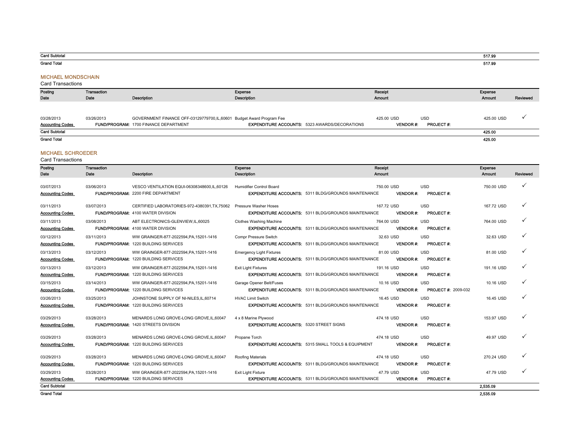#### Card Subtotal

Grand Total

#### MICHAEL MONDSCHAIN

Card Transactions

| Posting                 | Transaction |                                                                      | Expense                                              | Receipt                             | Expense    |          |
|-------------------------|-------------|----------------------------------------------------------------------|------------------------------------------------------|-------------------------------------|------------|----------|
| Date                    | Date        | Description                                                          | <b>Description</b>                                   | <b>Amount</b>                       | Amount     | Reviewed |
|                         |             |                                                                      |                                                      |                                     |            |          |
|                         |             |                                                                      |                                                      |                                     |            |          |
| 03/28/2013              | 03/26/2013  | GOVERNMENT FINANCE OFF-03129779700,IL,60601 Budget Award Program Fee |                                                      | <b>USD</b><br>425.00 USD            | 425.00 USD |          |
| <b>Accounting Codes</b> |             | FUND/PROGRAM: 1700 FINANCE DEPARTMENT                                | <b>EXPENDITURE ACCOUNTS: 5323 AWARDS/DECORATIONS</b> | <b>PROJECT#:</b><br><b>VENDOR#:</b> |            |          |
| <b>Card Subtotal</b>    |             |                                                                      |                                                      |                                     | 425.00     |          |
| <b>Grand Total</b>      |             |                                                                      |                                                      |                                     | 425.00     |          |
|                         |             |                                                                      |                                                      |                                     |            |          |

#### MICHAEL SCHROEDER

Card Transactions

| Posting<br>Date                       | <b>Transaction</b><br>Date | <b>Description</b>                                                                       | Expense<br><b>Description</b>                                                                 | Receipt<br><b>Amount</b> |                                                             | <b>Expense</b><br><b>Amount</b> | Reviewed     |
|---------------------------------------|----------------------------|------------------------------------------------------------------------------------------|-----------------------------------------------------------------------------------------------|--------------------------|-------------------------------------------------------------|---------------------------------|--------------|
| 03/07/2013<br><b>Accounting Codes</b> | 03/06/2013                 | VESCO VENTILATION EQUI-06308348600,IL,60126<br><b>FUND/PROGRAM: 2200 FIRE DEPARTMENT</b> | Humidifier Control Board<br><b>EXPENDITURE ACCOUNTS: 5311 BLDG/GROUNDS MAINTENANCE</b>        | 750.00 USD               | <b>USD</b><br><b>VENDOR#:</b><br><b>PROJECT#:</b>           | 750.00 USD                      | ✓            |
| 03/11/2013<br><b>Accounting Codes</b> | 03/07/2013                 | CERTIFIED LABORATORIES-972-4380391.TX.75062<br><b>FUND/PROGRAM: 4100 WATER DIVISION</b>  | Pressure Washer Hoses<br><b>EXPENDITURE ACCOUNTS: 5311 BLDG/GROUNDS MAINTENANCE</b>           | 167.72 USD               | <b>USD</b><br><b>VENDOR#:</b><br><b>PROJECT#:</b>           | 167.72 USD                      | $\checkmark$ |
| 03/11/2013<br><b>Accounting Codes</b> | 03/08/2013                 | ABT ELECTRONICS-GLENVIEW.IL.60025<br>FUND/PROGRAM: 4100 WATER DIVISION                   | Clothes Washing Machine<br><b>EXPENDITURE ACCOUNTS: 5311 BLDG/GROUNDS MAINTENANCE</b>         | 764.00 USD               | <b>USD</b><br><b>VENDOR#:</b><br><b>PROJECT#:</b>           | 764.00 USD                      | ✓            |
| 03/12/2013<br><b>Accounting Codes</b> | 03/11/2013                 | WW GRAINGER-877-2022594.PA.15201-1416<br><b>FUND/PROGRAM: 1220 BUILDING SERVICES</b>     | Compr Pressure Switch<br><b>EXPENDITURE ACCOUNTS: 5311 BLDG/GROUNDS MAINTENANCE</b>           | 32.63 USD                | <b>USD</b><br><b>VENDOR#:</b><br><b>PROJECT#:</b>           | 32.63 USD                       |              |
| 03/13/2013<br><b>Accounting Codes</b> | 03/12/2013                 | WW GRAINGER-877-2022594, PA, 15201-1416<br><b>FUND/PROGRAM: 1220 BUILDING SERVICES</b>   | <b>Emergency Light Fixtures</b><br><b>EXPENDITURE ACCOUNTS: 5311 BLDG/GROUNDS MAINTENANCE</b> | 81.00 USD                | <b>USD</b><br><b>VENDOR#:</b><br><b>PROJECT#:</b>           | 81.00 USD                       | ✓            |
| 03/13/2013<br><b>Accounting Codes</b> | 03/12/2013                 | WW GRAINGER-877-2022594, PA, 15201-1416<br><b>FUND/PROGRAM: 1220 BUILDING SERVICES</b>   | <b>Exit Light Fixtures</b><br><b>EXPENDITURE ACCOUNTS: 5311 BLDG/GROUNDS MAINTENANCE</b>      | 191.16 USD               | <b>USD</b><br><b>VENDOR#:</b><br><b>PROJECT#:</b>           | 191.16 USD                      |              |
| 03/15/2013<br><b>Accounting Codes</b> | 03/14/2013                 | WW GRAINGER-877-2022594, PA, 15201-1416<br><b>FUND/PROGRAM: 1220 BUILDING SERVICES</b>   | Garage Opener Belt/Fuses<br><b>EXPENDITURE ACCOUNTS: 5311 BLDG/GROUNDS MAINTENANCE</b>        | 10.16 USD                | <b>USD</b><br><b>VENDOR#:</b><br><b>PROJECT #: 2009-032</b> | 10.16 USD                       | ✓            |
| 03/26/2013<br><b>Accounting Codes</b> | 03/25/2013                 | JOHNSTONE SUPPLY OF NI-NILES.IL.60714<br><b>FUND/PROGRAM: 1220 BUILDING SERVICES</b>     | <b>HVAC Limit Switch</b><br><b>EXPENDITURE ACCOUNTS: 5311 BLDG/GROUNDS MAINTENANCE</b>        | 16.45 USD                | <b>USD</b><br><b>VENDOR#:</b><br><b>PROJECT#:</b>           | 16.45 USD                       |              |
| 03/29/2013<br><b>Accounting Codes</b> | 03/28/2013                 | MENARDS LONG GROVE-LONG GROVE.IL.60047<br><b>FUND/PROGRAM: 1420 STREETS DIVISION</b>     | 4 x 8 Marine Plywood<br><b>EXPENDITURE ACCOUNTS: 5320 STREET SIGNS</b>                        | 474.18 USD               | <b>USD</b><br><b>VENDOR#:</b><br><b>PROJECT#:</b>           | 153.97 USD                      |              |
| 03/29/2013<br><b>Accounting Codes</b> | 03/28/2013                 | MENARDS LONG GROVE-LONG GROVE.IL.60047<br><b>FUND/PROGRAM: 1220 BUILDING SERVICES</b>    | Propane Torch<br><b>EXPENDITURE ACCOUNTS: 5315 SMALL TOOLS &amp; EQUIPMENT</b>                | 474.18 USD               | <b>USD</b><br><b>VENDOR#:</b><br><b>PROJECT#:</b>           | 49.97 USD                       | $\checkmark$ |
| 03/29/2013<br><b>Accounting Codes</b> | 03/28/2013                 | MENARDS LONG GROVE-LONG GROVE.IL.60047<br><b>FUND/PROGRAM: 1220 BUILDING SERVICES</b>    | Roofing Materials<br><b>EXPENDITURE ACCOUNTS: 5311 BLDG/GROUNDS MAINTENANCE</b>               | 474.18 USD               | <b>USD</b><br><b>VENDOR#:</b><br><b>PROJECT#:</b>           | 270.24 USD                      | ✓            |
| 03/29/2013<br><b>Accounting Codes</b> | 03/28/2013                 | WW GRAINGER-877-2022594.PA.15201-1416<br><b>FUND/PROGRAM: 1220 BUILDING SERVICES</b>     | <b>Exit Light Fixture</b><br><b>EXPENDITURE ACCOUNTS: 5311 BLDG/GROUNDS MAINTENANCE</b>       | 47.79 USD                | <b>USD</b><br><b>VENDOR#:</b><br><b>PROJECT#:</b>           | 47.79 USD                       | ✓            |
| <b>Card Subtotal</b>                  |                            |                                                                                          |                                                                                               |                          |                                                             | 2.535.09                        |              |
| <b>Grand Total</b>                    |                            |                                                                                          |                                                                                               |                          |                                                             | 2.535.09                        |              |

517.99 517.99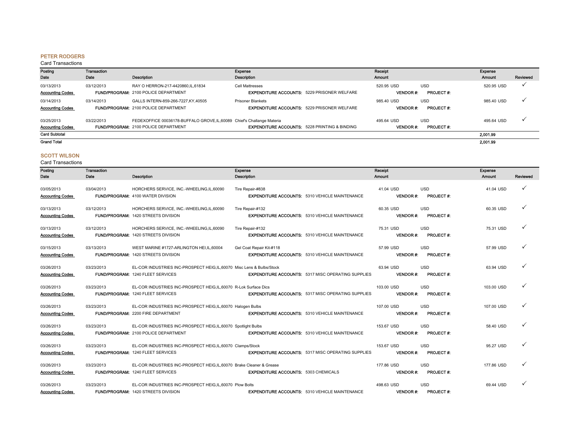#### PETER RODGERS

#### Card Transactions

| Posting<br>Date                       | Transaction<br>Date | <b>Description</b>                                                                                                     | Expense<br>Description                                                         | Rocoipt<br><b>Amount</b>      |                                | Expense<br>Amount | Reviewed |
|---------------------------------------|---------------------|------------------------------------------------------------------------------------------------------------------------|--------------------------------------------------------------------------------|-------------------------------|--------------------------------|-------------------|----------|
| 03/13/2013<br><b>Accounting Codes</b> | 03/12/2013          | RAY O HERRON-217-4420860.IL.61834<br><b>FUND/PROGRAM: 2100 POLICE DEPARTMENT</b>                                       | <b>Cell Mattresses</b><br><b>EXPENDITURE ACCOUNTS: 5229 PRISONER WELFARE</b>   | 520.95 USD<br><b>VENDOR#:</b> | <b>USD</b><br><b>PROJECT#:</b> | 520.95 USD        |          |
| 03/14/2013<br><b>Accounting Codes</b> | 03/14/2013          | GALLS INTERN-859-266-7227.KY.40505<br><b>FUND/PROGRAM: 2100 POLICE DEPARTMENT</b>                                      | <b>Prisoner Blankets</b><br><b>EXPENDITURE ACCOUNTS: 5229 PRISONER WELFARE</b> | 985.40 USD<br><b>VENDOR#:</b> | <b>USD</b><br><b>PROJECT#:</b> | 985.40 USD        |          |
| 03/25/2013<br><b>Accounting Codes</b> | 03/22/2013          | FEDEXOFFICE 00036178-BUFFALO GROVE, IL, 60089 Chief's Challange Materia<br><b>FUND/PROGRAM: 2100 POLICE DEPARTMENT</b> | <b>EXPENDITURE ACCOUNTS: 5228 PRINTING &amp; BINDING</b>                       | 495.64 USD<br><b>VENDOR#:</b> | <b>USD</b><br><b>PROJECT#:</b> | 495.64 USD        |          |
| <b>Card Subtotal</b>                  |                     |                                                                                                                        |                                                                                |                               |                                | 2,001.99          |          |
| <b>Grand Total</b>                    |                     |                                                                                                                        |                                                                                |                               |                                | 2.001.99          |          |

### SCOTT WILSON

| Posting<br>Date                       | Transaction<br>Date | <b>Description</b>                                                                                                 | Expense<br>Description                                                            | Receipt<br><b>Amount</b>      |                                | Expense<br>Amount | Reviewed |
|---------------------------------------|---------------------|--------------------------------------------------------------------------------------------------------------------|-----------------------------------------------------------------------------------|-------------------------------|--------------------------------|-------------------|----------|
| 03/05/2013<br><b>Accounting Codes</b> | 03/04/2013          | HORCHERS SERVICE, INC.-WHEELING,IL,60090<br><b>FUND/PROGRAM: 4100 WATER DIVISION</b>                               | Tire Repair-#838<br><b>EXPENDITURE ACCOUNTS: 5310 VEHICLE MAINTENANCE</b>         | 41.04 USD<br><b>VENDOR#:</b>  | <b>USD</b><br><b>PROJECT#:</b> | 41.04 USD         | ✓        |
| 03/13/2013<br><b>Accounting Codes</b> | 03/12/2013          | HORCHERS SERVICE, INC.-WHEELING,IL,60090<br><b>FUND/PROGRAM: 1420 STREETS DIVISION</b>                             | Tire Repair-#132<br><b>EXPENDITURE ACCOUNTS: 5310 VEHICLE MAINTENANCE</b>         | 60.35 USD<br><b>VENDOR#:</b>  | <b>USD</b><br><b>PROJECT#:</b> | 60.35 USD         | ✓        |
| 03/13/2013<br><b>Accounting Codes</b> | 03/12/2013          | HORCHERS SERVICE, INC.-WHEELING,IL,60090<br>FUND/PROGRAM: 1420 STREETS DIVISION                                    | Tire Repair-#132<br><b>EXPENDITURE ACCOUNTS: 5310 VEHICLE MAINTENANCE</b>         | 75.31 USD<br><b>VENDOR#:</b>  | <b>USD</b><br><b>PROJECT#:</b> | 75.31 USD         | ✓        |
| 03/15/2013<br><b>Accounting Codes</b> | 03/13/2013          | WEST MARINE #1727-ARLINGTON HEI, IL, 60004<br><b>FUND/PROGRAM: 1420 STREETS DIVISION</b>                           | Gel Coat Repair Kit-#118<br><b>EXPENDITURE ACCOUNTS: 5310 VEHICLE MAINTENANCE</b> | 57.99 USD<br><b>VENDOR#:</b>  | <b>USD</b><br><b>PROJECT#:</b> | 57.99 USD         | ✓        |
| 03/26/2013<br><b>Accounting Codes</b> | 03/23/2013          | EL-COR INDUSTRIES INC-PROSPECT HEIG, IL, 60070 Misc Lens & Bulbs/Stock<br><b>FUND/PROGRAM: 1240 FLEET SERVICES</b> | <b>EXPENDITURE ACCOUNTS: 5317 MISC OPERATING SUPPLIES</b>                         | 63.94 USD<br><b>VENDOR#:</b>  | <b>USD</b><br><b>PROJECT#:</b> | 63.94 USD         | ✓        |
| 03/26/2013<br><b>Accounting Codes</b> | 03/23/2013          | EL-COR INDUSTRIES INC-PROSPECT HEIG,IL,60070 R-Lok Surface Dics<br>FUND/PROGRAM: 1240 FLEET SERVICES               | <b>EXPENDITURE ACCOUNTS: 5317 MISC OPERATING SUPPLIES</b>                         | 103.00 USD<br><b>VENDOR#:</b> | <b>USD</b><br><b>PROJECT#:</b> | 103.00 USD        | ✓        |
| 03/26/2013<br><b>Accounting Codes</b> | 03/23/2013          | EL-COR INDUSTRIES INC-PROSPECT HEIG, IL, 60070 Halogen Bulbs<br><b>FUND/PROGRAM: 2200 FIRE DEPARTMENT</b>          | <b>EXPENDITURE ACCOUNTS: 5310 VEHICLE MAINTENANCE</b>                             | 107.00 USD<br><b>VENDOR#:</b> | <b>USD</b><br><b>PROJECT#:</b> | 107.00 USD        | ✓        |
| 03/26/2013<br><b>Accounting Codes</b> | 03/23/2013          | EL-COR INDUSTRIES INC-PROSPECT HEIG, IL, 60070 Spotlight Bulbs<br><b>FUND/PROGRAM: 2100 POLICE DEPARTMENT</b>      | <b>EXPENDITURE ACCOUNTS: 5310 VEHICLE MAINTENANCE</b>                             | 153.67 USD<br><b>VENDOR#:</b> | <b>USD</b><br>PROJECT#:        | 58.40 USD         | ✓        |
| 03/26/2013<br><b>Accounting Codes</b> | 03/23/2013          | EL-COR INDUSTRIES INC-PROSPECT HEIG.IL.60070 Clamps/Stock<br><b>FUND/PROGRAM: 1240 FLEET SERVICES</b>              | <b>EXPENDITURE ACCOUNTS: 5317 MISC OPERATING SUPPLIES</b>                         | 153.67 USD<br><b>VENDOR#:</b> | <b>USD</b><br><b>PROJECT#:</b> | 95.27 USD         | ✓        |
| 03/26/2013<br><b>Accounting Codes</b> | 03/23/2013          | EL-COR INDUSTRIES INC-PROSPECT HEIG, IL, 60070 Brake Cleaner & Grease<br><b>FUND/PROGRAM: 1240 FLEET SERVICES</b>  | <b>EXPENDITURE ACCOUNTS: 5303 CHEMICALS</b>                                       | 177,86 USD<br><b>VENDOR#:</b> | <b>USD</b><br><b>PROJECT#:</b> | 177.86 USD        | ✓        |
| 03/26/2013<br><b>Accounting Codes</b> | 03/23/2013          | EL-COR INDUSTRIES INC-PROSPECT HEIG,IL,60070 Plow Bolts<br><b>FUND/PROGRAM: 1420 STREETS DIVISION</b>              | <b>EXPENDITURE ACCOUNTS: 5310 VEHICLE MAINTENANCE</b>                             | 498.63 USD<br><b>VENDOR#:</b> | <b>USD</b><br><b>PROJECT#:</b> | 69.44 USD         | ✓        |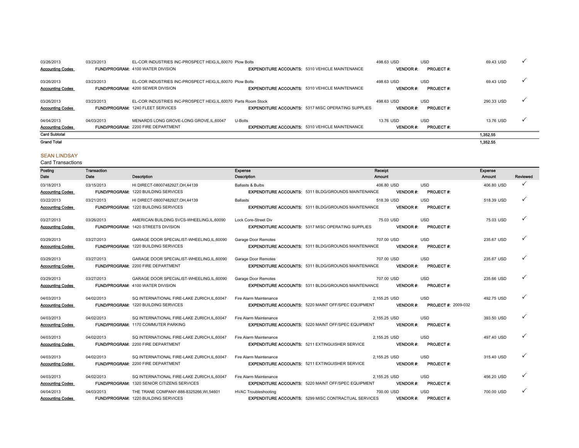| 03/26/2013                            | 03/23/2013 | EL-COR INDUSTRIES INC-PROSPECT HEIG.IL.60070 Plow Bolts                                                   |                                                                  | 498.63 USD                    | <b>USD</b>                     | 69.43 USD  |              |
|---------------------------------------|------------|-----------------------------------------------------------------------------------------------------------|------------------------------------------------------------------|-------------------------------|--------------------------------|------------|--------------|
| <b>Accounting Codes</b>               |            | <b>FUND/PROGRAM: 4100 WATER DIVISION</b>                                                                  | <b>EXPENDITURE ACCOUNTS: 5310 VEHICLE MAINTENANCE</b>            | <b>VENDOR#:</b>               | <b>PROJECT#:</b>               |            |              |
| 03/26/2013<br><b>Accounting Codes</b> | 03/23/2013 | EL-COR INDUSTRIES INC-PROSPECT HEIG.IL.60070 Plow Bolts<br><b>FUND/PROGRAM: 4200 SEWER DIVISION</b>       | <b>EXPENDITURE ACCOUNTS: 5310 VEHICLE MAINTENANCE</b>            | 498.63 USD<br><b>VENDOR#:</b> | <b>USD</b><br><b>PROJECT#:</b> | 69.43 USD  | $\checkmark$ |
| 03/26/2013<br><b>Accounting Codes</b> | 03/23/2013 | EL-COR INDUSTRIES INC-PROSPECT HEIG.IL.60070 Parts Room Stock<br><b>FUND/PROGRAM: 1240 FLEET SERVICES</b> | <b>EXPENDITURE ACCOUNTS: 5317 MISC OPERATING SUPPLIES</b>        | 498.63 USD<br><b>VENDOR#:</b> | <b>USD</b><br><b>PROJECT#:</b> | 290.33 USD |              |
| 04/04/2013<br><b>Accounting Codes</b> | 04/03/2013 | MENARDS LONG GROVE-LONG GROVE.IL.60047<br><b>FUND/PROGRAM: 2200 FIRE DEPARTMENT</b>                       | U-Bolts<br><b>EXPENDITURE ACCOUNTS: 5310 VEHICLE MAINTENANCE</b> | 13.76 USD<br><b>VENDOR#:</b>  | <b>USD</b><br><b>PROJECT#:</b> | 13.76 USD  |              |
| <b>Card Subtotal</b>                  |            |                                                                                                           |                                                                  |                               |                                | 1.352.55   |              |
| <b>Grand Total</b>                    |            |                                                                                                           |                                                                  |                               |                                | 1,352.55   |              |

### SEAN LINDSAY

| Posting                 | Transaction |                                                    | Expense                                                     | Receipt         |                            | Expense    |              |
|-------------------------|-------------|----------------------------------------------------|-------------------------------------------------------------|-----------------|----------------------------|------------|--------------|
| Date                    | Date        | Description                                        | Description                                                 | Amount          |                            | Amount     | Reviewed     |
| 03/18/2013              | 03/15/2013  | HI DIRECT-08007482927, OH, 44139                   | Ballasts & Bulbs                                            | 406.80 USD      | <b>USD</b>                 | 406.80 USD | ✓            |
| <b>Accounting Codes</b> |             | <b>FUND/PROGRAM: 1220 BUILDING SERVICES</b>        | <b>EXPENDITURE ACCOUNTS: 5311 BLDG/GROUNDS MAINTENANCE</b>  | <b>VENDOR#:</b> | <b>PROJECT#:</b>           |            |              |
| 03/22/2013              | 03/21/2013  | HI DIRECT-08007482927.OH.44139                     | <b>Ballasts</b>                                             | 518.39 USD      | <b>USD</b>                 | 518.39 USD | ✓            |
| <b>Accounting Codes</b> |             | <b>FUND/PROGRAM: 1220 BUILDING SERVICES</b>        | <b>EXPENDITURE ACCOUNTS: 5311 BLDG/GROUNDS MAINTENANCE</b>  | <b>VENDOR#:</b> | <b>PROJECT#:</b>           |            |              |
| 03/27/2013              | 03/26/2013  | AMERICAN BUILDING SVCS-WHEELING, IL, 60090         | Lock Core-Street Div                                        | 75.03 USD       | <b>USD</b>                 | 75.03 USD  |              |
| <b>Accounting Codes</b> |             | FUND/PROGRAM: 1420 STREETS DIVISION                | <b>EXPENDITURE ACCOUNTS: 5317 MISC OPERATING SUPPLIES</b>   | <b>VENDOR#:</b> | <b>PROJECT#:</b>           |            |              |
| 03/29/2013              | 03/27/2013  | GARAGE DOOR SPECIALIST-WHEELING,IL,60090           | Garage Door Remotes                                         | 707.00 USD      | <b>USD</b>                 | 235.67 USD |              |
| <b>Accounting Codes</b> |             | <b>FUND/PROGRAM: 1220 BUILDING SERVICES</b>        | <b>EXPENDITURE ACCOUNTS: 5311 BLDG/GROUNDS MAINTENANCE</b>  | <b>VENDOR#:</b> | <b>PROJECT#:</b>           |            |              |
| 03/29/2013              | 03/27/2013  | GARAGE DOOR SPECIALIST-WHEELING,IL,60090           | Garage Door Remotes                                         | 707.00 USD      | <b>USD</b>                 | 235.67 USD |              |
| <b>Accounting Codes</b> |             | <b>FUND/PROGRAM: 2200 FIRE DEPARTMENT</b>          | <b>EXPENDITURE ACCOUNTS: 5311 BLDG/GROUNDS MAINTENANCE</b>  | <b>VENDOR#:</b> | <b>PROJECT#:</b>           |            |              |
| 03/29/2013              | 03/27/2013  | GARAGE DOOR SPECIALIST-WHEELING,IL,60090           | Garage Door Remotes                                         | 707.00 USD      | <b>USD</b>                 | 235.66 USD |              |
| <b>Accounting Codes</b> |             | <b>FUND/PROGRAM: 4100 WATER DIVISION</b>           | <b>EXPENDITURE ACCOUNTS: 5311 BLDG/GROUNDS MAINTENANCE</b>  | <b>VENDOR#:</b> | <b>PROJECT#:</b>           |            |              |
| 04/03/2013              | 04/02/2013  | SQ INTERNATIONAL FIRE-LAKE ZURICH.IL.60047         | Fire Alarm Maintenance                                      | 2,155.25 USD    | <b>USD</b>                 | 492.75 USD |              |
| <b>Accounting Codes</b> |             | <b>FUND/PROGRAM: 1220 BUILDING SERVICES</b>        | <b>EXPENDITURE ACCOUNTS: 5220 MAINT OFF/SPEC EQUIPMENT</b>  | <b>VENDOR#:</b> | <b>PROJECT #: 2009-032</b> |            |              |
| 04/03/2013              | 04/02/2013  | SQ INTERNATIONAL FIRE-LAKE ZURICH.IL.60047         | Fire Alarm Maintenance                                      | 2.155.25 USD    | <b>USD</b>                 | 393.50 USD | $\checkmark$ |
| <b>Accounting Codes</b> |             | <b>FUND/PROGRAM: 1170 COMMUTER PARKING</b>         | <b>EXPENDITURE ACCOUNTS: 5220 MAINT OFF/SPEC EQUIPMENT</b>  | <b>VENDOR#:</b> | <b>PROJECT#:</b>           |            |              |
| 04/03/2013              | 04/02/2013  | SQ INTERNATIONAL FIRE-LAKE ZURICH.IL.60047         | Fire Alarm Maintenance                                      | 2.155.25 USD    | <b>USD</b>                 | 497.40 USD | ✓            |
| <b>Accounting Codes</b> |             | <b>FUND/PROGRAM: 2200 FIRE DEPARTMENT</b>          | <b>EXPENDITURE ACCOUNTS: 5211 EXTINGUISHER SERVICE</b>      | <b>VENDOR#:</b> | <b>PROJECT#:</b>           |            |              |
| 04/03/2013              | 04/02/2013  | SQ INTERNATIONAL FIRE-LAKE ZURICH.IL.60047         | Fire Alarm Maintenance                                      | 2,155.25 USD    | <b>USD</b>                 | 315.40 USD |              |
| <b>Accounting Codes</b> |             | <b>FUND/PROGRAM: 2200 FIRE DEPARTMENT</b>          | <b>EXPENDITURE ACCOUNTS: 5211 EXTINGUISHER SERVICE</b>      | <b>VENDOR#:</b> | <b>PROJECT#:</b>           |            |              |
| 04/03/2013              | 04/02/2013  | SQ INTERNATIONAL FIRE-LAKE ZURICH,IL,60047         | Fire Alarm Maintenance                                      | 2,155.25 USD    | <b>USD</b>                 | 456.20 USD |              |
| <b>Accounting Codes</b> |             | <b>FUND/PROGRAM: 1320 SENIOR CITIZENS SERVICES</b> | <b>EXPENDITURE ACCOUNTS: 5220 MAINT OFF/SPEC EQUIPMENT</b>  | <b>VENDOR#:</b> | <b>PROJECT#:</b>           |            |              |
| 04/04/2013              | 04/03/2013  | THE TRANE COMPANY-888-8325266, WI, 54601           | <b>HVAC Troubleshooting</b>                                 | 700.00 USD      | <b>USD</b>                 | 700.00 USD |              |
| <b>Accounting Codes</b> |             | <b>FUND/PROGRAM: 1220 BUILDING SERVICES</b>        | <b>EXPENDITURE ACCOUNTS: 5299 MISC CONTRACTUAL SERVICES</b> | <b>VENDOR#:</b> | <b>PROJECT#:</b>           |            |              |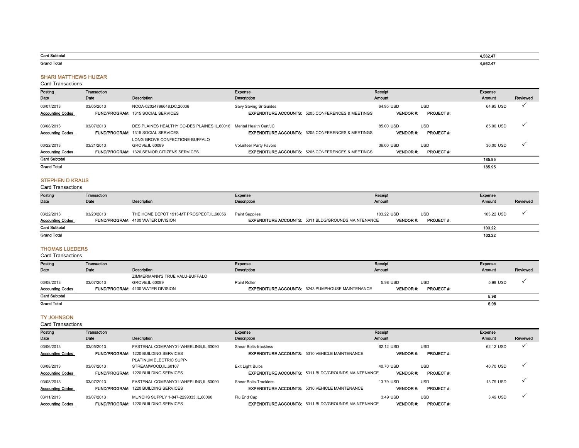| Card Subtotal      | 1 EPO 17<br>562 A  |
|--------------------|--------------------|
| <b>Grand Total</b> | 4.500A7<br>1,562.4 |

#### SHARI MATTHEWS HUIZAR

#### Card Transactions

| Posting                 | Transaction |                                                                   | Expense                                                      | Receipt         |                  | Expense   |              |
|-------------------------|-------------|-------------------------------------------------------------------|--------------------------------------------------------------|-----------------|------------------|-----------|--------------|
| Date                    | Date        | Description                                                       | <b>Description</b>                                           | <b>Amount</b>   |                  | Amount    | Reviewed     |
| 03/07/2013              | 03/05/2013  | NCOA-02024796648.DC.20036                                         | Savy Saving Sr Guides                                        | 64.95 USD       | <b>USD</b>       | 64.95 USD | $\checkmark$ |
| <b>Accounting Codes</b> |             | <b>FUND/PROGRAM: 1315 SOCIAL SERVICES</b>                         | <b>EXPENDITURE ACCOUNTS: 5205 CONFERENCES &amp; MEETINGS</b> | <b>VENDOR#:</b> | <b>PROJECT#:</b> |           |              |
| 03/08/2013              | 03/07/2013  | DES PLAINES HEALTHY CO-DES PLAINES.IL.60016 Mental Health Cert/JC |                                                              | 85.00 USD       | <b>USD</b>       | 85.00 USD | $\checkmark$ |
| <b>Accounting Codes</b> |             | <b>FUND/PROGRAM: 1315 SOCIAL SERVICES</b>                         | <b>EXPENDITURE ACCOUNTS: 5205 CONFERENCES &amp; MEETINGS</b> | <b>VENDOR#:</b> | <b>PROJECT#:</b> |           |              |
|                         |             | LONG GROVE CONFECTIONE-BUFFALO                                    |                                                              |                 |                  |           |              |
| 03/22/2013              | 03/21/2013  | GROVE.IL.60089                                                    | Volunteer Party Favors                                       | 36.00 USD       | <b>USD</b>       | 36.00 USD | $\checkmark$ |
| <b>Accounting Codes</b> |             | <b>FUND/PROGRAM: 1320 SENIOR CITIZENS SERVICES</b>                | <b>EXPENDITURE ACCOUNTS: 5205 CONFERENCES &amp; MEETINGS</b> | <b>VENDOR#:</b> | <b>PROJECT#:</b> |           |              |
| <b>Card Subtotal</b>    |             |                                                                   |                                                              |                 |                  | 185.95    |              |
| <b>Grand Total</b>      |             |                                                                   |                                                              |                 |                  | 185.95    |              |

### STEPHEN D KRAUS

Card Transactions

| Posting                               | Transaction |                                                                                        | Expense                                                                             | Receipt                       | Expense                        |               |          |
|---------------------------------------|-------------|----------------------------------------------------------------------------------------|-------------------------------------------------------------------------------------|-------------------------------|--------------------------------|---------------|----------|
| Date                                  | Date        | Description                                                                            | <b>Description</b>                                                                  | <b>Amount</b>                 |                                | <b>Amount</b> | Reviewed |
| 03/22/2013<br><b>Accounting Codes</b> | 03/20/2013  | THE HOME DEPOT 1913-MT PROSPECT, IL, 60056<br><b>FUND/PROGRAM: 4100 WATER DIVISION</b> | <b>Paint Supplies</b><br><b>EXPENDITURE ACCOUNTS: 5311 BLDG/GROUNDS MAINTENANCE</b> | 103.22 USD<br><b>VENDOR#:</b> | <b>USD</b><br><b>PROJECT#:</b> | 103.22 USD    |          |
| <b>Card Subtotal</b>                  |             |                                                                                        |                                                                                     |                               |                                | 103.22        |          |
| <b>Grand Total</b>                    |             |                                                                                        |                                                                                     |                               |                                | 103.22        |          |

#### THOMAS LUEDERS

Card Transactions

| Posting                 | Transaction                              |                                | Expense                                                 | Receipt                             |            | Expense       |          |
|-------------------------|------------------------------------------|--------------------------------|---------------------------------------------------------|-------------------------------------|------------|---------------|----------|
| Date                    | Date                                     | <b>Description</b>             | Description                                             | <b>Amount</b>                       |            | <b>Amount</b> | Reviewed |
|                         |                                          | ZIMMERMANN'S TRUE VALU-BUFFALO |                                                         |                                     |            |               |          |
| 03/08/2013              | 03/07/2013                               | GROVE.IL.60089                 | Paint Roller                                            | 5.98 USD                            | <b>USD</b> | 5.98 USD      |          |
| <b>Accounting Codes</b> | <b>FUND/PROGRAM: 4100 WATER DIVISION</b> |                                | <b>EXPENDITURE ACCOUNTS: 5243 PUMPHOUSE MAINTENANCE</b> | <b>VENDOR#:</b><br><b>PROJECT#:</b> |            |               |          |
| <b>Card Subtotal</b>    |                                          |                                |                                                         |                                     |            | 5.98          |          |
| <b>Grand Total</b>      |                                          |                                |                                                         |                                     |            | 5.98          |          |

#### TY JOHNSON

| Posting                 | Transaction |                                             | Expense                                                    | Receipt         |                  | Expense       |          |
|-------------------------|-------------|---------------------------------------------|------------------------------------------------------------|-----------------|------------------|---------------|----------|
| Date                    | Date        | <b>Description</b>                          | <b>Description</b>                                         | <b>Amount</b>   |                  | <b>Amount</b> | Reviewed |
| 03/06/2013              | 03/05/2013  | FASTENAL COMPANY01-WHEELING.IL.60090        | Shear Bolts-trackless                                      | 62.12 USD       | <b>USD</b>       | 62.12 USD     |          |
| <b>Accounting Codes</b> |             | <b>FUND/PROGRAM: 1220 BUILDING SERVICES</b> | <b>EXPENDITURE ACCOUNTS: 5310 VEHICLE MAINTENANCE</b>      | <b>VENDOR#:</b> | <b>PROJECT#:</b> |               |          |
|                         |             | PLATINUM ELECTRIC SUPP-                     |                                                            |                 |                  |               |          |
| 03/08/2013              | 03/07/2013  | STREAMWOOD.IL.60107                         | Exit Light Bulbs                                           | 40.70 USD       | <b>USD</b>       | 40.70 USD     |          |
| <b>Accounting Codes</b> |             | <b>FUND/PROGRAM: 1220 BUILDING SERVICES</b> | <b>EXPENDITURE ACCOUNTS: 5311 BLDG/GROUNDS MAINTENANCE</b> | <b>VENDOR#:</b> | <b>PROJECT#:</b> |               |          |
| 03/08/2013              | 03/07/2013  | FASTENAL COMPANY01-WHEELING.IL.60090        | Shear Bolts-Trackless                                      | 13.79 USD       | <b>USD</b>       | 13.79 USD     |          |
| <b>Accounting Codes</b> |             | <b>FUND/PROGRAM: 1220 BUILDING SERVICES</b> | <b>EXPENDITURE ACCOUNTS: 5310 VEHICLE MAINTENANCE</b>      | <b>VENDOR#:</b> | <b>PROJECT#:</b> |               |          |
| 03/11/2013              | 03/07/2013  | MUNCHS SUPPLY 1-847-2299333.IL.60090        | Flu End Cap                                                | 3.49 USD        | <b>USD</b>       | 3.49 USD      |          |
| <b>Accounting Codes</b> |             | <b>FUND/PROGRAM: 1220 BUILDING SERVICES</b> | <b>EXPENDITURE ACCOUNTS: 5311 BLDG/GROUNDS MAINTENANCE</b> | <b>VENDOR#:</b> | <b>PROJECT#:</b> |               |          |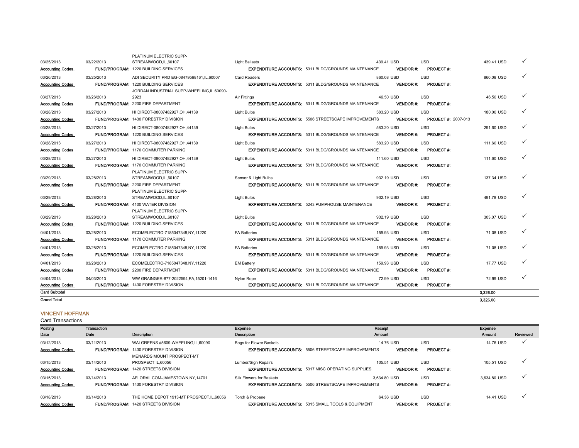| <b>Grand Total</b>      |            |                                                                    |                       |                                                            |            |                  |                            | 3.326.00   |  |
|-------------------------|------------|--------------------------------------------------------------------|-----------------------|------------------------------------------------------------|------------|------------------|----------------------------|------------|--|
| <b>Card Subtotal</b>    |            |                                                                    |                       |                                                            |            |                  |                            | 3.326.00   |  |
| <b>Accounting Codes</b> |            | <b>FUND/PROGRAM: 1430 FORESTRY DIVISION</b>                        |                       | <b>EXPENDITURE ACCOUNTS: 5311 BLDG/GROUNDS MAINTENANCE</b> |            | <b>VENDOR#:</b>  | <b>PROJECT#:</b>           |            |  |
| 04/04/2013              | 04/03/2013 | WW GRAINGER-877-2022594.PA.15201-1416                              | Nylon Rope            |                                                            | 72.99 USD  |                  | <b>USD</b>                 | 72.99 USD  |  |
| <b>Accounting Codes</b> |            | <b>FUND/PROGRAM: 2200 FIRE DEPARTMENT</b>                          |                       | <b>EXPENDITURE ACCOUNTS: 5311 BLDG/GROUNDS MAINTENANCE</b> |            | <b>VENDOR#:</b>  | <b>PROJECT#:</b>           |            |  |
| 04/01/2013              | 03/28/2013 | ECOMELECTRO-7185047348,NY,11220                                    | <b>EM Battery</b>     |                                                            | 159.93 USD |                  | <b>USD</b>                 | 17.77 USD  |  |
| <b>Accounting Codes</b> |            | FUND/PROGRAM: 1220 BUILDING SERVICES                               |                       | <b>EXPENDITURE ACCOUNTS: 5311 BLDG/GROUNDS MAINTENANCE</b> |            | <b>VENDOR#:</b>  | <b>PROJECT#:</b>           |            |  |
| 04/01/2013              | 03/28/2013 | ECOMELECTRO-7185047348.NY.11220                                    | <b>FA Batteries</b>   |                                                            | 159.93 USD |                  | <b>USD</b>                 | 71.08 USD  |  |
| <b>Accounting Codes</b> |            | <b>FUND/PROGRAM: 1170 COMMUTER PARKING</b>                         |                       | <b>EXPENDITURE ACCOUNTS: 5311 BLDG/GROUNDS MAINTENANCE</b> |            | <b>VENDOR#:</b>  | <b>PROJECT#:</b>           |            |  |
| 04/01/2013              | 03/28/2013 | ECOMELECTRO-7185047348.NY.11220                                    | <b>FA Batteries</b>   |                                                            | 159.93 USD |                  | <b>USD</b>                 | 71.08 USD  |  |
| <b>Accounting Codes</b> |            | <b>FUND/PROGRAM: 1220 BUILDING SERVICES</b>                        |                       | <b>EXPENDITURE ACCOUNTS: 5311 BLDG/GROUNDS MAINTENANCE</b> |            | <b>VENDOR #:</b> | <b>PROJECT #:</b>          |            |  |
| 03/29/2013              | 03/28/2013 | STREAMWOOD.IL.60107                                                | <b>Light Bulbs</b>    |                                                            | 932.19 USD |                  | <b>USD</b>                 | 303.07 USD |  |
|                         |            | PLATINUM ELECTRIC SUPP-                                            |                       |                                                            |            |                  |                            |            |  |
| <b>Accounting Codes</b> |            | <b>FUND/PROGRAM: 4100 WATER DIVISION</b>                           |                       | <b>EXPENDITURE ACCOUNTS: 5243 PUMPHOUSE MAINTENANCE</b>    |            | <b>VENDOR#:</b>  | <b>PROJECT#:</b>           |            |  |
| 03/29/2013              | 03/28/2013 | STREAMWOOD.IL.60107                                                | <b>Light Bulbs</b>    |                                                            | 932.19 USD |                  | <b>USD</b>                 | 491.78 USD |  |
| <b>Accounting Codes</b> |            | PLATINUM ELECTRIC SUPP-                                            |                       | <b>EXPENDITURE ACCOUNTS: 5311 BLDG/GROUNDS MAINTENANCE</b> |            | <b>VENDOR#:</b>  | <b>PROJECT#:</b>           |            |  |
| 03/29/2013              | 03/28/2013 | STREAMWOOD, IL, 60107<br><b>FUND/PROGRAM: 2200 FIRE DEPARTMENT</b> | Sensor & Light Bulbs  |                                                            | 932.19 USD |                  | <b>USD</b>                 | 137.34 USD |  |
|                         |            | PLATINUM ELECTRIC SUPP-                                            |                       |                                                            |            |                  |                            |            |  |
| <b>Accounting Codes</b> |            | <b>FUND/PROGRAM: 1170 COMMUTER PARKING</b>                         |                       | <b>EXPENDITURE ACCOUNTS: 5311 BLDG/GROUNDS MAINTENANCE</b> |            | <b>VENDOR#:</b>  | <b>PROJECT#:</b>           |            |  |
| 03/28/2013              | 03/27/2013 | HI DIRECT-08007482927.OH.44139                                     | <b>Light Bulbs</b>    |                                                            | 111.60 USD |                  | USD                        | 111.60 USD |  |
| <b>Accounting Codes</b> |            | <b>FUND/PROGRAM: 1170 COMMUTER PARKING</b>                         |                       | <b>EXPENDITURE ACCOUNTS: 5311 BLDG/GROUNDS MAINTENANCE</b> |            | <b>VENDOR #:</b> | <b>PROJECT#:</b>           |            |  |
| 03/28/2013              | 03/27/2013 | HI DIRECT-08007482927.OH.44139                                     | <b>Light Bulbs</b>    |                                                            | 583.20 USD |                  | <b>USD</b>                 | 111.60 USD |  |
| <b>Accounting Codes</b> |            | <b>FUND/PROGRAM: 1220 BUILDING SERVICES</b>                        |                       | <b>EXPENDITURE ACCOUNTS: 5311 BLDG/GROUNDS MAINTENANCE</b> |            | <b>VENDOR#:</b>  | <b>PROJECT#:</b>           |            |  |
| 03/28/2013              | 03/27/2013 | HI DIRECT-08007482927, OH, 44139                                   | Light Bulbs           |                                                            | 583.20 USD |                  | <b>USD</b>                 | 291.60 USD |  |
| <b>Accounting Codes</b> |            | FUND/PROGRAM: 1430 FORESTRY DIVISION                               |                       | <b>EXPENDITURE ACCOUNTS: 5506 STREETSCAPE IMPROVEMENTS</b> |            | <b>VENDOR#:</b>  | <b>PROJECT #: 2007-013</b> |            |  |
| 03/28/2013              | 03/27/2013 | HI DIRECT-08007482927, OH, 44139                                   | <b>Light Bulbs</b>    |                                                            | 583.20 USD |                  | <b>USD</b>                 | 180.00 USD |  |
| <b>Accounting Codes</b> |            | <b>FUND/PROGRAM: 2200 FIRE DEPARTMENT</b>                          |                       | <b>EXPENDITURE ACCOUNTS: 5311 BLDG/GROUNDS MAINTENANCE</b> |            | <b>VENDOR #:</b> | <b>PROJECT#:</b>           |            |  |
| 03/27/2013              | 03/26/2013 | 2923                                                               | Air Fittings          |                                                            | 46.50 USD  |                  | <b>USD</b>                 | 46.50 USD  |  |
|                         |            | JORDAN INDUSTRIAL SUPP-WHEELING.IL.60090-                          |                       |                                                            |            |                  |                            |            |  |
| <b>Accounting Codes</b> |            | FUND/PROGRAM: 1220 BUILDING SERVICES                               |                       | <b>EXPENDITURE ACCOUNTS: 5311 BLDG/GROUNDS MAINTENANCE</b> |            | <b>VENDOR#:</b>  | <b>PROJECT#:</b>           |            |  |
| 03/26/2013              | 03/25/2013 | ADI SECURITY PRD EG-08479568161.IL.60007                           | <b>Card Readers</b>   |                                                            | 860.08 USD |                  | <b>USD</b>                 | 860.08 USD |  |
| <b>Accounting Codes</b> |            | <b>FUND/PROGRAM: 1220 BUILDING SERVICES</b>                        |                       | <b>EXPENDITURE ACCOUNTS: 5311 BLDG/GROUNDS MAINTENANCE</b> |            | <b>VENDOR#:</b>  | <b>PROJECT#:</b>           |            |  |
| 03/25/2013              | 03/22/2013 | STREAMWOOD.IL.60107                                                | <b>Light Ballasts</b> |                                                            | 439.41 USD |                  | <b>USD</b>                 | 439.41 USD |  |
|                         |            | PLATINUM ELECTRIC SUPP-                                            |                       |                                                            |            |                  |                            |            |  |

### VINCENT HOFFMAN

| Posting<br>Date                       | Transaction<br>Date | Description                                                                                  | Expense<br>Description                                                                       | Receipt<br><b>Amount</b>        |                                | Expense<br><b>Amount</b> | Reviewed     |
|---------------------------------------|---------------------|----------------------------------------------------------------------------------------------|----------------------------------------------------------------------------------------------|---------------------------------|--------------------------------|--------------------------|--------------|
| 03/12/2013<br><b>Accounting Codes</b> | 03/11/2013          | WALGREENS #5609-WHEELING.IL.60090<br><b>FUND/PROGRAM: 1430 FORESTRY DIVISION</b>             | <b>Bags for Flower Baskets</b><br><b>EXPENDITURE ACCOUNTS: 5506 STREETSCAPE IMPROVEMENTS</b> | 14.76 USD<br><b>VENDOR#:</b>    | <b>USD</b><br><b>PROJECT#:</b> | 14.76 USD                |              |
| 03/15/2013<br><b>Accounting Codes</b> | 03/14/2013          | MENARDS MOUNT PROSPECT-MT<br>PROSPECT.IL.60056<br><b>FUND/PROGRAM: 1420 STREETS DIVISION</b> | Lumber/Sign Repairs<br><b>EXPENDITURE ACCOUNTS: 5317 MISC OPERATING SUPPLIES</b>             | 105.51 USD<br><b>VENDOR#:</b>   | <b>USD</b><br><b>PROJECT#:</b> | 105.51 USD               | $\checkmark$ |
| 03/15/2013<br><b>Accounting Codes</b> | 03/14/2013          | AFLORAL.COM-JAMESTOWN.NY.14701<br><b>FUND/PROGRAM: 1430 FORESTRY DIVISION</b>                | Silk Flowers for Baskets<br><b>EXPENDITURE ACCOUNTS: 5506 STREETSCAPE IMPROVEMENTS</b>       | 3.634.80 USD<br><b>VENDOR#:</b> | <b>USD</b><br><b>PROJECT#:</b> | 3.634.80 USD             | $\checkmark$ |
| 03/18/2013<br><b>Accounting Codes</b> | 03/14/2013          | THE HOME DEPOT 1913-MT PROSPECT.IL.60056<br><b>FUND/PROGRAM: 1420 STREETS DIVISION</b>       | Torch & Propane<br><b>EXPENDITURE ACCOUNTS: 5315 SMALL TOOLS &amp; EQUIPMENT</b>             | 64.36 USD<br><b>VENDOR#:</b>    | <b>USD</b><br><b>PROJECT#:</b> | 14.41 USD                | $\checkmark$ |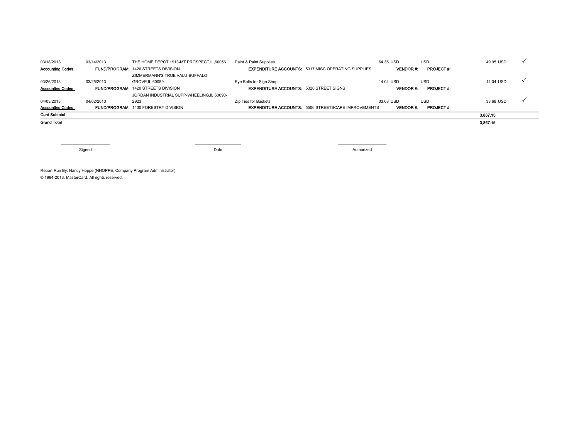| 03/18/2013              | 03/14/2013 | THE HOME DEPOT 1913-MT PROSPECT, IL, 60056  | Paint & Paint Supplies                         |                                                            | 64.36 USD       | <b>USD</b>       | 49.95 USD |  |
|-------------------------|------------|---------------------------------------------|------------------------------------------------|------------------------------------------------------------|-----------------|------------------|-----------|--|
| <b>Accounting Codes</b> |            | <b>FUND/PROGRAM: 1420 STREETS DIVISION</b>  |                                                | <b>EXPENDITURE ACCOUNTS: 5317 MISC OPERATING SUPPLIES</b>  | <b>VENDOR#:</b> | <b>PROJECT#:</b> |           |  |
|                         |            | ZIMMERMANN'S TRUE VALU-BUFFALO              |                                                |                                                            |                 |                  |           |  |
| 03/26/2013              | 03/25/2013 | GROVE, IL, 60089                            | Eye Bolts for Sign Shop                        |                                                            | 14.04 USD       | <b>USD</b>       | 14.04 USD |  |
| <b>Accounting Codes</b> |            | <b>FUND/PROGRAM: 1420 STREETS DIVISION</b>  | <b>EXPENDITURE ACCOUNTS: 5320 STREET SIGNS</b> |                                                            | <b>VENDOR#:</b> | <b>PROJECT#:</b> |           |  |
|                         |            | JORDAN INDUSTRIAL SUPP-WHEELING,IL,60090-   |                                                |                                                            |                 |                  |           |  |
| 04/03/2013              | 04/02/2013 | 2923                                        | Zip Ties for Baskets                           |                                                            | 33.68 USD       | <b>USD</b>       | 33.68 USD |  |
| <b>Accounting Codes</b> |            | <b>FUND/PROGRAM: 1430 FORESTRY DIVISION</b> |                                                | <b>EXPENDITURE ACCOUNTS: 5506 STREETSCAPE IMPROVEMENTS</b> | <b>VENDOR#:</b> | <b>PROJECT#:</b> |           |  |
| <b>Card Subtotal</b>    |            |                                             |                                                |                                                            |                 |                  | 3,867.15  |  |
| <b>Grand Total</b>      |            |                                             |                                                |                                                            |                 |                  | 3,867.15  |  |
|                         |            |                                             |                                                |                                                            |                 |                  |           |  |

Signed Date **Date of the Contract of Contract Contract Only in the Contract Only in the Date** 

 $\blacksquare$ 

Authorized

Report Run By: Nancy Hoppe (NHOPPE, Company Program Administrator) © 1994-2013. MasterCard. All rights reserved.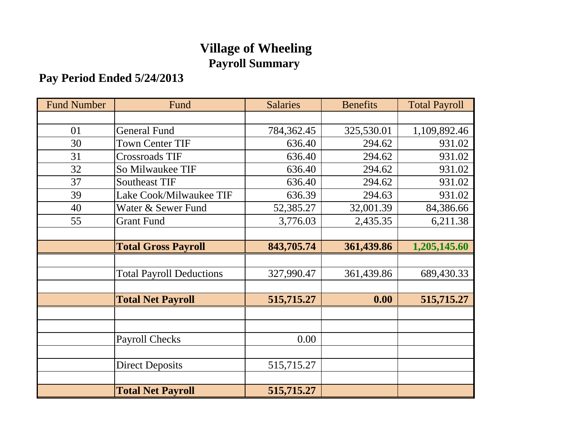# **Village of Wheeling Payroll Summary**

# **Pay Period Ended 5/24/2013**

| <b>Fund Number</b> | Fund                            | <b>Salaries</b> | <b>Benefits</b> | <b>Total Payroll</b> |
|--------------------|---------------------------------|-----------------|-----------------|----------------------|
|                    |                                 |                 |                 |                      |
| 01                 | <b>General Fund</b>             | 784,362.45      | 325,530.01      | 1,109,892.46         |
| 30                 | <b>Town Center TIF</b>          | 636.40          | 294.62          | 931.02               |
| 31                 | <b>Crossroads TIF</b>           | 636.40          | 294.62          | 931.02               |
| 32                 | So Milwaukee TIF                | 636.40          | 294.62          | 931.02               |
| 37                 | <b>Southeast TIF</b>            | 636.40          | 294.62          | 931.02               |
| 39                 | Lake Cook/Milwaukee TIF         | 636.39          | 294.63          | 931.02               |
| 40                 | Water & Sewer Fund              | 52,385.27       | 32,001.39       | 84,386.66            |
| 55                 | <b>Grant Fund</b>               | 3,776.03        | 2,435.35        | 6,211.38             |
|                    |                                 |                 |                 |                      |
|                    | <b>Total Gross Payroll</b>      | 843,705.74      | 361,439.86      | 1,205,145.60         |
|                    |                                 |                 |                 |                      |
|                    | <b>Total Payroll Deductions</b> | 327,990.47      | 361,439.86      | 689,430.33           |
|                    |                                 |                 |                 |                      |
|                    | <b>Total Net Payroll</b>        | 515,715.27      | 0.00            | 515,715.27           |
|                    |                                 |                 |                 |                      |
|                    |                                 |                 |                 |                      |
|                    | <b>Payroll Checks</b>           | 0.00            |                 |                      |
|                    |                                 |                 |                 |                      |
|                    | <b>Direct Deposits</b>          | 515,715.27      |                 |                      |
|                    |                                 |                 |                 |                      |
|                    | <b>Total Net Payroll</b>        | 515,715.27      |                 |                      |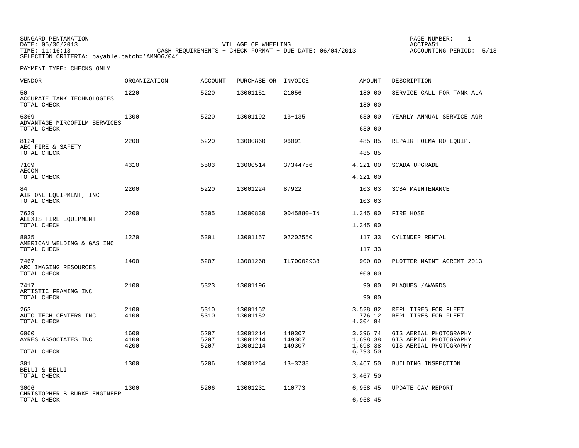| SUNGARD PENTAMATION                          |                                                           | PAGE NUMBER:               |  |  |  |  |
|----------------------------------------------|-----------------------------------------------------------|----------------------------|--|--|--|--|
| DATE: 05/30/2013                             | VILLAGE OF WHEELING                                       | ACCTPA51                   |  |  |  |  |
| TIME: 11:16:13                               | CASH REOUIREMENTS - CHECK FORMAT - DUE DATE: $06/04/2013$ | 5/13<br>ACCOUNTING PERIOD: |  |  |  |  |
| SELECTION CRITERIA: payable.batch='AMM06/04' |                                                           |                            |  |  |  |  |

| <b>VENDOR</b>                                       | ORGANIZATION | <b>ACCOUNT</b> | PURCHASE OR INVOICE  |                  | <b>AMOUNT</b>                  | DESCRIPTION                                      |
|-----------------------------------------------------|--------------|----------------|----------------------|------------------|--------------------------------|--------------------------------------------------|
| 50<br>ACCURATE TANK TECHNOLOGIES                    | 1220         | 5220           | 13001151             | 21056            | 180.00                         | SERVICE CALL FOR TANK ALA                        |
| TOTAL CHECK                                         |              |                |                      |                  | 180.00                         |                                                  |
| 6369<br>ADVANTAGE MIRCOFILM SERVICES<br>TOTAL CHECK | 1300         | 5220           | 13001192             | $13 - 135$       | 630.00<br>630.00               | YEARLY ANNUAL SERVICE AGR                        |
|                                                     |              |                |                      |                  |                                |                                                  |
| 8124<br>AEC FIRE & SAFETY<br>TOTAL CHECK            | 2200         | 5220           | 13000860             | 96091            | 485.85<br>485.85               | REPAIR HOLMATRO EQUIP.                           |
| 7109<br>AECOM                                       | 4310         | 5503           | 13000514             | 37344756         | 4,221.00                       | SCADA UPGRADE                                    |
| TOTAL CHECK                                         |              |                |                      |                  | 4,221.00                       |                                                  |
| 84<br>AIR ONE EQUIPMENT, INC                        | 2200         | 5220           | 13001224             | 87922            | 103.03                         | SCBA MAINTENANCE                                 |
| TOTAL CHECK                                         |              |                |                      |                  | 103.03                         |                                                  |
| 7639                                                | 2200         | 5305           | 13000830             | 0045880-IN       | 1,345.00                       | FIRE HOSE                                        |
| ALEXIS FIRE EQUIPMENT<br>TOTAL CHECK                |              |                |                      |                  | 1,345.00                       |                                                  |
| 8035<br>AMERICAN WELDING & GAS INC                  | 1220         | 5301           | 13001157             | 02202550         | 117.33                         | CYLINDER RENTAL                                  |
| TOTAL CHECK                                         |              |                |                      |                  | 117.33                         |                                                  |
| 7467<br>ARC IMAGING RESOURCES                       | 1400         | 5207           | 13001268             | IL70002938       | 900.00                         | PLOTTER MAINT AGREMT 2013                        |
| TOTAL CHECK                                         |              |                |                      |                  | 900.00                         |                                                  |
| 7417<br>ARTISTIC FRAMING INC                        | 2100         | 5323           | 13001196             |                  | 90.00                          | PLAQUES / AWARDS                                 |
| TOTAL CHECK                                         |              |                |                      |                  | 90.00                          |                                                  |
| 263<br>AUTO TECH CENTERS INC<br>TOTAL CHECK         | 2100<br>4100 | 5310<br>5310   | 13001152<br>13001152 |                  | 3,528.82<br>776.12<br>4,304.94 | REPL TIRES FOR FLEET<br>REPL TIRES FOR FLEET     |
| 6060                                                | 1600         | 5207           | 13001214             | 149307           | 3,396.74                       | GIS AERIAL PHOTOGRAPHY                           |
| AYRES ASSOCIATES INC                                | 4100<br>4200 | 5207<br>5207   | 13001214<br>13001214 | 149307<br>149307 | 1,698.38<br>1,698.38           | GIS AERIAL PHOTOGRAPHY<br>GIS AERIAL PHOTOGRAPHY |
| TOTAL CHECK                                         |              |                |                      |                  | 6,793.50                       |                                                  |
| 301<br>BELLI & BELLI                                | 1300         | 5206           | 13001264             | $13 - 3738$      | 3,467.50                       | BUILDING INSPECTION                              |
| TOTAL CHECK                                         |              |                |                      |                  | 3,467.50                       |                                                  |
| 3006<br>CHRISTOPHER B BURKE ENGINEER                | 1300         | 5206           | 13001231             | 110773           | 6,958.45                       | UPDATE CAV REPORT                                |
| TOTAL CHECK                                         |              |                |                      |                  | 6,958.45                       |                                                  |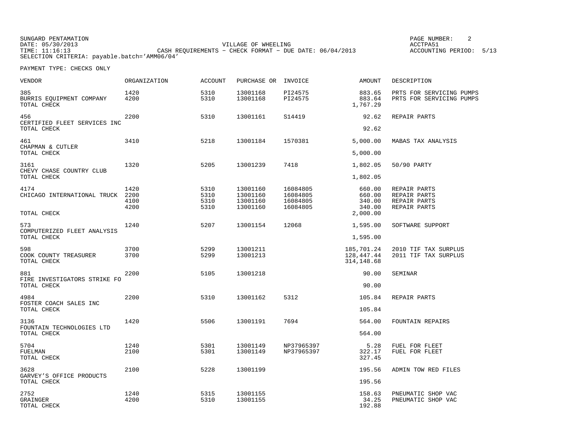SUNGARD PENTAMATION PAGE NUMBER: 2 DATE: 05/30/2013 VILLAGE OF WHEELING ACCTPA51 TIME: 11:16:13 CASH REQUIREMENTS − CHECK FORMAT − DUE DATE: 06/04/2013 ACCOUNTING PERIOD: 5/13 SELECTION CRITERIA: payable.batch='AMM06/04'

| VENDOR                                             | ORGANIZATION                 | ACCOUNT                      | PURCHASE OR INVOICE                          |                                              | AMOUNT                                           | DESCRIPTION                                                  |
|----------------------------------------------------|------------------------------|------------------------------|----------------------------------------------|----------------------------------------------|--------------------------------------------------|--------------------------------------------------------------|
| 385<br>BURRIS EQUIPMENT COMPANY<br>TOTAL CHECK     | 1420<br>4200                 | 5310<br>5310                 | 13001168<br>13001168                         | PI24575<br>PI24575                           | 883.65<br>883.64<br>1,767.29                     | PRTS FOR SERVICING PUMPS<br>PRTS FOR SERVICING PUMPS         |
| 456<br>CERTIFIED FLEET SERVICES INC<br>TOTAL CHECK | 2200                         | 5310                         | 13001161                                     | S14419                                       | 92.62<br>92.62                                   | REPAIR PARTS                                                 |
|                                                    |                              |                              |                                              |                                              |                                                  |                                                              |
| 461<br>CHAPMAN & CUTLER                            | 3410                         | 5218                         | 13001184                                     | 1570381                                      | 5,000.00                                         | MABAS TAX ANALYSIS                                           |
| TOTAL CHECK                                        |                              |                              |                                              |                                              | 5,000.00                                         |                                                              |
| 3161<br>CHEVY CHASE COUNTRY CLUB                   | 1320                         | 5205                         | 13001239                                     | 7418                                         | 1,802.05                                         | 50/90 PARTY                                                  |
| TOTAL CHECK                                        |                              |                              |                                              |                                              | 1,802.05                                         |                                                              |
| 4174<br>CHICAGO INTERNATIONAL TRUCK<br>TOTAL CHECK | 1420<br>2200<br>4100<br>4200 | 5310<br>5310<br>5310<br>5310 | 13001160<br>13001160<br>13001160<br>13001160 | 16084805<br>16084805<br>16084805<br>16084805 | 660.00<br>660.00<br>340.00<br>340.00<br>2,000.00 | REPAIR PARTS<br>REPAIR PARTS<br>REPAIR PARTS<br>REPAIR PARTS |
|                                                    |                              |                              |                                              |                                              |                                                  |                                                              |
| 573<br>COMPUTERIZED FLEET ANALYSIS<br>TOTAL CHECK  | 1240                         | 5207                         | 13001154                                     | 12068                                        | 1,595.00<br>1,595.00                             | SOFTWARE SUPPORT                                             |
|                                                    |                              |                              |                                              |                                              |                                                  |                                                              |
| 598<br>COOK COUNTY TREASURER<br>TOTAL CHECK        | 3700<br>3700                 | 5299<br>5299                 | 13001211<br>13001213                         |                                              | 185,701.24<br>128,447.44<br>314, 148.68          | 2010 TIF TAX SURPLUS<br>2011 TIF TAX SURPLUS                 |
| 881<br>FIRE INVESTIGATORS STRIKE FO                | 2200                         | 5105                         | 13001218                                     |                                              | 90.00                                            | SEMINAR                                                      |
| TOTAL CHECK                                        |                              |                              |                                              |                                              | 90.00                                            |                                                              |
| 4984<br>FOSTER COACH SALES INC                     | 2200                         | 5310                         | 13001162                                     | 5312                                         | 105.84                                           | REPAIR PARTS                                                 |
| TOTAL CHECK                                        |                              |                              |                                              |                                              | 105.84                                           |                                                              |
| 3136<br>FOUNTAIN TECHNOLOGIES LTD                  | 1420                         | 5506                         | 13001191                                     | 7694                                         | 564.00                                           | <b>FOUNTAIN REPAIRS</b>                                      |
| TOTAL CHECK                                        |                              |                              |                                              |                                              | 564.00                                           |                                                              |
| 5704<br>FUELMAN<br>TOTAL CHECK                     | 1240<br>2100                 | 5301<br>5301                 | 13001149<br>13001149                         | NP37965397<br>NP37965397                     | 5.28<br>322.17<br>327.45                         | FUEL FOR FLEET<br>FUEL FOR FLEET                             |
| 3628                                               | 2100                         | 5228                         | 13001199                                     |                                              | 195.56                                           | ADMIN TOW RED FILES                                          |
| GARVEY'S OFFICE PRODUCTS<br>TOTAL CHECK            |                              |                              |                                              |                                              | 195.56                                           |                                                              |
| 2752<br><b>GRAINGER</b><br>TOTAL CHECK             | 1240<br>4200                 | 5315<br>5310                 | 13001155<br>13001155                         |                                              | 158.63<br>34.25<br>192.88                        | PNEUMATIC SHOP VAC<br>PNEUMATIC SHOP VAC                     |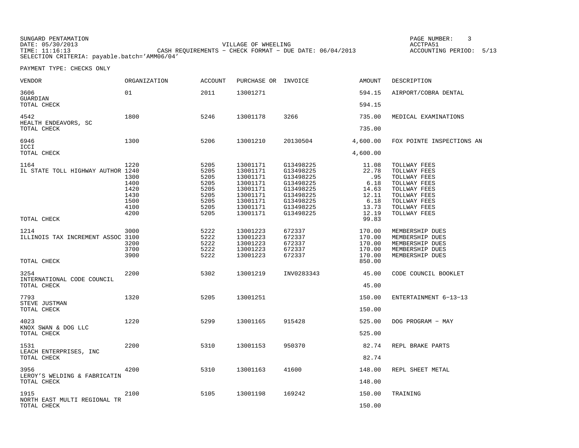SUNGARD PENTAMATION DATE: 05/30/2013 VILLAGE OF WHEELING ACCTPA51 TIME: 11:16:13 CASH REQUIREMENTS − CHECK FORMAT − DUE DATE: 06/04/2013 ACCOUNTING PERIOD: 5/13 SELECTION CRITERIA: payable.batch='AMM06/04'

PAGE NUMBER: 3

| VENDOR                                            | <b>ORGANIZATION</b>                                          | <b>ACCOUNT</b>                                                       | PURCHASE OR INVOICE                                                                                      |                                                                                                                   | AMOUNT                                                                    | DESCRIPTION                                                                                                                                  |
|---------------------------------------------------|--------------------------------------------------------------|----------------------------------------------------------------------|----------------------------------------------------------------------------------------------------------|-------------------------------------------------------------------------------------------------------------------|---------------------------------------------------------------------------|----------------------------------------------------------------------------------------------------------------------------------------------|
| 3606<br>GUARDIAN                                  | 01                                                           | 2011                                                                 | 13001271                                                                                                 |                                                                                                                   | 594.15                                                                    | AIRPORT/COBRA DENTAL                                                                                                                         |
| TOTAL CHECK                                       |                                                              |                                                                      |                                                                                                          |                                                                                                                   | 594.15                                                                    |                                                                                                                                              |
| 4542<br>HEALTH ENDEAVORS, SC                      | 1800                                                         | 5246                                                                 | 13001178                                                                                                 | 3266                                                                                                              | 735.00                                                                    | MEDICAL EXAMINATIONS                                                                                                                         |
| TOTAL CHECK                                       |                                                              |                                                                      |                                                                                                          |                                                                                                                   | 735.00                                                                    |                                                                                                                                              |
| 6946<br>ICCI                                      | 1300                                                         | 5206                                                                 | 13001210                                                                                                 | 20130504                                                                                                          | 4,600.00                                                                  | FOX POINTE INSPECTIONS AN                                                                                                                    |
| TOTAL CHECK                                       |                                                              |                                                                      |                                                                                                          |                                                                                                                   | 4,600.00                                                                  |                                                                                                                                              |
| 1164<br>IL STATE TOLL HIGHWAY AUTHOR 1240         | 1220<br>1300<br>1400<br>1420<br>1430<br>1500<br>4100<br>4200 | 5205<br>5205<br>5205<br>5205<br>5205<br>5205<br>5205<br>5205<br>5205 | 13001171<br>13001171<br>13001171<br>13001171<br>13001171<br>13001171<br>13001171<br>13001171<br>13001171 | G13498225<br>G13498225<br>G13498225<br>G13498225<br>G13498225<br>G13498225<br>G13498225<br>G13498225<br>G13498225 | 11.08<br>22.78<br>.95<br>6.18<br>14.63<br>12.11<br>6.18<br>13.73<br>12.19 | TOLLWAY FEES<br>TOLLWAY FEES<br>TOLLWAY FEES<br>TOLLWAY FEES<br>TOLLWAY FEES<br>TOLLWAY FEES<br>TOLLWAY FEES<br>TOLLWAY FEES<br>TOLLWAY FEES |
| TOTAL CHECK                                       |                                                              |                                                                      |                                                                                                          |                                                                                                                   | 99.83                                                                     |                                                                                                                                              |
| 1214<br>ILLINOIS TAX INCREMENT ASSOC 3100         | 3000<br>3200<br>3700<br>3900                                 | 5222<br>5222<br>5222<br>5222<br>5222                                 | 13001223<br>13001223<br>13001223<br>13001223<br>13001223                                                 | 672337<br>672337<br>672337<br>672337<br>672337                                                                    | 170.00<br>170.00<br>170.00<br>170.00<br>170.00                            | MEMBERSHIP DUES<br>MEMBERSHIP DUES<br>MEMBERSHIP DUES<br>MEMBERSHIP DUES<br>MEMBERSHIP DUES                                                  |
| TOTAL CHECK                                       |                                                              |                                                                      |                                                                                                          |                                                                                                                   | 850.00                                                                    |                                                                                                                                              |
| 3254<br>INTERNATIONAL CODE COUNCIL<br>TOTAL CHECK | 2200                                                         | 5302                                                                 | 13001219                                                                                                 | INV0283343                                                                                                        | 45.00<br>45.00                                                            | CODE COUNCIL BOOKLET                                                                                                                         |
|                                                   |                                                              |                                                                      |                                                                                                          |                                                                                                                   |                                                                           |                                                                                                                                              |
| 7793<br>STEVE JUSTMAN                             | 1320                                                         | 5205                                                                 | 13001251                                                                                                 |                                                                                                                   | 150.00                                                                    | ENTERTAINMENT 6-13-13                                                                                                                        |
| TOTAL CHECK                                       |                                                              |                                                                      |                                                                                                          |                                                                                                                   | 150.00                                                                    |                                                                                                                                              |
| 4023<br>KNOX SWAN & DOG LLC                       | 1220                                                         | 5299                                                                 | 13001165                                                                                                 | 915428                                                                                                            | 525.00                                                                    | DOG PROGRAM - MAY                                                                                                                            |
| TOTAL CHECK                                       |                                                              |                                                                      |                                                                                                          |                                                                                                                   | 525.00                                                                    |                                                                                                                                              |
| 1531<br>LEACH ENTERPRISES, INC                    | 2200                                                         | 5310                                                                 | 13001153                                                                                                 | 950370                                                                                                            | 82.74                                                                     | REPL BRAKE PARTS                                                                                                                             |
| TOTAL CHECK                                       |                                                              |                                                                      |                                                                                                          |                                                                                                                   | 82.74                                                                     |                                                                                                                                              |
| 3956<br>LEROY'S WELDING & FABRICATIN              | 4200                                                         | 5310                                                                 | 13001163                                                                                                 | 41600                                                                                                             | 148.00                                                                    | REPL SHEET METAL                                                                                                                             |
| TOTAL CHECK                                       |                                                              |                                                                      |                                                                                                          |                                                                                                                   | 148.00                                                                    |                                                                                                                                              |
| 1915<br>NORTH EAST MULTI REGIONAL TR              | 2100                                                         | 5105                                                                 | 13001198                                                                                                 | 169242                                                                                                            | 150.00                                                                    | TRAINING                                                                                                                                     |
| TOTAL CHECK                                       |                                                              |                                                                      |                                                                                                          |                                                                                                                   | 150.00                                                                    |                                                                                                                                              |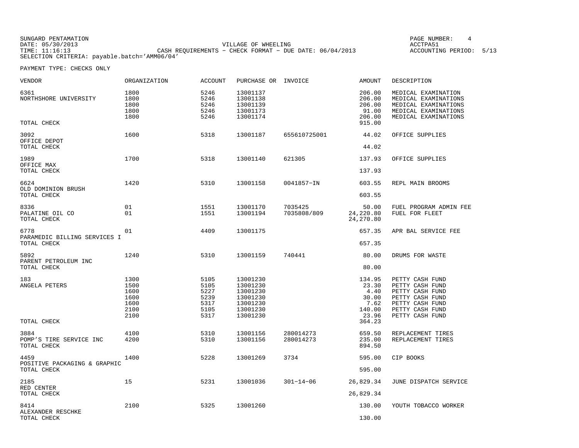SUNGARD PENTAMATION DATE: 05/30/2013 VILLAGE OF WHEELING ACCTPA51 TIME: 11:16:13 CASH REQUIREMENTS − CHECK FORMAT − DUE DATE: 06/04/2013 ACCOUNTING PERIOD: 5/13 SELECTION CRITERIA: payable.batch='AMM06/04'

PAGE NUMBER: 4

| VENDOR                                       | <b>ORGANIZATION</b>                                  | <b>ACCOUNT</b>                                       | PURCHASE OR INVOICE                                                              |                        | <b>AMOUNT</b>                                                         | DESCRIPTION                                                                                                                       |
|----------------------------------------------|------------------------------------------------------|------------------------------------------------------|----------------------------------------------------------------------------------|------------------------|-----------------------------------------------------------------------|-----------------------------------------------------------------------------------------------------------------------------------|
| 6361<br>NORTHSHORE UNIVERSITY<br>TOTAL CHECK | 1800<br>1800<br>1800<br>1800<br>1800                 | 5246<br>5246<br>5246<br>5246<br>5246                 | 13001137<br>13001138<br>13001139<br>13001173<br>13001174                         |                        | 206.00<br>206.00<br>206.00<br>91.00<br>206.00<br>915.00               | MEDICAL EXAMINATION<br>MEDICAL EXAMINATIONS<br>MEDICAL EXAMINATIONS<br>MEDICAL EXAMINATIONS<br>MEDICAL EXAMINATIONS               |
| 3092                                         | 1600                                                 | 5318                                                 | 13001187                                                                         | 655610725001           | 44.02                                                                 | OFFICE SUPPLIES                                                                                                                   |
| OFFICE DEPOT<br>TOTAL CHECK                  |                                                      |                                                      |                                                                                  |                        | 44.02                                                                 |                                                                                                                                   |
| 1989                                         | 1700                                                 | 5318                                                 | 13001140                                                                         | 621305                 | 137.93                                                                | OFFICE SUPPLIES                                                                                                                   |
| OFFICE MAX<br>TOTAL CHECK                    |                                                      |                                                      |                                                                                  |                        | 137.93                                                                |                                                                                                                                   |
| 6624<br>OLD DOMINION BRUSH                   | 1420                                                 | 5310                                                 | 13001158                                                                         | 0041857-IN             | 603.55                                                                | REPL MAIN BROOMS                                                                                                                  |
| TOTAL CHECK                                  |                                                      |                                                      |                                                                                  |                        | 603.55                                                                |                                                                                                                                   |
| 8336<br>PALATINE OIL CO<br>TOTAL CHECK       | 01<br>01                                             | 1551<br>1551                                         | 13001170<br>13001194                                                             | 7035425<br>7035808/809 | 50.00<br>24,220.80<br>24,270.80                                       | FUEL PROGRAM ADMIN FEE<br>FUEL FOR FLEET                                                                                          |
| 6778                                         | 01                                                   | 4409                                                 | 13001175                                                                         |                        | 657.35                                                                | APR BAL SERVICE FEE                                                                                                               |
| PARAMEDIC BILLING SERVICES I<br>TOTAL CHECK  |                                                      |                                                      |                                                                                  |                        | 657.35                                                                |                                                                                                                                   |
| 5892<br>PARENT PETROLEUM INC                 | 1240                                                 | 5310                                                 | 13001159                                                                         | 740441                 | 80.00                                                                 | DRUMS FOR WASTE                                                                                                                   |
| TOTAL CHECK                                  |                                                      |                                                      |                                                                                  |                        | 80.00                                                                 |                                                                                                                                   |
| 183<br>ANGELA PETERS<br>TOTAL CHECK          | 1300<br>1500<br>1600<br>1600<br>1600<br>2100<br>2100 | 5105<br>5105<br>5227<br>5239<br>5317<br>5105<br>5317 | 13001230<br>13001230<br>13001230<br>13001230<br>13001230<br>13001230<br>13001230 |                        | 134.95<br>23.30<br>4.40<br>30.00<br>7.62<br>140.00<br>23.96<br>364.23 | PETTY CASH FUND<br>PETTY CASH FUND<br>PETTY CASH FUND<br>PETTY CASH FUND<br>PETTY CASH FUND<br>PETTY CASH FUND<br>PETTY CASH FUND |
| 3884                                         | 4100                                                 | 5310                                                 | 13001156                                                                         | 280014273              | 659.50                                                                | REPLACEMENT TIRES                                                                                                                 |
| POMP'S TIRE SERVICE INC<br>TOTAL CHECK       | 4200                                                 | 5310                                                 | 13001156                                                                         | 280014273              | 235.00<br>894.50                                                      | REPLACEMENT TIRES                                                                                                                 |
| 4459                                         | 1400                                                 | 5228                                                 | 13001269                                                                         | 3734                   | 595.00                                                                | CIP BOOKS                                                                                                                         |
| POSITIVE PACKAGING & GRAPHIC<br>TOTAL CHECK  |                                                      |                                                      |                                                                                  |                        | 595.00                                                                |                                                                                                                                   |
| 2185<br>RED CENTER                           | 15                                                   | 5231                                                 | 13001036                                                                         | $301 - 14 - 06$        | 26,829.34                                                             | JUNE DISPATCH SERVICE                                                                                                             |
| TOTAL CHECK                                  |                                                      |                                                      |                                                                                  |                        | 26,829.34                                                             |                                                                                                                                   |
| 8414<br>ALEXANDER RESCHKE                    | 2100                                                 | 5325                                                 | 13001260                                                                         |                        | 130.00                                                                | YOUTH TOBACCO WORKER                                                                                                              |
| TOTAL CHECK                                  |                                                      |                                                      |                                                                                  |                        | 130.00                                                                |                                                                                                                                   |